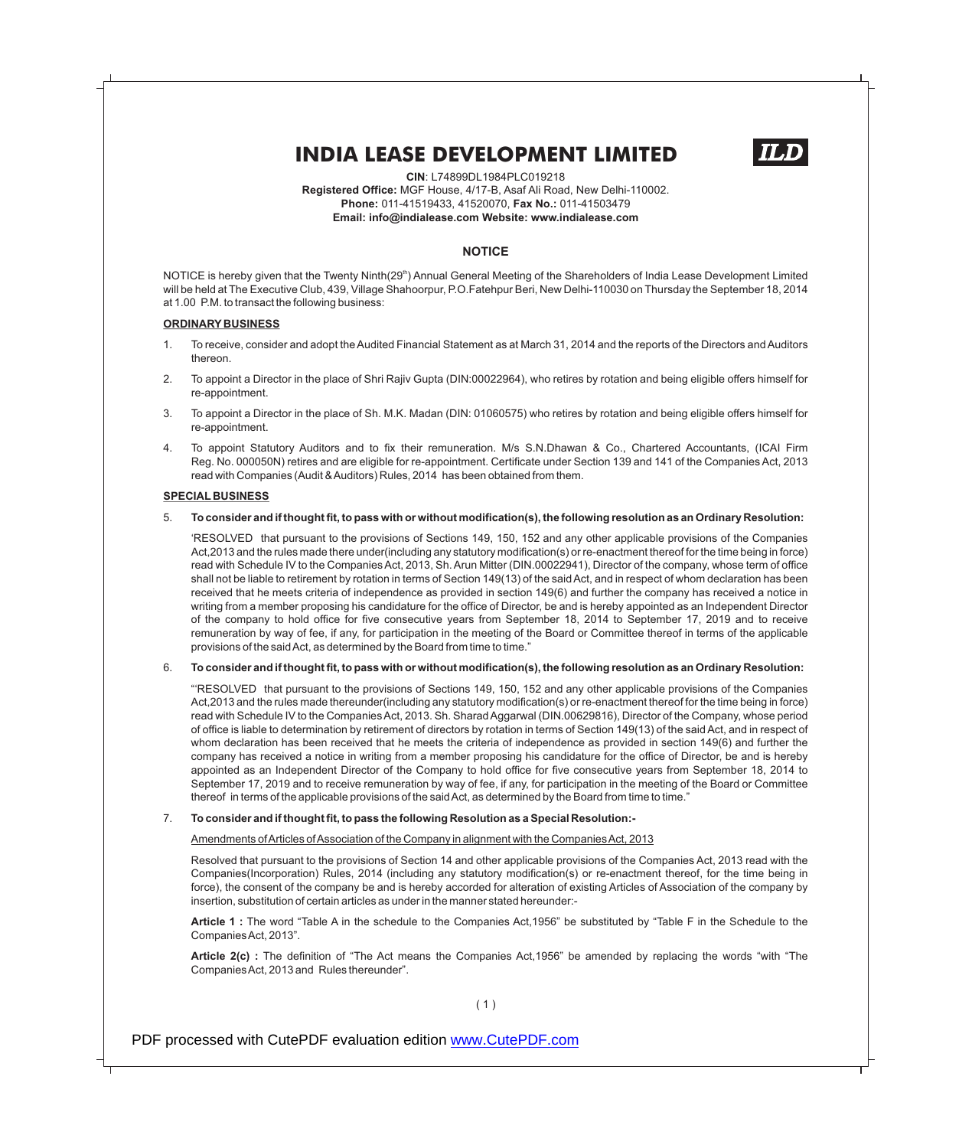

**CIN**: L74899DL1984PLC019218 **Registered Office:** MGF House, 4/17-B, Asaf Ali Road, New Delhi-110002. **Phone:** 011-41519433, 41520070, **Fax No.:** 011-41503479 **Email: info@indialease.com Website: www.indialease.com**

#### **NOTICE**

NOTICE is hereby given that the Twenty Ninth(29<sup>th</sup>) Annual General Meeting of the Shareholders of India Lease Development Limited will be held at The Executive Club, 439, Village Shahoorpur, P.O.Fatehpur Beri, New Delhi-110030 on Thursday the September 18, 2014 at 1.00 P.M. to transact the following business:

#### **ORDINARY BUSINESS**

- 1. To receive, consider and adopt the Audited Financial Statement as at March 31, 2014 and the reports of the Directors and Auditors thereon.
- 2. To appoint a Director in the place of Shri Rajiv Gupta (DIN:00022964), who retires by rotation and being eligible offers himself for re-appointment.
- 3. To appoint a Director in the place of Sh. M.K. Madan (DIN: 01060575) who retires by rotation and being eligible offers himself for re-appointment.
- 4. To appoint Statutory Auditors and to fix their remuneration. M/s S.N.Dhawan & Co., Chartered Accountants, (ICAI Firm Reg. No. 000050N) retires and are eligible for re-appointment. Certificate under Section 139 and 141 of the Companies Act, 2013 read with Companies (Audit & Auditors) Rules, 2014 has been obtained from them.

#### **SPECIAL BUSINESS**

#### 5. **To consider and if thought fit, to pass with or without modification(s), the following resolution as an Ordinary Resolution:**

'RESOLVED that pursuant to the provisions of Sections 149, 150, 152 and any other applicable provisions of the Companies Act,2013 and the rules made there under(including any statutory modification(s) or re-enactment thereof for the time being in force) read with Schedule IV to the Companies Act, 2013, Sh. Arun Mitter (DIN.00022941), Director of the company, whose term of office shall not be liable to retirement by rotation in terms of Section 149(13) of the said Act, and in respect of whom declaration has been received that he meets criteria of independence as provided in section 149(6) and further the company has received a notice in writing from a member proposing his candidature for the office of Director, be and is hereby appointed as an Independent Director of the company to hold office for five consecutive years from September 18, 2014 to September 17, 2019 and to receive remuneration by way of fee, if any, for participation in the meeting of the Board or Committee thereof in terms of the applicable provisions of the said Act, as determined by the Board from time to time."

#### 6. **To consider and if thought fit, to pass with or without modification(s), the following resolution as an Ordinary Resolution:**

"'RESOLVED that pursuant to the provisions of Sections 149, 150, 152 and any other applicable provisions of the Companies Act,2013 and the rules made thereunder(including any statutory modification(s) or re-enactment thereof for the time being in force) read with Schedule IV to the Companies Act, 2013. Sh. Sharad Aggarwal (DIN.00629816), Director of the Company, whose period of office is liable to determination by retirement of directors by rotation in terms of Section 149(13) of the said Act, and in respect of whom declaration has been received that he meets the criteria of independence as provided in section 149(6) and further the company has received a notice in writing from a member proposing his candidature for the office of Director, be and is hereby appointed as an Independent Director of the Company to hold office for five consecutive years from September 18, 2014 to September 17, 2019 and to receive remuneration by way of fee, if any, for participation in the meeting of the Board or Committee thereof in terms of the applicable provisions of the said Act, as determined by the Board from time to time."

#### 7. **To consider and if thought fit, to pass the following Resolution as a Special Resolution:-**

#### Amendments of Articles of Association of the Company in alignment with the Companies Act, 2013

Resolved that pursuant to the provisions of Section 14 and other applicable provisions of the Companies Act, 2013 read with the Companies(Incorporation) Rules, 2014 (including any statutory modification(s) or re-enactment thereof, for the time being in force), the consent of the company be and is hereby accorded for alteration of existing Articles of Association of the company by insertion, substitution of certain articles as under in the manner stated hereunder:-

**Article 1 :** The word "Table A in the schedule to the Companies Act,1956" be substituted by "Table F in the Schedule to the Companies Act, 2013".

**Article 2(c) :** The definition of "The Act means the Companies Act,1956" be amended by replacing the words "with "The Companies Act, 2013 and Rules thereunder".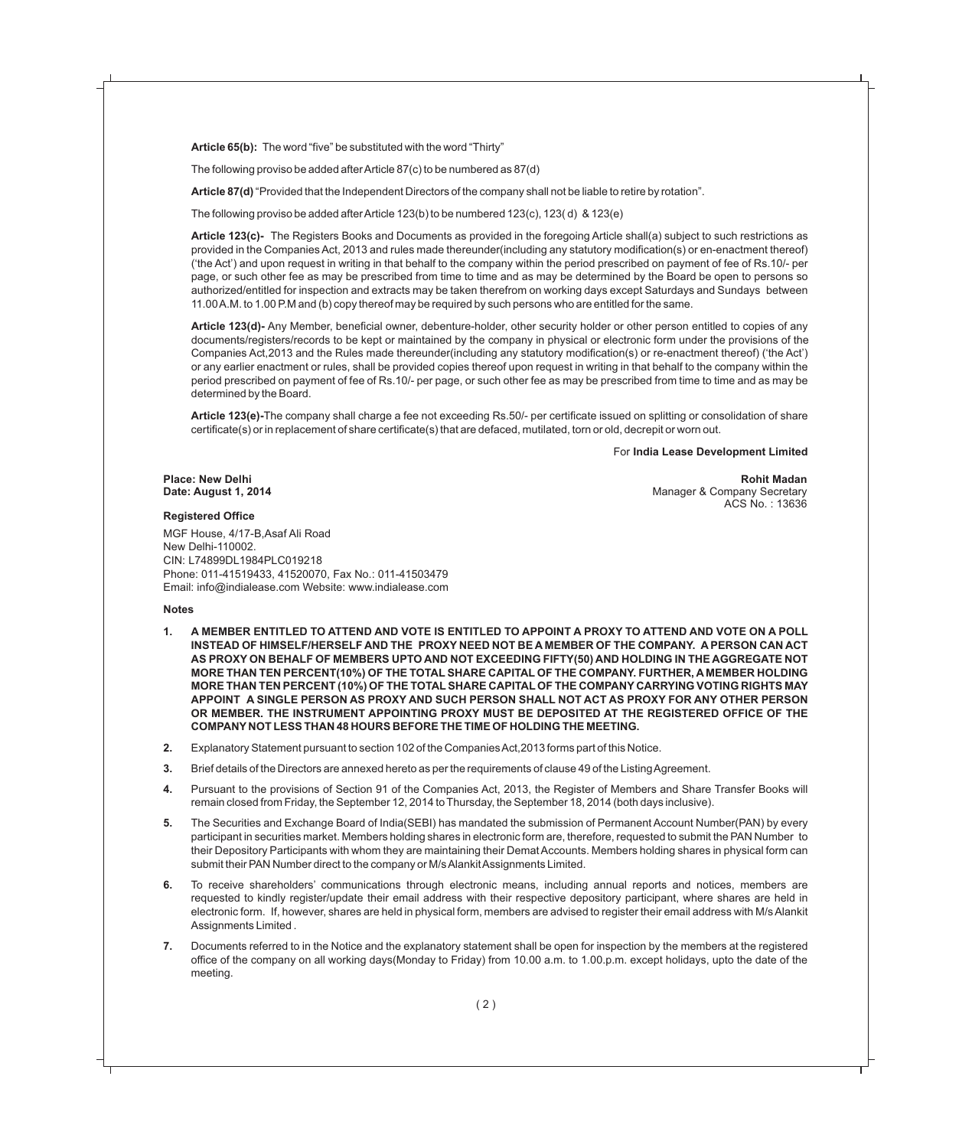**Article 65(b):** The word "five" be substituted with the word "Thirty"

The following proviso be added after Article 87(c) to be numbered as 87(d)

**Article 87(d)** "Provided that the Independent Directors of the company shall not be liable to retire by rotation".

The following proviso be added after Article 123(b) to be numbered 123(c), 123( d) & 123(e)

**Article 123(c)-** The Registers Books and Documents as provided in the foregoing Article shall(a) subject to such restrictions as provided in the Companies Act, 2013 and rules made thereunder(including any statutory modification(s) or en-enactment thereof) ('the Act') and upon request in writing in that behalf to the company within the period prescribed on payment of fee of Rs.10/- per page, or such other fee as may be prescribed from time to time and as may be determined by the Board be open to persons so authorized/entitled for inspection and extracts may be taken therefrom on working days except Saturdays and Sundays between 11.00 A.M. to 1.00 P.M and (b) copy thereof may be required by such persons who are entitled for the same.

**Article 123(d)-** Any Member, beneficial owner, debenture-holder, other security holder or other person entitled to copies of any documents/registers/records to be kept or maintained by the company in physical or electronic form under the provisions of the Companies Act,2013 and the Rules made thereunder(including any statutory modification(s) or re-enactment thereof) ('the Act') or any earlier enactment or rules, shall be provided copies thereof upon request in writing in that behalf to the company within the period prescribed on payment of fee of Rs.10/- per page, or such other fee as may be prescribed from time to time and as may be determined by the Board.

**Article 123(e)-**The company shall charge a fee not exceeding Rs.50/- per certificate issued on splitting or consolidation of share certificate(s) or in replacement of share certificate(s) that are defaced, mutilated, torn or old, decrepit or worn out.

#### For **India Lease Development Limited**

ACS No. : 13636

**Place: New Delhi Rohit Madan Date: August 1, 2014** Manager & Company Secretary

#### **Registered Office**

MGF House, 4/17-B,Asaf Ali Road New Delhi-110002. CIN: L74899DL1984PLC019218 Phone: 011-41519433, 41520070, Fax No.: 011-41503479 Email: info@indialease.com Website: www.indialease.com

#### **Notes**

- **1. A MEMBER ENTITLED TO ATTEND AND VOTE IS ENTITLED TO APPOINT A PROXY TO ATTEND AND VOTE ON A POLL INSTEAD OF HIMSELF/HERSELF AND THE PROXY NEED NOT BE A MEMBER OF THE COMPANY. A PERSON CAN ACT AS PROXY ON BEHALF OF MEMBERS UPTO AND NOT EXCEEDING FIFTY(50) AND HOLDING IN THE AGGREGATE NOT MORE THAN TEN PERCENT(10%) OF THE TOTAL SHARE CAPITAL OF THE COMPANY. FURTHER, A MEMBER HOLDING MORE THAN TEN PERCENT (10%) OF THE TOTALSHARE CAPITAL OF THE COMPANY CARRYING VOTING RIGHTS MAY APPOINT A SINGLE PERSON AS PROXY AND SUCH PERSON SHALL NOT ACT AS PROXY FOR ANY OTHER PERSON OR MEMBER. THE INSTRUMENT APPOINTING PROXY MUST BE DEPOSITED AT THE REGISTERED OFFICE OF THE COMPANY NOT LESS THAN 48 HOURS BEFORE THE TIME OF HOLDING THE MEETING.**
- **2.** Explanatory Statement pursuant to section 102 of the Companies Act,2013 forms part of this Notice.
- **3.** Brief details of the Directors are annexed hereto as per the requirements of clause 49 of the Listing Agreement.
- **4.** Pursuant to the provisions of Section 91 of the Companies Act, 2013, the Register of Members and Share Transfer Books will remain closed from Friday, the September 12, 2014 to Thursday, the September 18, 2014 (both days inclusive).
- **5.** The Securities and Exchange Board of India(SEBI) has mandated the submission of Permanent Account Number(PAN) by every participant in securities market. Members holding shares in electronic form are, therefore, requested to submit the PAN Number to their Depository Participants with whom they are maintaining their Demat Accounts. Members holding shares in physical form can submit their PAN Number direct to the company or M/s Alankit Assignments Limited.
- **6.** To receive shareholders' communications through electronic means, including annual reports and notices, members are requested to kindly register/update their email address with their respective depository participant, where shares are held in electronic form. If, however, shares are held in physical form, members are advised to register their email address with M/s Alankit Assignments Limited .
- **7.** Documents referred to in the Notice and the explanatory statement shall be open for inspection by the members at the registered office of the company on all working days(Monday to Friday) from 10.00 a.m. to 1.00.p.m. except holidays, upto the date of the meeting.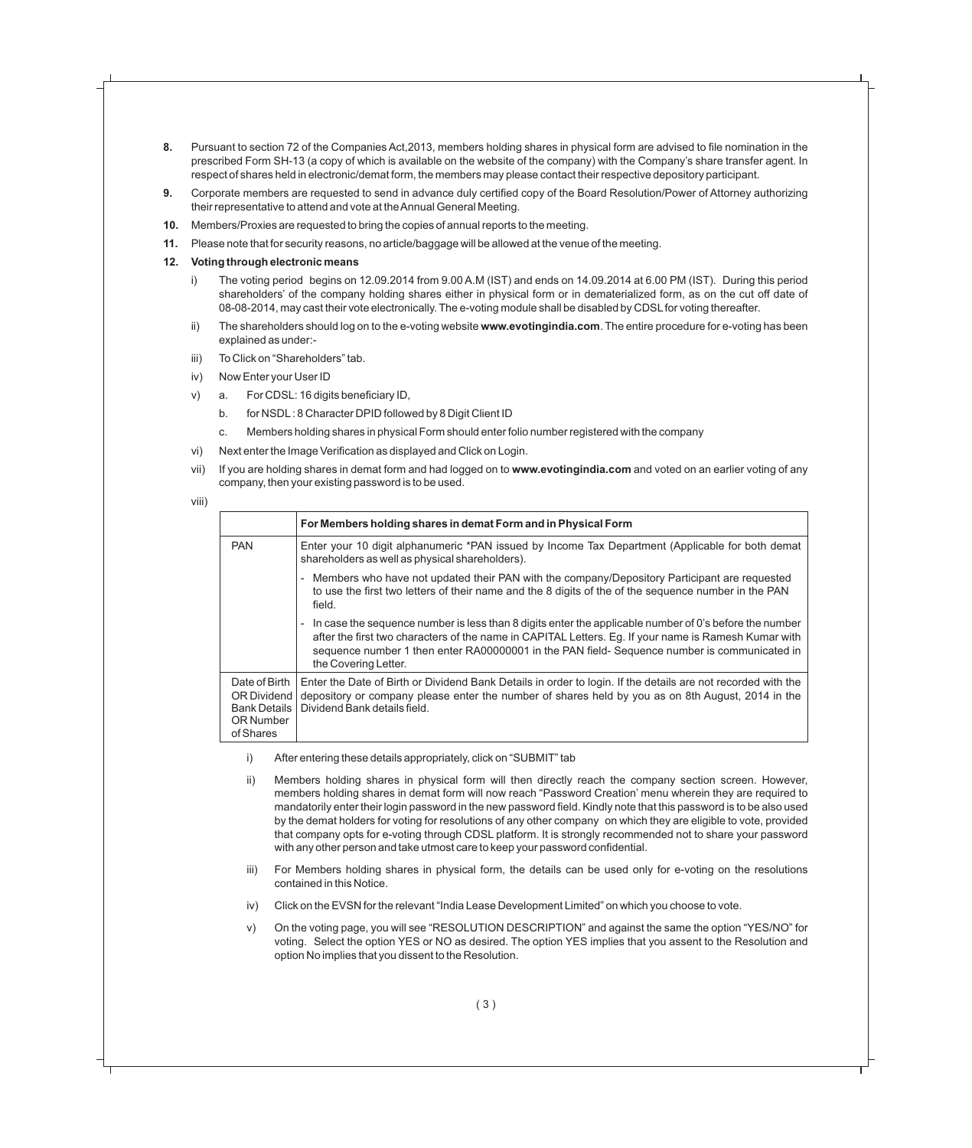- **8.** Pursuant to section 72 of the Companies Act,2013, members holding shares in physical form are advised to file nomination in the prescribed Form SH-13 (a copy of which is available on the website of the company) with the Company's share transfer agent. In respect of shares held in electronic/demat form, the members may please contact their respective depository participant.
- **9.** Corporate members are requested to send in advance duly certified copy of the Board Resolution/Power of Attorney authorizing their representative to attend and vote at the Annual General Meeting.
- **10.** Members/Proxies are requested to bring the copies of annual reports to the meeting.
- **11.** Please note that for security reasons, no article/baggage will be allowed at the venue of the meeting.

#### **12. Voting through electronic means**

- The voting period begins on 12.09.2014 from 9.00 A.M (IST) and ends on 14.09.2014 at 6.00 PM (IST). During this period shareholders' of the company holding shares either in physical form or in dematerialized form, as on the cut off date of 08-08-2014, may cast their vote electronically. The e-voting module shall be disabled by CDSL for voting thereafter.
- ii) The shareholders should log on to the e-voting website **www.evotingindia.com**. The entire procedure for e-voting has been explained as under:-
- iii) To Click on "Shareholders" tab.
- iv) Now Enter your User ID
- v) a. For CDSL: 16 digits beneficiary ID,
	- b. for NSDL: 8 Character DPID followed by 8 Digit Client ID
	- c. Members holding shares in physical Form should enter folio number registered with the company
- vi) Next enter the Image Verification as displayed and Click on Login.
- vii) If you are holding shares in demat form and had logged on to **www.evotingindia.com** and voted on an earlier voting of any company, then your existing password is to be used.

```
viii)
```

|                                                                               | For Members holding shares in demat Form and in Physical Form                                                                                                                                                                                                                                                                         |
|-------------------------------------------------------------------------------|---------------------------------------------------------------------------------------------------------------------------------------------------------------------------------------------------------------------------------------------------------------------------------------------------------------------------------------|
| <b>PAN</b>                                                                    | Enter your 10 digit alphanumeric *PAN issued by Income Tax Department (Applicable for both demat<br>shareholders as well as physical shareholders).                                                                                                                                                                                   |
|                                                                               | Members who have not updated their PAN with the company/Depository Participant are requested<br>to use the first two letters of their name and the 8 digits of the of the sequence number in the PAN<br>field.                                                                                                                        |
|                                                                               | In case the sequence number is less than 8 digits enter the applicable number of 0's before the number<br>after the first two characters of the name in CAPITAL Letters. Eg. If your name is Ramesh Kumar with<br>sequence number 1 then enter RA00000001 in the PAN field-Sequence number is communicated in<br>the Covering Letter. |
| Date of Birth<br>OR Dividend<br><b>Bank Details</b><br>OR Number<br>of Shares | Enter the Date of Birth or Dividend Bank Details in order to login. If the details are not recorded with the<br>depository or company please enter the number of shares held by you as on 8th August, 2014 in the<br>Dividend Bank details field.                                                                                     |

- i) After entering these details appropriately, click on "SUBMIT" tab
- ii) Members holding shares in physical form will then directly reach the company section screen. However, members holding shares in demat form will now reach "Password Creation' menu wherein they are required to mandatorily enter their login password in the new password field. Kindly note that this password is to be also used by the demat holders for voting for resolutions of any other company on which they are eligible to vote, provided that company opts for e-voting through CDSL platform. It is strongly recommended not to share your password with any other person and take utmost care to keep your password confidential.
- iii) For Members holding shares in physical form, the details can be used only for e-voting on the resolutions contained in this Notice.
- iv) Click on the EVSN for the relevant "India Lease Development Limited" on which you choose to vote.
- v) On the voting page, you will see "RESOLUTION DESCRIPTION" and against the same the option "YES/NO" for voting. Select the option YES or NO as desired. The option YES implies that you assent to the Resolution and option No implies that you dissent to the Resolution.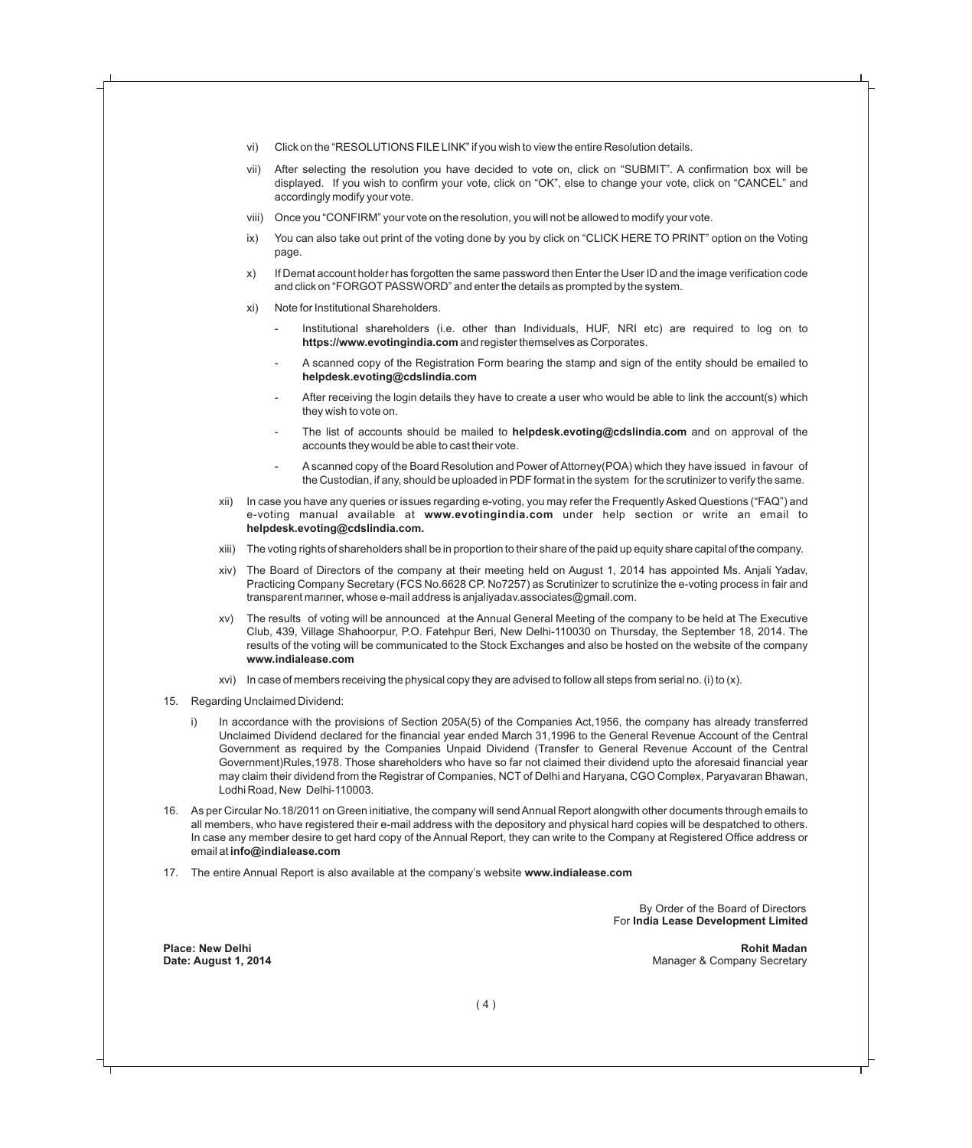- vi) Click on the "RESOLUTIONS FILE LINK" if you wish to view the entire Resolution details.
- vii) After selecting the resolution you have decided to vote on, click on "SUBMIT". A confirmation box will be displayed. If you wish to confirm your vote, click on "OK", else to change your vote, click on "CANCEL" and accordingly modify your vote.
- viii) Once you "CONFIRM" your vote on the resolution, you will not be allowed to modify your vote.
- ix) You can also take out print of the voting done by you by click on "CLICK HERE TO PRINT" option on the Voting page.
- x) If Demat account holder has forgotten the same password then Enter the User ID and the image verification code and click on "FORGOT PASSWORD" and enter the details as prompted by the system.
- xi) Note for Institutional Shareholders.
	- Institutional shareholders (i.e. other than Individuals, HUF, NRI etc) are required to log on to **https://www.evotingindia.com** and register themselves as Corporates.
	- A scanned copy of the Registration Form bearing the stamp and sign of the entity should be emailed to **helpdesk.evoting@cdslindia.com**
	- After receiving the login details they have to create a user who would be able to link the account(s) which they wish to vote on.
	- The list of accounts should be mailed to **helpdesk.evoting@cdslindia.com** and on approval of the accounts they would be able to cast their vote.
	- Ascanned copy of the Board Resolution and Power of Attorney(POA) which they have issued in favour of the Custodian, if any, should be uploaded in PDF format in the system for the scrutinizer to verify the same.
- xii) In case you have any queries or issues regarding e-voting, you may refer the Frequently Asked Questions ("FAQ") and e-voting manual available at **www.evotingindia.com** under help section or write an email to **helpdesk.evoting@cdslindia.com.**
- xiii) The voting rights of shareholders shall be in proportion to their share of the paid up equity share capital of the company.
- xiv) The Board of Directors of the company at their meeting held on August 1, 2014 has appointed Ms. Anjali Yadav, Practicing Company Secretary (FCS No.6628 CP. No7257) as Scrutinizer to scrutinize the e-voting process in fair and transparent manner, whose e-mail address is anjaliyadav.associates@gmail.com.
- xv) The results of voting will be announced at the Annual General Meeting of the company to be held at The Executive Club, 439, Village Shahoorpur, P.O. Fatehpur Beri, New Delhi-110030 on Thursday, the September 18, 2014. The results of the voting will be communicated to the Stock Exchanges and also be hosted on the website of the company **www.indialease.com**
- xvi) In case of members receiving the physical copy they are advised to follow all steps from serial no. (i) to  $(x)$ .
- 15. Regarding Unclaimed Dividend:
	- i) In accordance with the provisions of Section 205A(5) of the Companies Act,1956, the company has already transferred Unclaimed Dividend declared for the financial year ended March 31,1996 to the General Revenue Account of the Central Government as required by the Companies Unpaid Dividend (Transfer to General Revenue Account of the Central Government)Rules,1978. Those shareholders who have so far not claimed their dividend upto the aforesaid financial year may claim their dividend from the Registrar of Companies, NCT of Delhi and Haryana, CGO Complex, Paryavaran Bhawan, Lodhi Road, New Delhi-110003.
- 16. As per Circular No.18/2011 on Green initiative, the company will send Annual Report alongwith other documents through emails to all members, who have registered their e-mail address with the depository and physical hard copies will be despatched to others. In case any member desire to get hard copy of the Annual Report, they can write to the Company at Registered Office address or email at **info@indialease.com**
- 17. The entire Annual Report is also available at the company's website **www.indialease.com**

By Order of the Board of Directors For **India Lease Development Limited**

**Place: New Delhi Rohit Madan Date: August 1, 2014** Manager & Company Secretary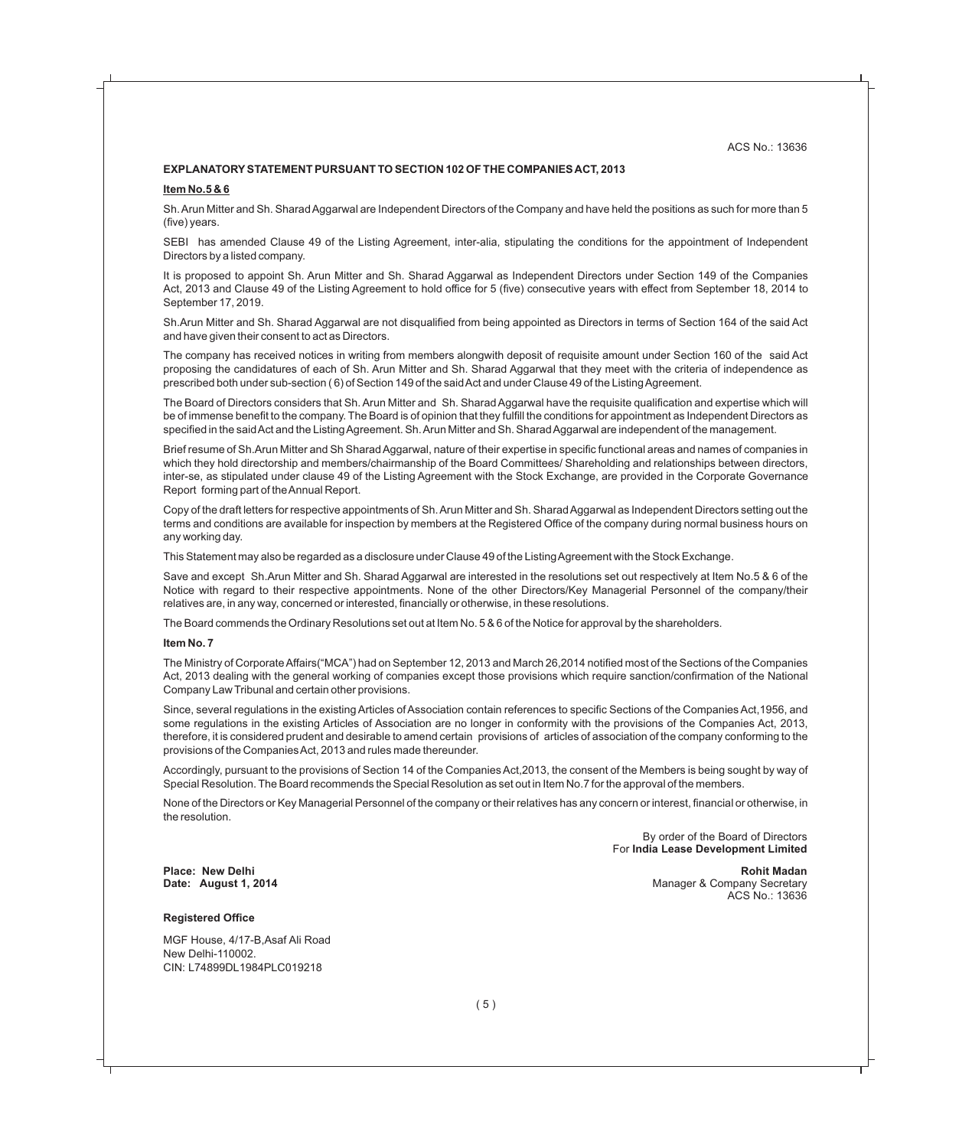#### **EXPLANATORYSTATEMENT PURSUANT TO SECTION 102 OF THE COMPANIES ACT, 2013**

#### **Item No.5 & 6**

Sh. Arun Mitter and Sh. Sharad Aggarwal are Independent Directors of the Company and have held the positions as such for more than 5 (five) years.

SEBI has amended Clause 49 of the Listing Agreement, inter-alia, stipulating the conditions for the appointment of Independent Directors by a listed company.

It is proposed to appoint Sh. Arun Mitter and Sh. Sharad Aggarwal as Independent Directors under Section 149 of the Companies Act, 2013 and Clause 49 of the Listing Agreement to hold office for 5 (five) consecutive years with effect from September 18, 2014 to September 17, 2019.

Sh.Arun Mitter and Sh. Sharad Aggarwal are not disqualified from being appointed as Directors in terms of Section 164 of the said Act and have given their consent to act as Directors.

The company has received notices in writing from members alongwith deposit of requisite amount under Section 160 of the said Act proposing the candidatures of each of Sh. Arun Mitter and Sh. Sharad Aggarwal that they meet with the criteria of independence as prescribed both under sub-section ( 6) of Section 149 of the said Act and under Clause 49 of the Listing Agreement.

The Board of Directors considers that Sh. Arun Mitter and Sh. Sharad Aggarwal have the requisite qualification and expertise which will be of immense benefit to the company. The Board is of opinion that they fulfill the conditions for appointment as Independent Directors as specified in the said Act and the Listing Agreement. Sh. Arun Mitter and Sh. Sharad Aggarwal are independent of the management.

Brief resume of Sh.Arun Mitter and Sh Sharad Aggarwal, nature of their expertise in specific functional areas and names of companies in which they hold directorship and members/chairmanship of the Board Committees/ Shareholding and relationships between directors, inter-se, as stipulated under clause 49 of the Listing Agreement with the Stock Exchange, are provided in the Corporate Governance Report forming part of the Annual Report.

Copy of the draft letters for respective appointments of Sh. Arun Mitter and Sh. Sharad Aggarwal as Independent Directors setting out the terms and conditions are available for inspection by members at the Registered Office of the company during normal business hours on any working day.

This Statement may also be regarded as a disclosure under Clause 49 of the Listing Agreement with the Stock Exchange.

Save and except Sh.Arun Mitter and Sh. Sharad Aggarwal are interested in the resolutions set out respectively at Item No.5 & 6 of the Notice with regard to their respective appointments. None of the other Directors/Key Managerial Personnel of the company/their relatives are, in any way, concerned or interested, financially or otherwise, in these resolutions.

The Board commends the Ordinary Resolutions set out at Item No. 5 & 6 of the Notice for approval by the shareholders.

#### **Item No. 7**

The Ministry of Corporate Affairs("MCA") had on September 12, 2013 and March 26,2014 notified most of the Sections of the Companies Act, 2013 dealing with the general working of companies except those provisions which require sanction/confirmation of the National Company Law Tribunal and certain other provisions.

Since, several regulations in the existing Articles of Association contain references to specific Sections of the Companies Act,1956, and some regulations in the existing Articles of Association are no longer in conformity with the provisions of the Companies Act, 2013, therefore, it is considered prudent and desirable to amend certain provisions of articles of association of the company conforming to the provisions of the Companies Act, 2013 and rules made thereunder.

Accordingly, pursuant to the provisions of Section 14 of the Companies Act,2013, the consent of the Members is being sought by way of Special Resolution. The Board recommends the Special Resolution as set out in Item No.7 for the approval of the members.

None of the Directors or Key Managerial Personnel of the company or their relatives has any concern or interest, financial or otherwise, in the resolution.

> By order of the Board of Directors For **India Lease Development Limited**

#### **Registered Office**

MGF House, 4/17-B,Asaf Ali Road New Delhi-110002. CIN: L74899DL1984PLC019218

Place: New Delhi **Rohit Madan**<br> **Place: New Delhi Rohit Madan**<br> **Date: August 1, 2014 Rohit Madan**<br> **Rohit Madan** Manager & Company Secretary Manager & Company Secretary<br>ACS No.: 13636 ACS No.: 13636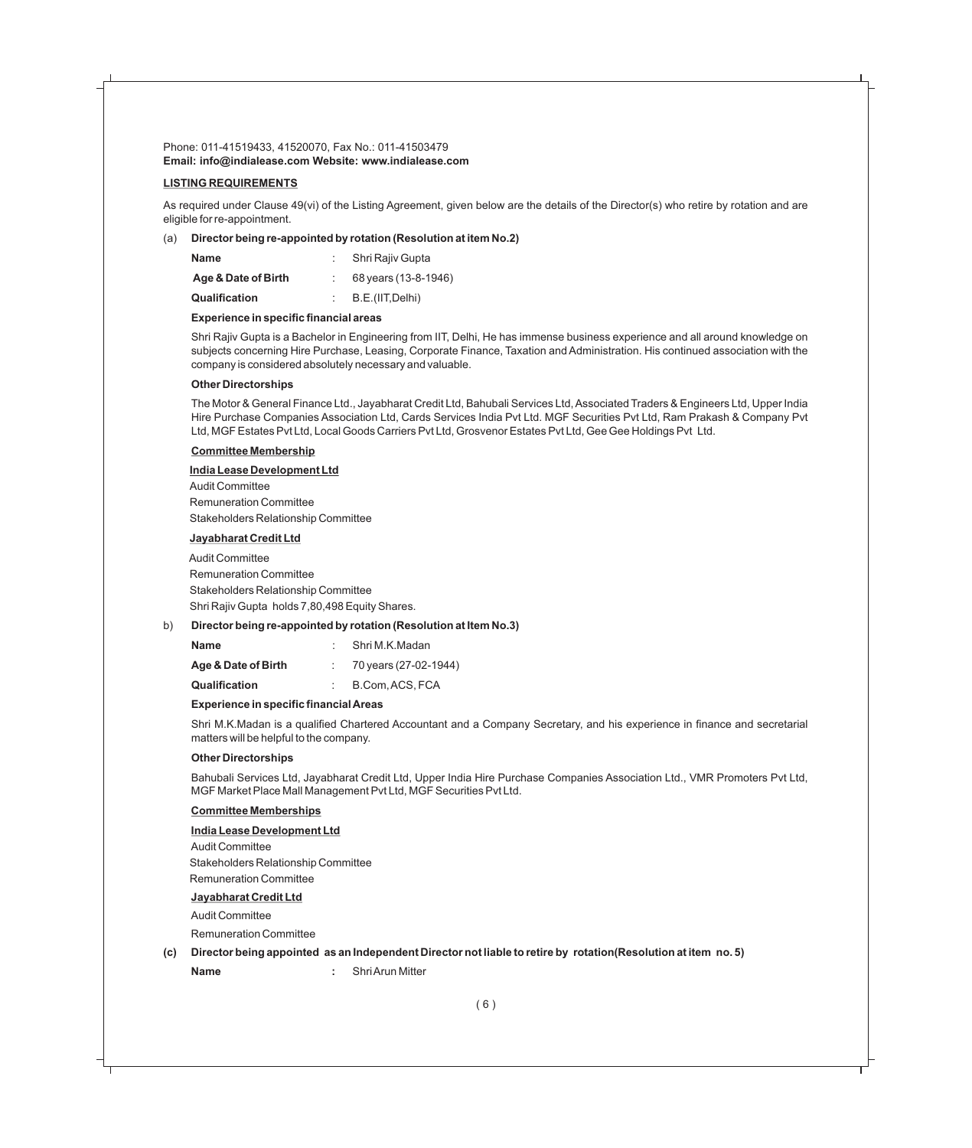#### **LISTING REQUIREMENTS**

As required under Clause 49(vi) of the Listing Agreement, given below are the details of the Director(s) who retire by rotation and are eligible for re-appointment.

#### (a) **Director being re-appointed by rotation (Resolution at item No.2)**

| <b>Name</b>          | Shri Rajiy Gupta     |
|----------------------|----------------------|
| Age & Date of Birth  | 68 years (13-8-1946) |
| <b>Qualification</b> | B.E.(IIT, Delhi)     |

#### **Experience in specific financial areas**

Shri Rajiv Gupta is a Bachelor in Engineering from IIT, Delhi, He has immense business experience and all around knowledge on subjects concerning Hire Purchase, Leasing, Corporate Finance, Taxation and Administration. His continued association with the company is considered absolutely necessary and valuable.

#### **Other Directorships**

The Motor & General Finance Ltd., Jayabharat Credit Ltd, Bahubali Services Ltd, Associated Traders & Engineers Ltd, Upper India Hire Purchase Companies Association Ltd, Cards Services India Pvt Ltd. MGF Securities Pvt Ltd, Ram Prakash & Company Pvt Ltd, MGF Estates Pvt Ltd, Local Goods Carriers Pvt Ltd, Grosvenor Estates Pvt Ltd, Gee Gee Holdings Pvt Ltd.

#### **Committee Membership**

#### **India Lease Development Ltd**

Audit Committee Remuneration Committee Stakeholders Relationship Committee

#### **Jayabharat Credit Ltd**

 Audit Committee Remuneration Committee Stakeholders Relationship Committee Shri Rajiv Gupta holds 7,80,498 Equity Shares.

#### b) **Director being re-appointed by rotation (Resolution at Item No.3)**

| <b>Name</b>          | Shri M.K.Madan        |
|----------------------|-----------------------|
| Age & Date of Birth  | 70 years (27-02-1944) |
| <b>Qualification</b> | B.Com. ACS. FCA       |

#### **Experience in specific financial Areas**

Shri M.K.Madan is a qualified Chartered Accountant and a Company Secretary, and his experience in finance and secretarial matters will be helpful to the company.

#### **Other Directorships**

Bahubali Services Ltd, Jayabharat Credit Ltd, Upper India Hire Purchase Companies Association Ltd., VMR Promoters Pvt Ltd, MGF Market Place Mall Management Pvt Ltd, MGF Securities Pvt Ltd.

#### **Committee Memberships**

#### **India Lease Development Ltd**

Audit Committee Stakeholders Relationship Committee Remuneration Committee

#### **Jayabharat Credit Ltd**

Audit Committee

Remuneration Committee

#### **(c) Director being appointed as an Independent Director not liable to retire by rotation(Resolution at item no. 5)**

**Name :** Shri Arun Mitter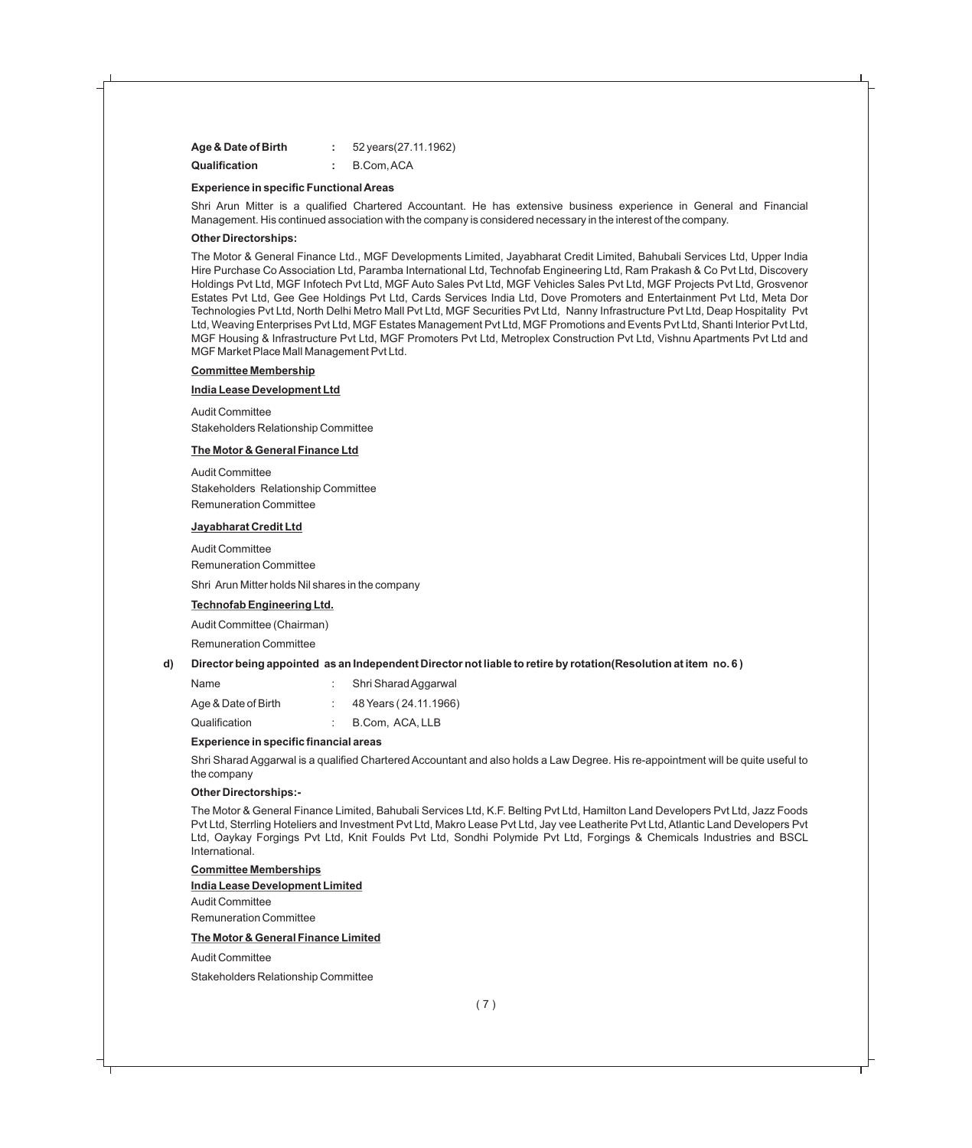| Age & Date of Birth  | 52 years (27.11.1962) |
|----------------------|-----------------------|
| <b>Qualification</b> | B.Com.ACA             |

#### **Experience in specific Functional Areas**

Shri Arun Mitter is a qualified Chartered Accountant. He has extensive business experience in General and Financial Management. His continued association with the company is considered necessary in the interest of the company.

#### **Other Directorships:**

The Motor & General Finance Ltd., MGF Developments Limited, Jayabharat Credit Limited, Bahubali Services Ltd, Upper India Hire Purchase Co Association Ltd, Paramba International Ltd, Technofab Engineering Ltd, Ram Prakash & Co Pvt Ltd, Discovery Holdings Pvt Ltd, MGF Infotech Pvt Ltd, MGF Auto Sales Pvt Ltd, MGF Vehicles Sales Pvt Ltd, MGF Projects Pvt Ltd, Grosvenor Estates Pvt Ltd, Gee Gee Holdings Pvt Ltd, Cards Services India Ltd, Dove Promoters and Entertainment Pvt Ltd, Meta Dor Technologies Pvt Ltd, North Delhi Metro Mall Pvt Ltd, MGF Securities Pvt Ltd, Nanny Infrastructure Pvt Ltd, Deap Hospitality Pvt Ltd, Weaving Enterprises Pvt Ltd, MGF Estates Management Pvt Ltd, MGF Promotions and Events Pvt Ltd, Shanti Interior Pvt Ltd, MGF Housing & Infrastructure Pvt Ltd, MGF Promoters Pvt Ltd, Metroplex Construction Pvt Ltd, Vishnu Apartments Pvt Ltd and MGF Market Place Mall Management Pvt Ltd.

#### **Committee Membership**

#### **India Lease Development Ltd**

Audit Committee Stakeholders Relationship Committee

#### **The Motor & General Finance Ltd**

Audit Committee Stakeholders Relationship Committee Remuneration Committee

#### **Jayabharat Credit Ltd**

Audit Committee Remuneration Committee

Shri Arun Mitter holds Nil shares in the company

#### **Technofab Engineering Ltd.**

Audit Committee (Chairman)

Remuneration Committee

#### **d) Director being appointed as an Independent Director not liable to retire by rotation(Resolution at item no. 6 )**

| Name                | Shri Sharad Aggarwal  |
|---------------------|-----------------------|
| Age & Date of Birth | 48 Years (24.11.1966) |
| Qualification       | B.Com, ACA, LLB       |

#### **Experience in specific financial areas**

Shri Sharad Aggarwal is a qualified Chartered Accountant and also holds a Law Degree. His re-appointment will be quite useful to the company

#### **Other Directorships:-**

The Motor & General Finance Limited, Bahubali Services Ltd, K.F. Belting Pvt Ltd, Hamilton Land Developers Pvt Ltd, Jazz Foods Pvt Ltd, Sterrling Hoteliers and Investment Pvt Ltd, Makro Lease Pvt Ltd, Jay vee Leatherite Pvt Ltd, Atlantic Land Developers Pvt Ltd, Oaykay Forgings Pvt Ltd, Knit Foulds Pvt Ltd, Sondhi Polymide Pvt Ltd, Forgings & Chemicals Industries and BSCL International.

#### **Committee Memberships**

#### **India Lease Development Limited**

Audit Committee Remuneration Committee

#### **The Motor & General Finance Limited**

Audit Committee

Stakeholders Relationship Committee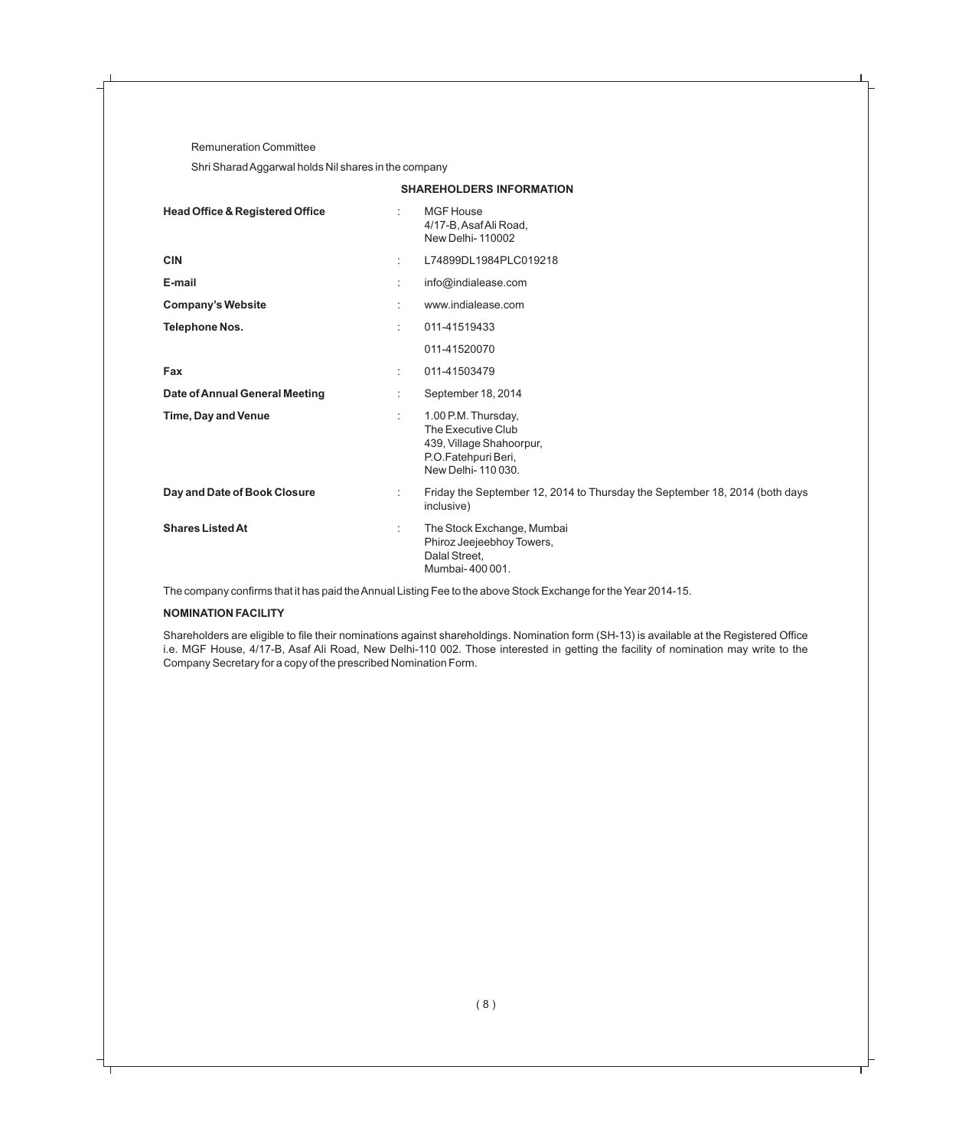Remuneration Committee

Shri Sharad Aggarwal holds Nil shares in the company

| <b>Head Office &amp; Registered Office</b> | ÷  | <b>MGF</b> House<br>4/17-B, Asaf Ali Road,<br><b>New Delhi-110002</b>                                             |
|--------------------------------------------|----|-------------------------------------------------------------------------------------------------------------------|
| <b>CIN</b>                                 | ÷  | L74899DL1984PLC019218                                                                                             |
| E-mail                                     |    | info@indialease.com                                                                                               |
| <b>Company's Website</b>                   | ٠. | www.indialease.com                                                                                                |
| <b>Telephone Nos.</b>                      | ٠. | 011-41519433                                                                                                      |
|                                            |    | 011-41520070                                                                                                      |
| Fax                                        | ÷  | 011-41503479                                                                                                      |
| <b>Date of Annual General Meeting</b>      |    | September 18, 2014                                                                                                |
| <b>Time, Day and Venue</b>                 | ÷  | 1.00 P.M. Thursday,<br>The Executive Club<br>439, Village Shahoorpur,<br>P.O.Fatehpuri Beri,<br>New Delhi-110030. |
| Day and Date of Book Closure               | ÷  | Friday the September 12, 2014 to Thursday the September 18, 2014 (both days<br>inclusive)                         |
| <b>Shares Listed At</b>                    | ÷  | The Stock Exchange, Mumbai<br>Phiroz Jeejeebhoy Towers,<br>Dalal Street,<br>Mumbai-400001.                        |

**SHAREHOLDERS INFORMATION**

The company confirms that it has paid the Annual Listing Fee to the above Stock Exchange for the Year 2014-15.

#### **NOMINATION FACILITY**

Shareholders are eligible to file their nominations against shareholdings. Nomination form (SH-13) is available at the Registered Office i.e. MGF House, 4/17-B, Asaf Ali Road, New Delhi-110 002. Those interested in getting the facility of nomination may write to the Company Secretary for a copy of the prescribed Nomination Form.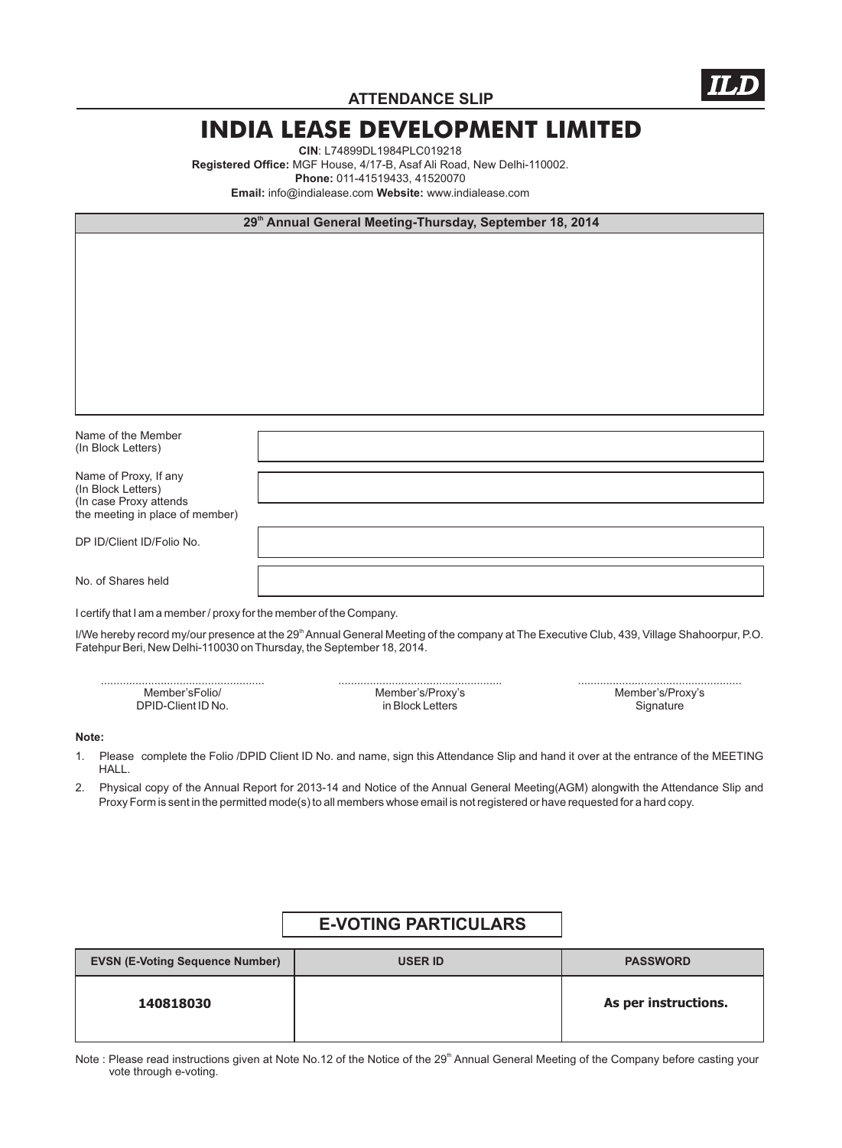

**ATTENDANCE SLIP**

### **INDIA LEASE DEVELOPMENT LIMITED**

**CIN**: L74899DL1984PLC019218 **Registered Office:** MGF House, 4/17-B, Asaf Ali Road, New Delhi-110002. **Phone:** 011-41519433, 41520070 **Email:** info@indialease.com **Website:** www.indialease.com

| 29 <sup>th</sup> Annual General Meeting-Thursday, September 18, 2014                                     |  |  |
|----------------------------------------------------------------------------------------------------------|--|--|
|                                                                                                          |  |  |
| Name of the Member<br>(In Block Letters)                                                                 |  |  |
| Name of Proxy, If any<br>(In Block Letters)<br>(In case Proxy attends<br>the meeting in place of member) |  |  |
| DP ID/Client ID/Folio No.                                                                                |  |  |
| No. of Shares held                                                                                       |  |  |

I certify that I am a member / proxy for the member of the Company.

I/We hereby record my/our presence at the 29<sup>th</sup> Annual General Meeting of the company at The Executive Club, 439, Village Shahoorpur, P.O. Fatehpur Beri, New Delhi-110030 on Thursday, the September 18, 2014.

| Member's/Proxy's<br>Member's/Proxy's |  |
|--------------------------------------|--|
| Signature                            |  |
|                                      |  |

#### **Note:**

- 1. Please complete the Folio /DPID Client ID No. and name, sign this Attendance Slip and hand it over at the entrance of the MEETING HALL.
- 2. Physical copy of the Annual Report for 2013-14 and Notice of the Annual General Meeting(AGM) alongwith the Attendance Slip and Proxy Form is sent in the permitted mode(s) to all members whose email is not registered or have requested for a hard copy.

### **E-VOTING PARTICULARS**

| <b>EVSN (E-Voting Sequence Number)</b> | <b>USER ID</b> | <b>PASSWORD</b>      |
|----------------------------------------|----------------|----------------------|
| 140818030                              |                | As per instructions. |

Note : Please read instructions given at Note No.12 of the Notice of the 29<sup>th</sup> Annual General Meeting of the Company before casting your vote through e-voting.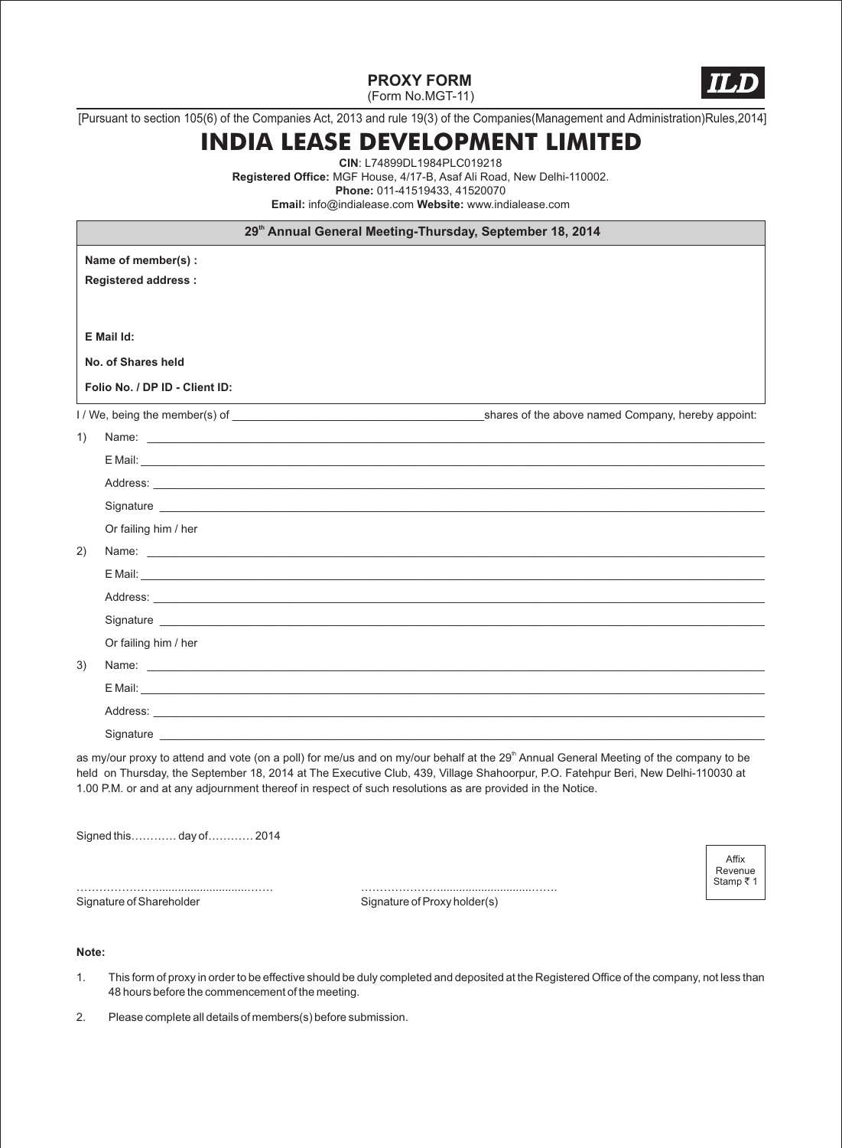**PROXY FORM**



 $\Delta$ ffiy Revenue Stamp  $\bar{z}$  1

(Form No.MGT-11)

[Pursuant to section 105(6) of the Companies Act, 2013 and rule 19(3) of the Companies(Management and Administration)Rules,2014]

## **INDIA LEASE DEVELOPMENT LIMITED**

**CIN**: L74899DL1984PLC019218 **Registered Office:** MGF House, 4/17-B, Asaf Ali Road, New Delhi-110002. **Phone:** 011-41519433, 41520070 **Email:** info@indialease.com **Website:** www.indialease.com

**Name of member(s) : Registered address : E Mail Id: No. of Shares held Folio No. / DP ID - Client ID: th 29 Annual General Meeting-Thursday, September 18, 2014** I / We, being the member(s) of \_\_\_\_\_\_\_\_\_\_\_\_\_\_\_\_\_\_\_\_\_\_\_\_\_\_\_\_\_\_\_\_\_\_\_\_\_\_\_\_shares of the above named Company, hereby appoint: 1) Name: \_\_\_\_\_\_\_\_\_\_\_\_\_\_\_\_\_\_\_\_\_\_\_\_\_\_\_\_\_\_\_\_\_\_\_\_\_\_\_\_\_\_\_\_\_\_\_\_\_\_\_\_\_\_\_\_\_\_\_\_\_\_\_\_\_\_\_\_\_\_\_\_\_\_\_\_\_\_\_\_\_\_\_\_\_\_\_\_\_\_\_\_\_\_\_\_\_\_ E Mail: \_\_\_\_\_\_\_\_\_\_\_\_\_\_\_\_\_\_\_\_\_\_\_\_\_\_\_\_\_\_\_\_\_\_\_\_\_\_\_\_\_\_\_\_\_\_\_\_\_\_\_\_\_\_\_\_\_\_\_\_\_\_\_\_\_\_\_\_\_\_\_\_\_\_\_\_\_\_\_\_\_\_\_\_\_\_\_\_\_\_\_\_\_\_\_\_\_\_\_ Address: \_\_\_\_\_\_\_\_\_\_\_\_\_\_\_\_\_\_\_\_\_\_\_\_\_\_\_\_\_\_\_\_\_\_\_\_\_\_\_\_\_\_\_\_\_\_\_\_\_\_\_\_\_\_\_\_\_\_\_\_\_\_\_\_\_\_\_\_\_\_\_\_\_\_\_\_\_\_\_\_\_\_\_\_\_\_\_\_\_\_\_\_\_\_\_\_\_ Signature \_\_\_\_\_\_\_\_\_\_\_\_\_\_\_\_\_\_\_\_\_\_\_\_\_\_\_\_\_\_\_\_\_\_\_\_\_\_\_\_\_\_\_\_\_\_\_\_\_\_\_\_\_\_\_\_\_\_\_\_\_\_\_\_\_\_\_\_\_\_\_\_\_\_\_\_\_\_\_\_\_\_\_\_\_\_\_\_\_\_\_\_\_\_\_\_ Or failing him / her 2) Name: \_\_\_\_\_\_\_\_\_\_\_\_\_\_\_\_\_\_\_\_\_\_\_\_\_\_\_\_\_\_\_\_\_\_\_\_\_\_\_\_\_\_\_\_\_\_\_\_\_\_\_\_\_\_\_\_\_\_\_\_\_\_\_\_\_\_\_\_\_\_\_\_\_\_\_\_\_\_\_\_\_\_\_\_\_\_\_\_\_\_\_\_\_\_\_\_\_\_ E Mail: \_\_\_\_\_\_\_\_\_\_\_\_\_\_\_\_\_\_\_\_\_\_\_\_\_\_\_\_\_\_\_\_\_\_\_\_\_\_\_\_\_\_\_\_\_\_\_\_\_\_\_\_\_\_\_\_\_\_\_\_\_\_\_\_\_\_\_\_\_\_\_\_\_\_\_\_\_\_\_\_\_\_\_\_\_\_\_\_\_\_\_\_\_\_\_\_\_\_\_ Address: \_\_\_\_\_\_\_\_\_\_\_\_\_\_\_\_\_\_\_\_\_\_\_\_\_\_\_\_\_\_\_\_\_\_\_\_\_\_\_\_\_\_\_\_\_\_\_\_\_\_\_\_\_\_\_\_\_\_\_\_\_\_\_\_\_\_\_\_\_\_\_\_\_\_\_\_\_\_\_\_\_\_\_\_\_\_\_\_\_\_\_\_\_\_\_\_\_ Signature \_\_\_\_\_\_\_\_\_\_\_\_\_\_\_\_\_\_\_\_\_\_\_\_\_\_\_\_\_\_\_\_\_\_\_\_\_\_\_\_\_\_\_\_\_\_\_\_\_\_\_\_\_\_\_\_\_\_\_\_\_\_\_\_\_\_\_\_\_\_\_\_\_\_\_\_\_\_\_\_\_\_\_\_\_\_\_\_\_\_\_\_\_\_\_\_ Or failing him / her 3) Name: \_\_\_\_\_\_\_\_\_\_\_\_\_\_\_\_\_\_\_\_\_\_\_\_\_\_\_\_\_\_\_\_\_\_\_\_\_\_\_\_\_\_\_\_\_\_\_\_\_\_\_\_\_\_\_\_\_\_\_\_\_\_\_\_\_\_\_\_\_\_\_\_\_\_\_\_\_\_\_\_\_\_\_\_\_\_\_\_\_\_\_\_\_\_\_\_\_\_ E Mail: \_\_\_\_\_\_\_\_\_\_\_\_\_\_\_\_\_\_\_\_\_\_\_\_\_\_\_\_\_\_\_\_\_\_\_\_\_\_\_\_\_\_\_\_\_\_\_\_\_\_\_\_\_\_\_\_\_\_\_\_\_\_\_\_\_\_\_\_\_\_\_\_\_\_\_\_\_\_\_\_\_\_\_\_\_\_\_\_\_\_\_\_\_\_\_\_\_\_\_ Address: \_\_\_\_\_\_\_\_\_\_\_\_\_\_\_\_\_\_\_\_\_\_\_\_\_\_\_\_\_\_\_\_\_\_\_\_\_\_\_\_\_\_\_\_\_\_\_\_\_\_\_\_\_\_\_\_\_\_\_\_\_\_\_\_\_\_\_\_\_\_\_\_\_\_\_\_\_\_\_\_\_\_\_\_\_\_\_\_\_\_\_\_\_\_\_\_\_ Signature \_\_\_\_\_\_\_\_\_\_\_\_\_\_\_\_\_\_\_\_\_\_\_\_\_\_\_\_\_\_\_\_\_\_\_\_\_\_\_\_\_\_\_\_\_\_\_\_\_\_\_\_\_\_\_\_\_\_\_\_\_\_\_\_\_\_\_\_\_\_\_\_\_\_\_\_\_\_\_\_\_\_\_\_\_\_\_\_\_\_\_\_\_\_\_\_ as my/our proxy to attend and vote (on a poll) for me/us and on my/our behalf at the 29<sup>th</sup> Annual General Meeting of the company to be

held on Thursday, the September 18, 2014 at The Executive Club, 439, Village Shahoorpur, P.O. Fatehpur Beri, New Delhi-110030 at 1.00 P.M. or and at any adjournment thereof in respect of such resolutions as are provided in the Notice.

Signed this………… day of………… 2014

Signature of Shareholder Signature of Proxy holder(s)

#### **Note:**

- 1. This form of proxy in order to be effective should be duly completed and deposited at the Registered Office of the company, not less than 48 hours before the commencement of the meeting.
- 2. Please complete all details of members(s) before submission.

………………….............................……. ………………….............................…….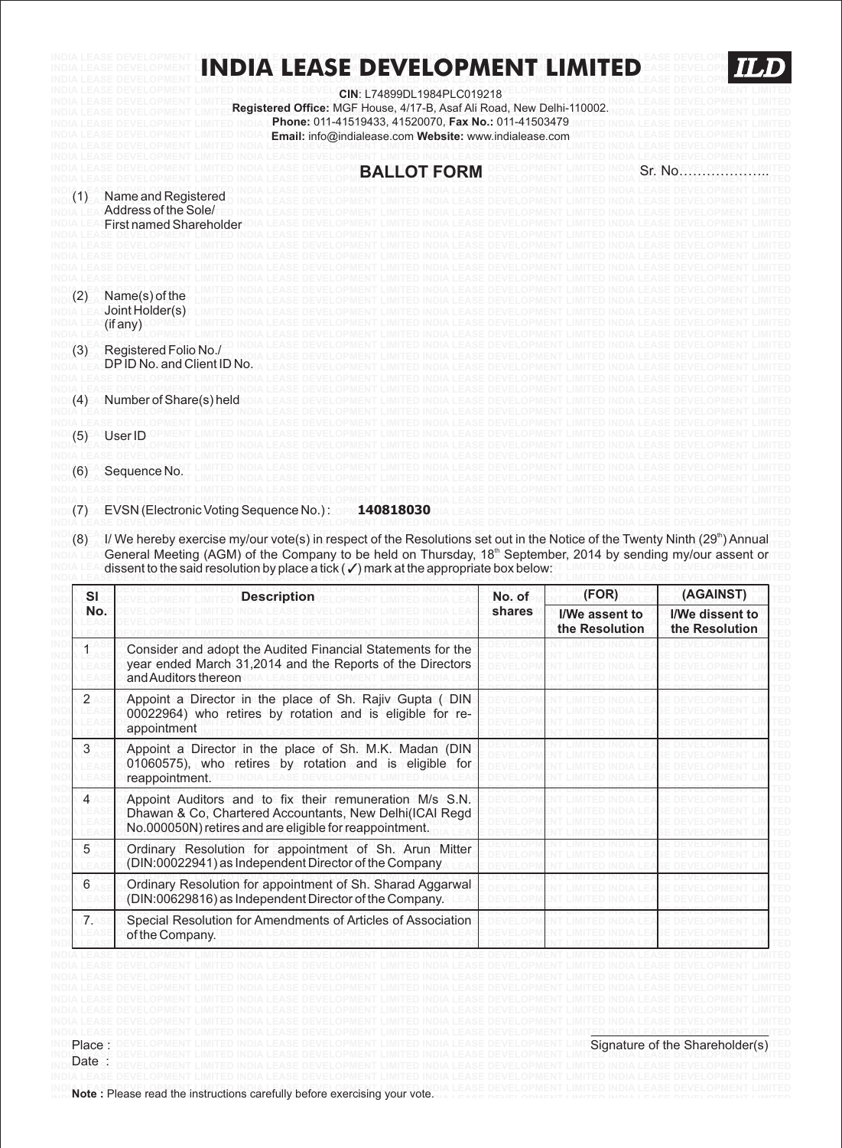#### **INDIA LEASE DEVELOPMENT LIMITED INDIA LEASE DEVELOPMENT LIMITED INDIA LEASE DEVELOPMENT LIMITED INDIA LEASE DEVELOPMENT LIMITED INDIA LEASE DEVELOPMENT LIMITED TLD INDIA LEASE DEVELOPMENT LIMITED INDIA LEASE DEVELOPMENT LIMITED INDIA LEASE DEVELOPMENT LIMITED INDIA LEASE DEVELOPMENT LIMITED**

**INDIA LEASE DEVELOPMENT LIMITED INDIA LEASE DEVELOPMENT LIMITED INDIA LEASE DEVELOPMENT LIMITED INDIA LEASE DEVELOPMENT LIMITED CIN**: L74899DL1984PLC019218 INDIA LEASE DEVELOPMENT LIMITEI Registered Office: MGF House, 4/17-B, Asaf Ali Road, New Delhi-110002. IDM LEASE DEVELOPMENT LIMITED<br>India lease development limitei Registered Office: MGF House, 4/17-B, Asaf Ali Road, New INDIA LEASE DEVELOPMENT LIMITED INDIA L**Phone: 011-41519433, 41520070, Fax No.: 011-41503479** INITED INDIA LEASE DEVELOPMENT LIMITED INDIA LEASE DEVELOPMENT LIMITED INDIA L**Email: info@indialease.com Website: www.indialease.com** IMITED INDIA LEASE DEVELOPMENT LIMITED **INDIA LEASE DEVELOPMENT LIMITED INDIA LEASE DEVELOPMENT LIMITED INDIA LEASE DEVELOPMENT LIMITED INDIA LEASE DEVELOPMENT LIMITED** 

|     |                                                                        | <b>BALLOT FORM</b> | Sr. No |
|-----|------------------------------------------------------------------------|--------------------|--------|
| (1) | Name and Registered<br>Address of the Sole/<br>First named Shareholder |                    |        |
|     |                                                                        |                    |        |
| (2) | Name(s) of the<br>Joint Holder(s)<br>(if any)                          |                    |        |
| (3) | Registered Folio No./<br>DP ID No. and Client ID No.                   |                    |        |
| (4) | Number of Share(s) held                                                |                    |        |
| (5) | User ID                                                                |                    |        |
| (6) | Sequence No.                                                           |                    |        |
| (7) | EVSN (Electronic Voting Sequence No.):                                 | 140818030          |        |

(8) I/ We hereby exercise my/our vote(s) in respect of the Resolutions set out in the Notice of the Twenty Ninth (29<sup>th</sup>) Annual INDIA LEA General Meeting (AGM) of the Company to be held on Thursday, 18<sup>th</sup> September, 2014 by sending my/our assent or **INDIA LEASE dissent to the said resolution by place a tick (**  $\checkmark$  **) mark at the appropriate box below: If LIMITED INDIA LEASE DEVELOPMENT LIMITED** 

| <b>SI</b>      | <b>Description</b>                                                                                                                                                            | No. of<br>shares | (FOR)                                   | (AGAINST)                         |
|----------------|-------------------------------------------------------------------------------------------------------------------------------------------------------------------------------|------------------|-----------------------------------------|-----------------------------------|
| No.            |                                                                                                                                                                               |                  | <b>I/We assent to</b><br>the Resolution | I/We dissent to<br>the Resolution |
|                | Consider and adopt the Audited Financial Statements for the<br>year ended March 31,2014 and the Reports of the Directors<br>and Auditors thereon                              |                  |                                         |                                   |
| $\overline{2}$ | Appoint a Director in the place of Sh. Rajiv Gupta (DIN<br>00022964) who retires by rotation and is eligible for re-<br>appointment                                           |                  |                                         |                                   |
| 3              | Appoint a Director in the place of Sh. M.K. Madan (DIN<br>01060575), who retires by rotation and is eligible for<br>reappointment.                                            |                  |                                         |                                   |
| 4              | Appoint Auditors and to fix their remuneration M/s S.N.<br>Dhawan & Co. Chartered Accountants, New Delhi(ICAI Regd<br>No.000050N) retires and are eligible for reappointment. |                  |                                         |                                   |
| 5              | Ordinary Resolution for appointment of Sh. Arun Mitter<br>(DIN:00022941) as Independent Director of the Company                                                               |                  |                                         |                                   |
| 6              | Ordinary Resolution for appointment of Sh. Sharad Aggarwal<br>(DIN:00629816) as Independent Director of the Company.                                                          |                  |                                         |                                   |
| 7.             | Special Resolution for Amendments of Articles of Association<br>of the Company.                                                                                               |                  |                                         |                                   |

**INDIA LEASE DEVELOPMENT LIMITED INDIA LEASE DEVELOPMENT LIMITED INDIA LEASE DEVELOPMENT LIMITED INDIA LEASE DEVELOPMENT LIMITED** 

**INDIA LEASE DEVELOPMENT LIMITED INDIA LEASE DEVELOPMENT LIMITED INDIA LEASE DEVELOPMENT LIMITED INDIA LEASE DEVELOPMENT LIMITED** 

INDINO to the SPIease read the instructions carefully before exercising your vote. The SE DEVELOPMENT LIMITED INDIA LEASE DEVELOPMENT LIMITED

Date :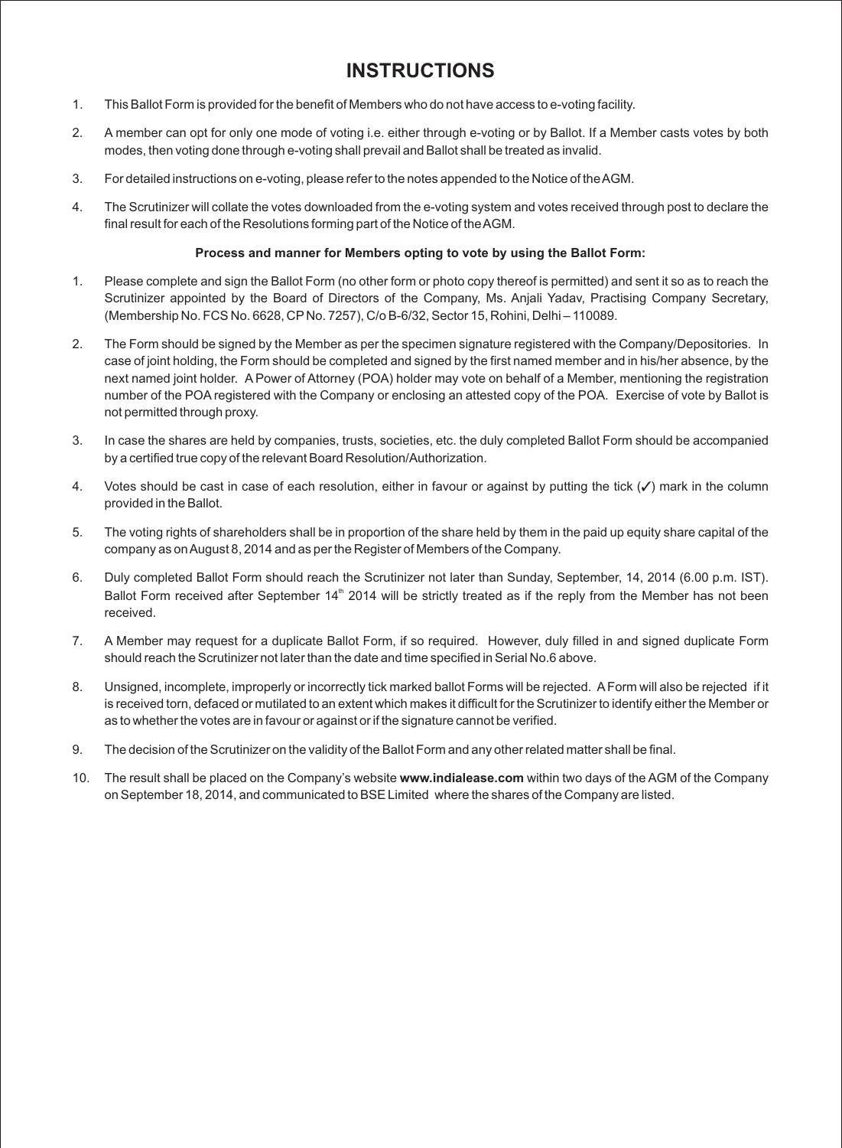### **INSTRUCTIONS**

- 1. This Ballot Form is provided for the benefit of Members who do not have access to e-voting facility.
- 2. A member can opt for only one mode of voting i.e. either through e-voting or by Ballot. If a Member casts votes by both modes, then voting done through e-voting shall prevail and Ballot shall be treated as invalid.
- 3. For detailed instructions on e-voting, please refer to the notes appended to the Notice of the AGM.
- 4. The Scrutinizer will collate the votes downloaded from the e-voting system and votes received through post to declare the final result for each of the Resolutions forming part of the Notice of the AGM.

#### **Process and manner for Members opting to vote by using the Ballot Form:**

- 1. Please complete and sign the Ballot Form (no other form or photo copy thereof is permitted) and sent it so as to reach the Scrutinizer appointed by the Board of Directors of the Company, Ms. Anjali Yadav, Practising Company Secretary, (Membership No. FCS No. 6628, CP No. 7257), C/o B-6/32, Sector 15, Rohini, Delhi – 110089.
- 2. The Form should be signed by the Member as per the specimen signature registered with the Company/Depositories. In case of joint holding, the Form should be completed and signed by the first named member and in his/her absence, by the next named joint holder. A Power of Attorney (POA) holder may vote on behalf of a Member, mentioning the registration number of the POA registered with the Company or enclosing an attested copy of the POA. Exercise of vote by Ballot is not permitted through proxy.
- 3. In case the shares are held by companies, trusts, societies, etc. the duly completed Ballot Form should be accompanied by a certified true copy of the relevant Board Resolution/Authorization.
- 4. Votes should be cast in case of each resolution, either in favour or against by putting the tick  $(\checkmark)$  mark in the column provided in the Ballot.
- 5. The voting rights of shareholders shall be in proportion of the share held by them in the paid up equity share capital of the company as on August 8, 2014 and as per the Register of Members of the Company.
- 6. Duly completed Ballot Form should reach the Scrutinizer not later than Sunday, September, 14, 2014 (6.00 p.m. IST). Ballot Form received after September  $14<sup>th</sup>$  2014 will be strictly treated as if the reply from the Member has not been received.
- 7. A Member may request for a duplicate Ballot Form, if so required. However, duly filled in and signed duplicate Form should reach the Scrutinizer not later than the date and time specified in Serial No.6 above.
- 8. Unsigned, incomplete, improperly or incorrectly tick marked ballot Forms will be rejected. AForm will also be rejected if it is received torn, defaced or mutilated to an extent which makes it difficult for the Scrutinizer to identify either the Member or as to whether the votes are in favour or against or if the signature cannot be verified.
- 9. The decision of the Scrutinizer on the validity of the Ballot Form and any other related matter shall be final.
- 10. The result shall be placed on the Company's website **www.indialease.com** within two days of the AGM of the Company on September 18, 2014, and communicated to BSE Limited where the shares of the Company are listed.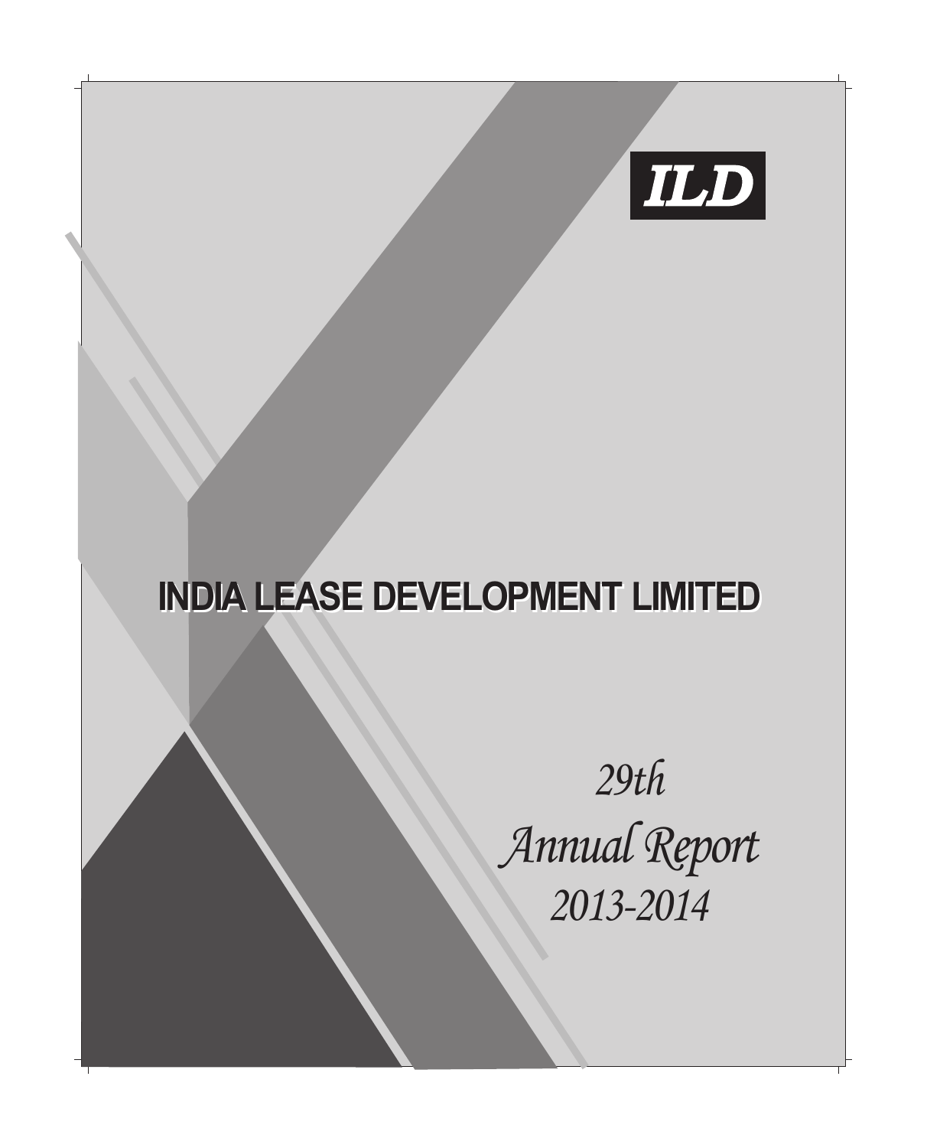

*Annual Report 2013-2014 29th*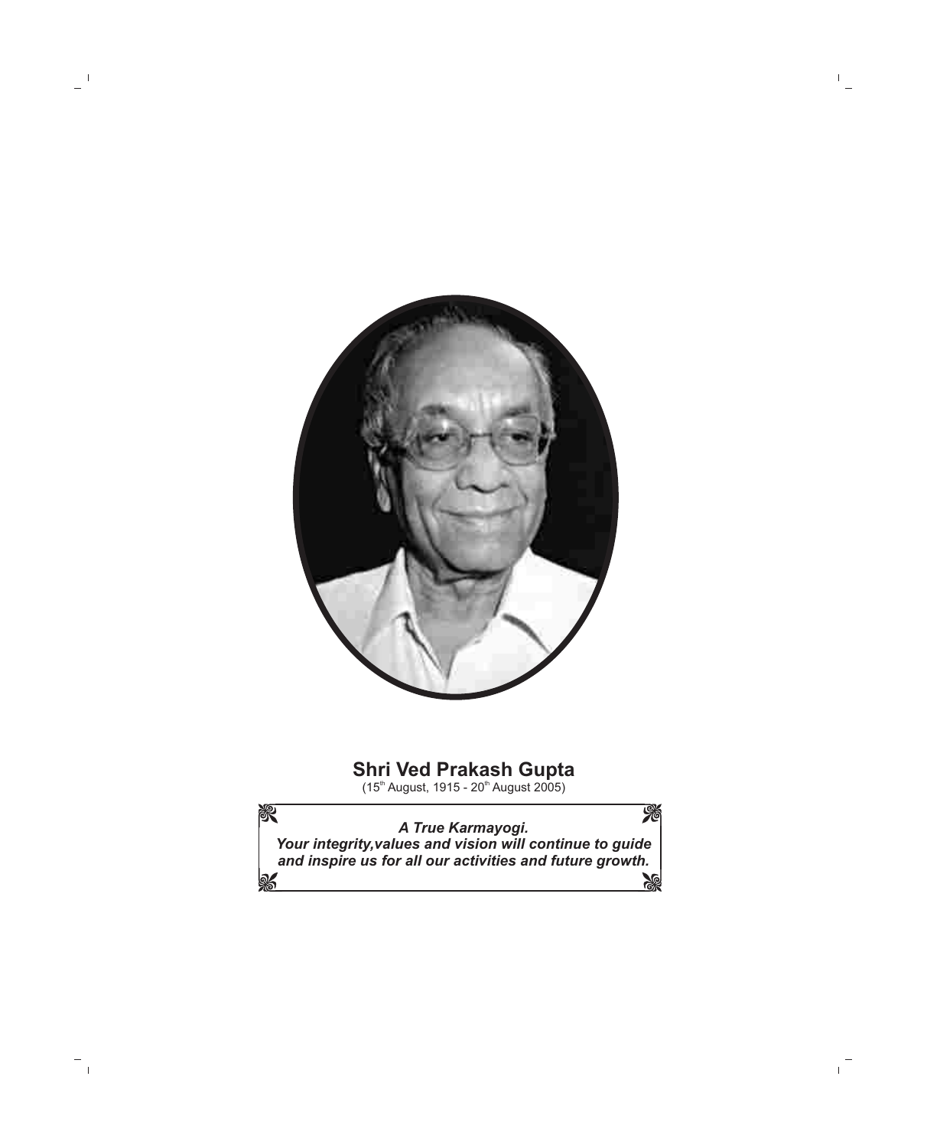

## **Shri Ved Prakash Gupta**

(15<sup>th</sup> August, 1915 - 20<sup>th</sup> August 2005)

% 资 *A True Karmayogi. Your integrity,values and vision will continue to guide and inspire us for all our activities and future growth.***RE**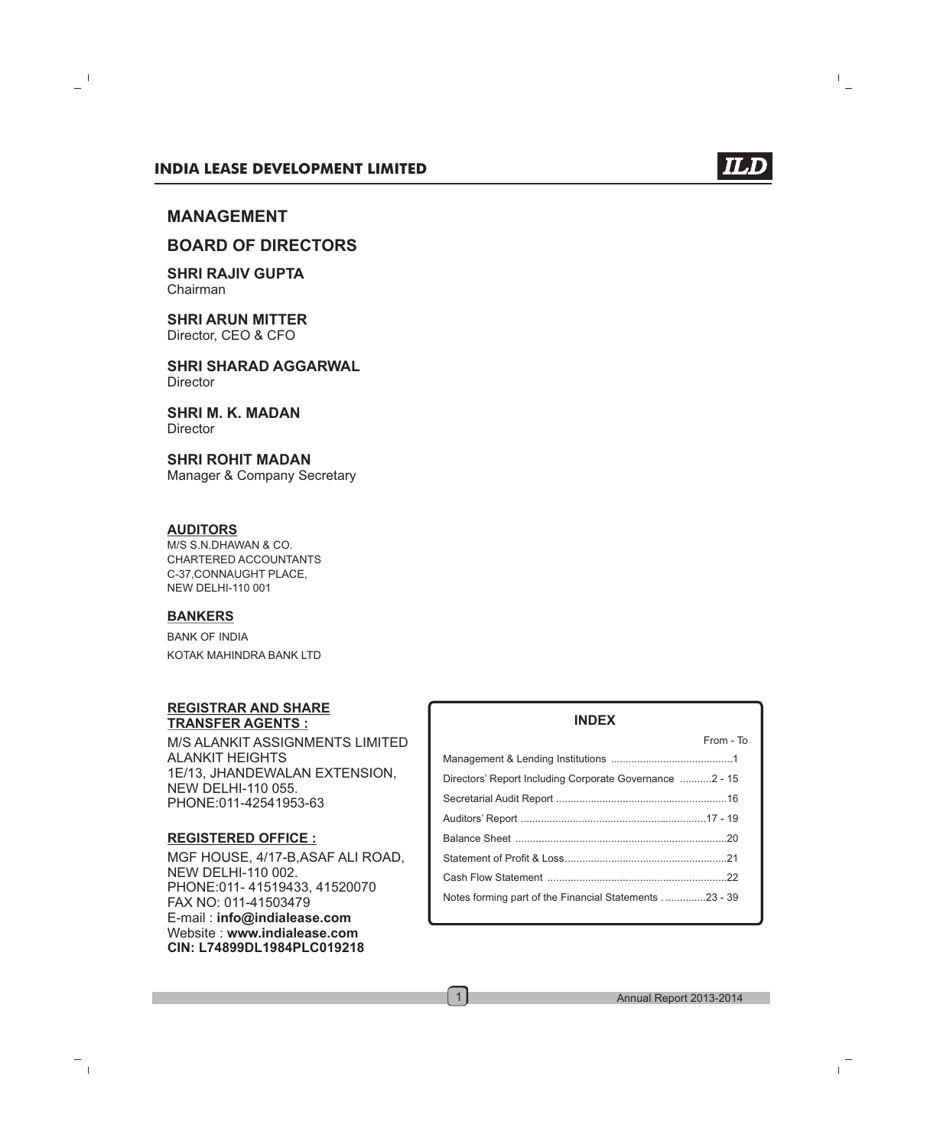

### **BOARD OF DIRECTORS**

**SHRI RAJIV GUPTA** Chairman

**SHRI ARUN MITTER**  Director, CEO & CFO

**SHRI SHARAD AGGARWAL Director** 

**SHRI M. K. MADAN Director** 

### **SHRI ROHIT MADAN**

Manager & Company Secretary

### **AUDITORS**

M/S S.N.DHAWAN & CO. CHARTERED ACCOUNTANTS C-37,CONNAUGHT PLACE, NEW DELHI-110 001

### **BANKERS**

BANK OF INDIA KOTAK MAHINDRA BANK LTD

#### **REGISTRAR AND SHARE TRANSFER AGENTS :**

M/S ALANKIT ASSIGNMENTS LIMITED ALANKIT HEIGHTS 1E/13, JHANDEWALAN EXTENSION, NEW DELHI-110 055. PHONE:011-42541953-63

#### **REGISTERED OFFICE :**

MGF HOUSE, 4/17-B,ASAF ALI ROAD, NEW DELHI-110 002. PHONE:011- 41519433, 41520070 FAX NO: 011-41503479 E-mail : **info@indialease.com** Website : **www.indialease.com CIN: L74899DL1984PLC019218**

### From - To Management & Lending Institutions ..........................................1 Directors' Report Including Corporate Governance ...........2 - 15 Secretarial Audit Report ...........................................................16 Auditors' Report ................................................................17 - 19 Balance Sheet .........................................................................20 Statement of Profit & Loss........................................................21 Cash Flow Statement ..............................................................22 Notes forming part of the Financial Statements . ..............23 - 39

**INDEX**

1

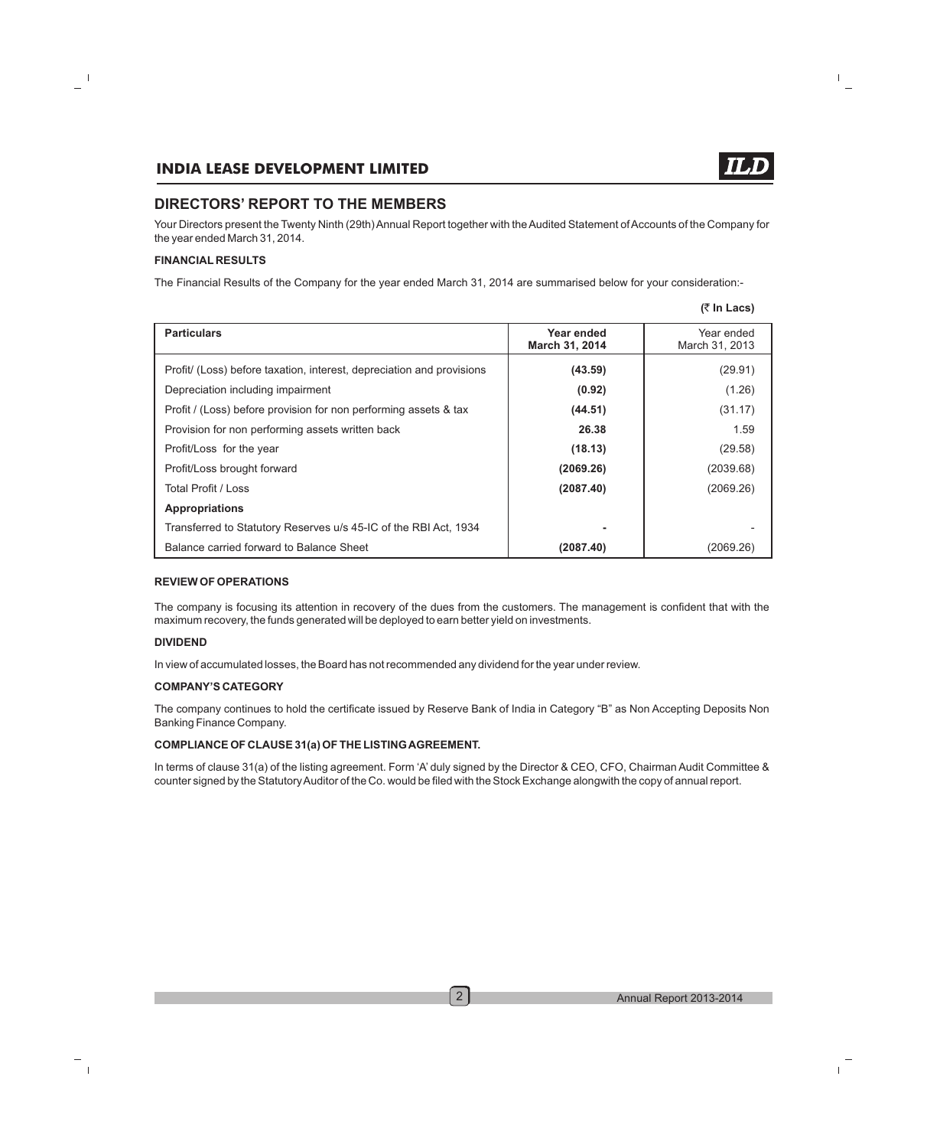### **DIRECTORS' REPORT TO THE MEMBERS**

Your Directors present the Twenty Ninth (29th) Annual Report together with the Audited Statement of Accounts of the Company for the year ended March 31, 2014.

#### **FINANCIAL RESULTS**

The Financial Results of the Company for the year ended March 31, 2014 are summarised below for your consideration:-

|  | (₹ In Lacs) |
|--|-------------|
|--|-------------|

| <b>Particulars</b>                                                    | Year ended<br>March 31, 2014 | Year ended<br>March 31, 2013 |
|-----------------------------------------------------------------------|------------------------------|------------------------------|
| Profit/ (Loss) before taxation, interest, depreciation and provisions | (43.59)                      | (29.91)                      |
| Depreciation including impairment                                     | (0.92)                       | (1.26)                       |
| Profit / (Loss) before provision for non performing assets & tax      | (44.51)                      | (31.17)                      |
| Provision for non performing assets written back                      | 26.38                        | 1.59                         |
| Profit/Loss for the year                                              | (18.13)                      | (29.58)                      |
| Profit/Loss brought forward                                           | (2069.26)                    | (2039.68)                    |
| Total Profit / Loss                                                   | (2087.40)                    | (2069.26)                    |
| <b>Appropriations</b>                                                 |                              |                              |
| Transferred to Statutory Reserves u/s 45-IC of the RBI Act, 1934      |                              |                              |
| Balance carried forward to Balance Sheet                              | (2087.40)                    | (2069.26)                    |

#### **REVIEW OF OPERATIONS**

The company is focusing its attention in recovery of the dues from the customers. The management is confident that with the maximum recovery, the funds generated will be deployed to earn better yield on investments.

#### **DIVIDEND**

In view of accumulated losses, the Board has not recommended any dividend for the year under review.

#### **COMPANY'S CATEGORY**

The company continues to hold the certificate issued by Reserve Bank of India in Category "B" as Non Accepting Deposits Non Banking Finance Company.

#### **COMPLIANCE OF CLAUSE 31(a) OF THE LISTING AGREEMENT.**

In terms of clause 31(a) of the listing agreement. Form 'A' duly signed by the Director & CEO, CFO, Chairman Audit Committee & counter signed by the Statutory Auditor of the Co. would be filed with the Stock Exchange alongwith the copy of annual report.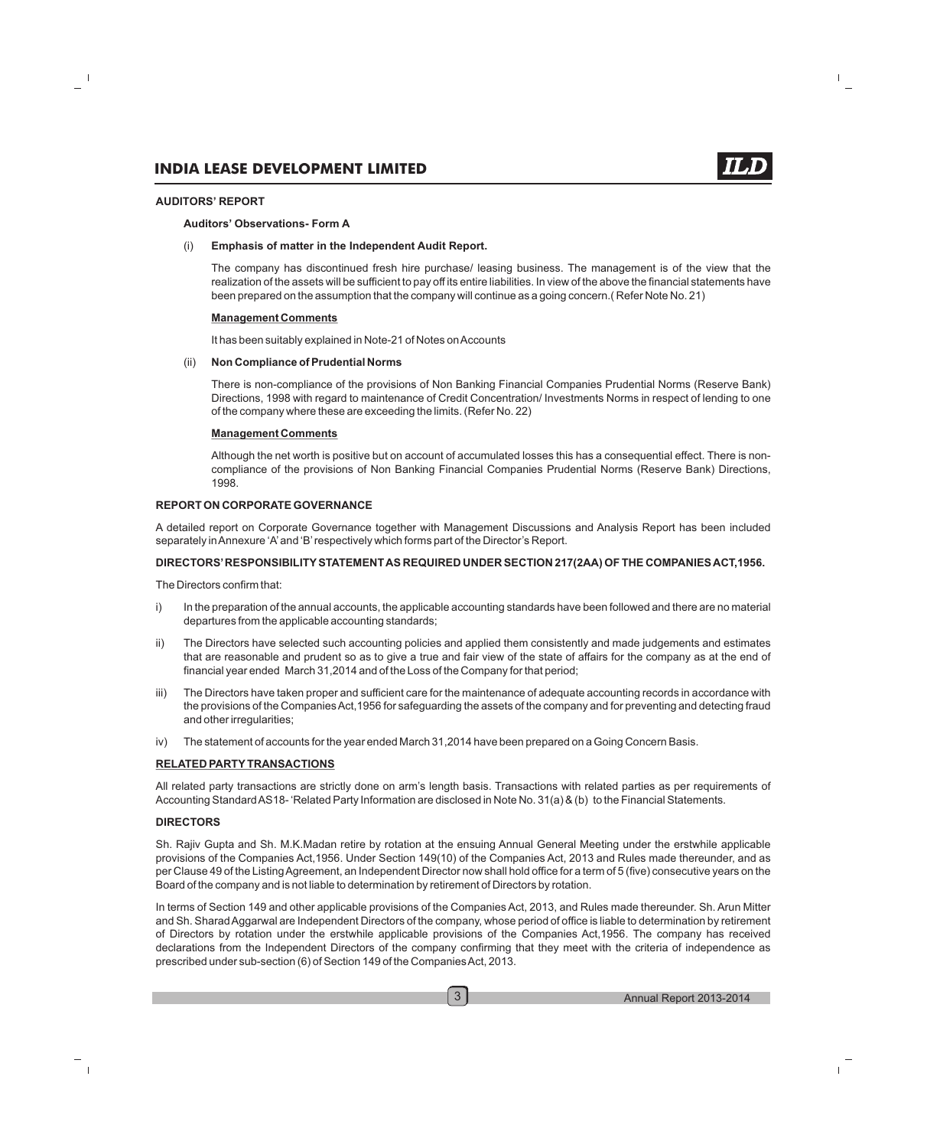#### **AUDITORS' REPORT**

#### **Auditors' Observations- Form A**

#### (i) **Emphasis of matter in the Independent Audit Report.**

The company has discontinued fresh hire purchase/ leasing business. The management is of the view that the realization of the assets will be sufficient to pay off its entire liabilities. In view of the above the financial statements have been prepared on the assumption that the company will continue as a going concern.( Refer Note No. 21)

#### **Management Comments**

It has been suitably explained in Note-21 of Notes on Accounts

#### (ii) **Non Compliance of Prudential Norms**

There is non-compliance of the provisions of Non Banking Financial Companies Prudential Norms (Reserve Bank) Directions, 1998 with regard to maintenance of Credit Concentration/ Investments Norms in respect of lending to one of the company where these are exceeding the limits. (Refer No. 22)

#### **Management Comments**

Although the net worth is positive but on account of accumulated losses this has a consequential effect. There is noncompliance of the provisions of Non Banking Financial Companies Prudential Norms (Reserve Bank) Directions, 1998.

#### **REPORT ON CORPORATE GOVERNANCE**

A detailed report on Corporate Governance together with Management Discussions and Analysis Report has been included separately in Annexure 'A'and 'B'respectively which forms part of the Director's Report.

#### **DIRECTORS'RESPONSIBILITYSTATEMENT AS REQUIRED UNDER SECTION 217(2AA) OF THE COMPANIES ACT,1956.**

The Directors confirm that:

- i) In the preparation of the annual accounts, the applicable accounting standards have been followed and there are no material departures from the applicable accounting standards;
- ii) The Directors have selected such accounting policies and applied them consistently and made judgements and estimates that are reasonable and prudent so as to give a true and fair view of the state of affairs for the company as at the end of financial year ended March 31,2014 and of the Loss of the Company for that period;
- iii) The Directors have taken proper and sufficient care for the maintenance of adequate accounting records in accordance with the provisions of the Companies Act,1956 for safeguarding the assets of the company and for preventing and detecting fraud and other irregularities;
- iv) The statement of accounts for the year ended March 31,2014 have been prepared on a Going Concern Basis.

#### **RELATED PARTYTRANSACTIONS**

All related party transactions are strictly done on arm's length basis. Transactions with related parties as per requirements of Accounting Standard AS18- 'Related Party Information are disclosed in Note No. 31(a) & (b) to the Financial Statements.

#### **DIRECTORS**

Sh. Rajiv Gupta and Sh. M.K.Madan retire by rotation at the ensuing Annual General Meeting under the erstwhile applicable provisions of the Companies Act,1956. Under Section 149(10) of the Companies Act, 2013 and Rules made thereunder, and as per Clause 49 of the Listing Agreement, an Independent Director now shall hold office for a term of 5 (five) consecutive years on the Board of the company and is not liable to determination by retirement of Directors by rotation.

In terms of Section 149 and other applicable provisions of the Companies Act, 2013, and Rules made thereunder. Sh. Arun Mitter and Sh. Sharad Aggarwal are Independent Directors of the company, whose period of office is liable to determination by retirement of Directors by rotation under the erstwhile applicable provisions of the Companies Act,1956. The company has received declarations from the Independent Directors of the company confirming that they meet with the criteria of independence as prescribed under sub-section (6) of Section 149 of the Companies Act, 2013.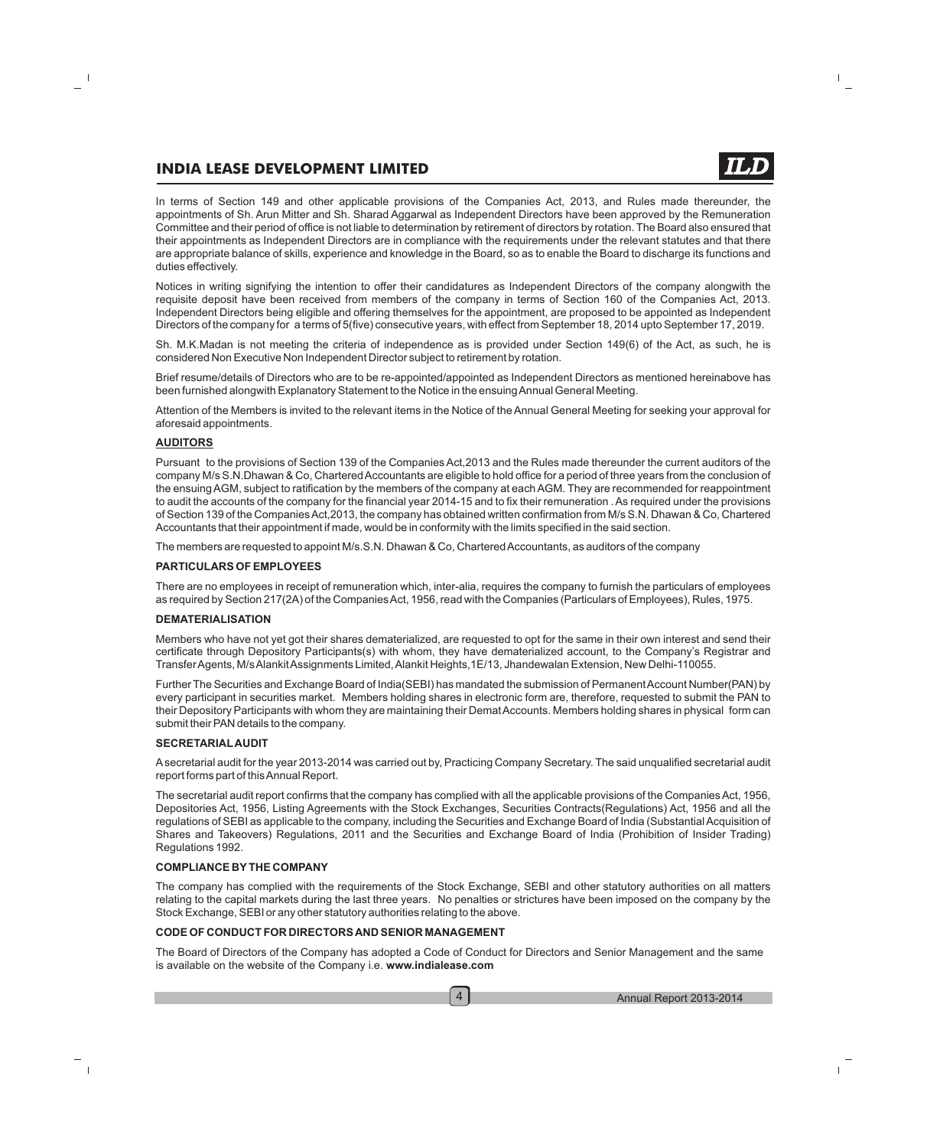In terms of Section 149 and other applicable provisions of the Companies Act, 2013, and Rules made thereunder, the appointments of Sh. Arun Mitter and Sh. Sharad Aggarwal as Independent Directors have been approved by the Remuneration Committee and their period of office is not liable to determination by retirement of directors by rotation. The Board also ensured that their appointments as Independent Directors are in compliance with the requirements under the relevant statutes and that there are appropriate balance of skills, experience and knowledge in the Board, so as to enable the Board to discharge its functions and duties effectively.

Notices in writing signifying the intention to offer their candidatures as Independent Directors of the company alongwith the requisite deposit have been received from members of the company in terms of Section 160 of the Companies Act, 2013. Independent Directors being eligible and offering themselves for the appointment, are proposed to be appointed as Independent Directors of the company for a terms of 5(five) consecutive years, with effect from September 18, 2014 upto September 17, 2019.

Sh. M.K.Madan is not meeting the criteria of independence as is provided under Section 149(6) of the Act, as such, he is considered Non Executive Non Independent Director subject to retirement by rotation.

Brief resume/details of Directors who are to be re-appointed/appointed as Independent Directors as mentioned hereinabove has been furnished alongwith Explanatory Statement to the Notice in the ensuing Annual General Meeting.

Attention of the Members is invited to the relevant items in the Notice of the Annual General Meeting for seeking your approval for aforesaid appointments.

#### **AUDITORS**

Pursuant to the provisions of Section 139 of the Companies Act,2013 and the Rules made thereunder the current auditors of the company M/s S.N.Dhawan & Co, Chartered Accountants are eligible to hold office for a period of three years from the conclusion of the ensuing AGM, subject to ratification by the members of the company at each AGM. They are recommended for reappointment to audit the accounts of the company for the financial year 2014-15 and to fix their remuneration . As required under the provisions of Section 139 of the Companies Act,2013, the company has obtained written confirmation from M/s S.N. Dhawan & Co, Chartered Accountants that their appointment if made, would be in conformity with the limits specified in the said section.

The members are requested to appoint M/s.S.N. Dhawan & Co, Chartered Accountants, as auditors of the company

#### **PARTICULARS OF EMPLOYEES**

There are no employees in receipt of remuneration which, inter-alia, requires the company to furnish the particulars of employees as required by Section 217(2A) of the Companies Act, 1956, read with the Companies (Particulars of Employees), Rules, 1975.

#### **DEMATERIALISATION**

Members who have not yet got their shares dematerialized, are requested to opt for the same in their own interest and send their certificate through Depository Participants(s) with whom, they have dematerialized account, to the Company's Registrar and Transfer Agents, M/s Alankit Assignments Limited, Alankit Heights,1E/13, Jhandewalan Extension, New Delhi-110055.

Further The Securities and Exchange Board of India(SEBI) has mandated the submission of Permanent Account Number(PAN) by every participant in securities market. Members holding shares in electronic form are, therefore, requested to submit the PAN to their Depository Participants with whom they are maintaining their Demat Accounts. Members holding shares in physical form can submit their PAN details to the company.

#### **SECRETARIALAUDIT**

Asecretarial audit for the year 2013-2014 was carried out by, Practicing Company Secretary. The said unqualified secretarial audit report forms part of this Annual Report.

The secretarial audit report confirms that the company has complied with all the applicable provisions of the Companies Act, 1956, Depositories Act, 1956, Listing Agreements with the Stock Exchanges, Securities Contracts(Regulations) Act, 1956 and all the regulations of SEBI as applicable to the company, including the Securities and Exchange Board of India (Substantial Acquisition of Shares and Takeovers) Regulations, 2011 and the Securities and Exchange Board of India (Prohibition of Insider Trading) Regulations 1992.

#### **COMPLIANCE BYTHE COMPANY**

The company has complied with the requirements of the Stock Exchange, SEBI and other statutory authorities on all matters relating to the capital markets during the last three years. No penalties or strictures have been imposed on the company by the Stock Exchange, SEBI or any other statutory authorities relating to the above.

#### **CODE OF CONDUCT FOR DIRECTORS AND SENIOR MANAGEMENT**

The Board of Directors of the Company has adopted a Code of Conduct for Directors and Senior Management and the same is available on the website of the Company i.e. **www.indialease.com**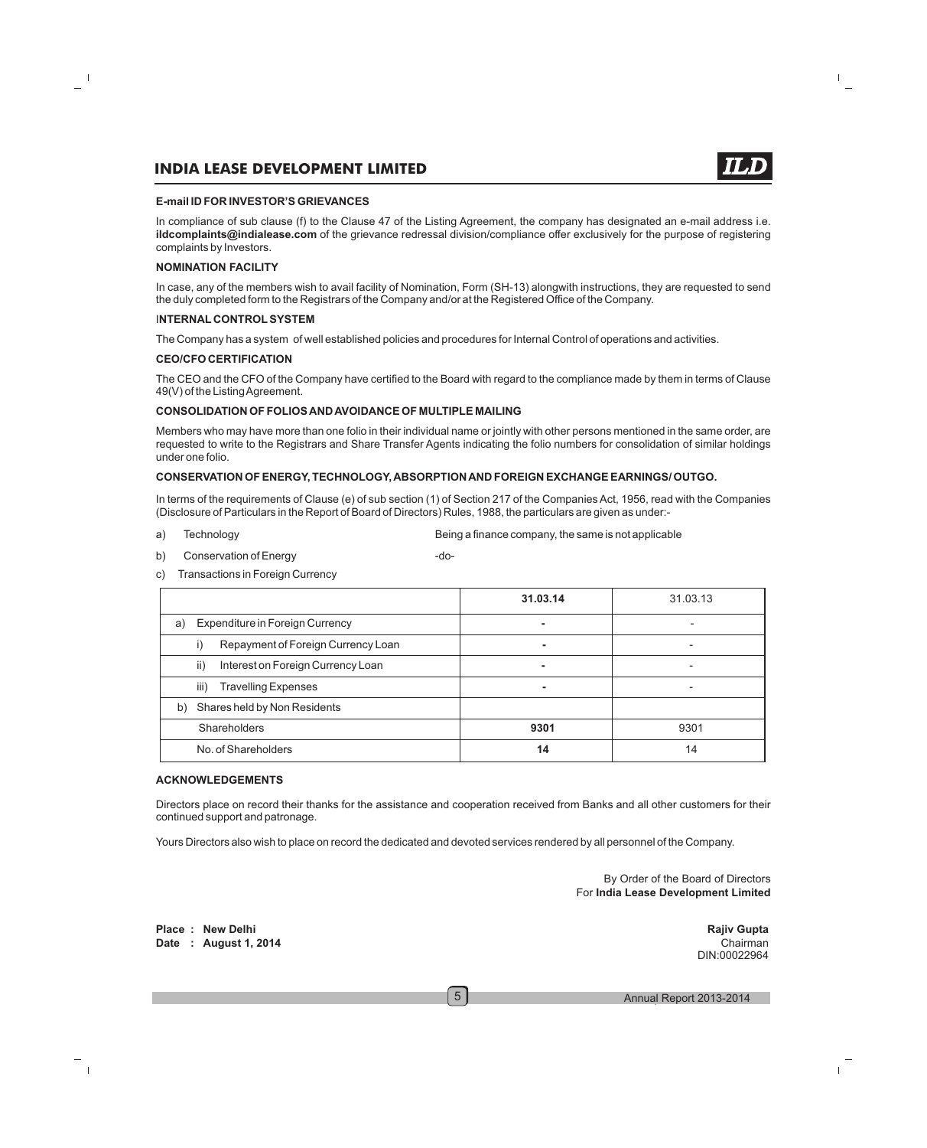

In compliance of sub clause (f) to the Clause 47 of the Listing Agreement, the company has designated an e-mail address i.e. **ildcomplaints@indialease.com** of the grievance redressal division/compliance offer exclusively for the purpose of registering complaints by Investors.

#### **NOMINATION FACILITY**

In case, any of the members wish to avail facility of Nomination, Form (SH-13) alongwith instructions, they are requested to send the duly completed form to the Registrars of the Company and/or at the Registered Office of the Company.

#### I**NTERNAL CONTROLSYSTEM**

The Company has a system of well established policies and procedures for Internal Control of operations and activities.

#### **CEO/CFO CERTIFICATION**

The CEO and the CFO of the Company have certified to the Board with regard to the compliance made by them in terms of Clause 49(V) of the Listing Agreement.

#### **CONSOLIDATION OF FOLIOS AND AVOIDANCE OF MULTIPLE MAILING**

Members who may have more than one folio in their individual name or jointly with other persons mentioned in the same order, are requested to write to the Registrars and Share Transfer Agents indicating the folio numbers for consolidation of similar holdings under one folio.

#### **CONSERVATION OF ENERGY, TECHNOLOGY, ABSORPTION AND FOREIGN EXCHANGE EARNINGS/ OUTGO.**

In terms of the requirements of Clause (e) of sub section (1) of Section 217 of the Companies Act, 1956, read with the Companies (Disclosure of Particulars in the Report of Board of Directors) Rules, 1988, the particulars are given as under:-

- a) Technology Being a finance company, the same is not applicable
- b) Conservation of Energy conservation of  $\blacksquare$

c) Transactions in Foreign Currency

|                                              | 31.03.14 | 31.03.13                 |
|----------------------------------------------|----------|--------------------------|
| <b>Expenditure in Foreign Currency</b><br>a) | ۰        |                          |
| Repayment of Foreign Currency Loan<br>$\Box$ | ۰        | $\overline{\phantom{0}}$ |
| ii)<br>Interest on Foreign Currency Loan     | ۰        |                          |
| iii)<br><b>Travelling Expenses</b>           | ۰        | $\overline{\phantom{0}}$ |
| Shares held by Non Residents<br>b)           |          |                          |
| <b>Shareholders</b>                          | 9301     | 9301                     |
| No. of Shareholders                          | 14       | 14                       |

#### **ACKNOWLEDGEMENTS**

Directors place on record their thanks for the assistance and cooperation received from Banks and all other customers for their continued support and patronage.

Yours Directors also wish to place on record the dedicated and devoted services rendered by all personnel of the Company.

By Order of the Board of Directors For **India Lease Development Limited**

Place : New Delhi Rajiv Gupta<br>
Rajiv Gupta<br>
Rajiv Gupta Rajiv Gupta Rajiv Gupta Rajiv Gupta Rajiv Gupta Rajiv Gupta Rajiv Gupta Rajiv Gupta Rajiv Gupta R **Date** : August 1, 2014

DIN:00022964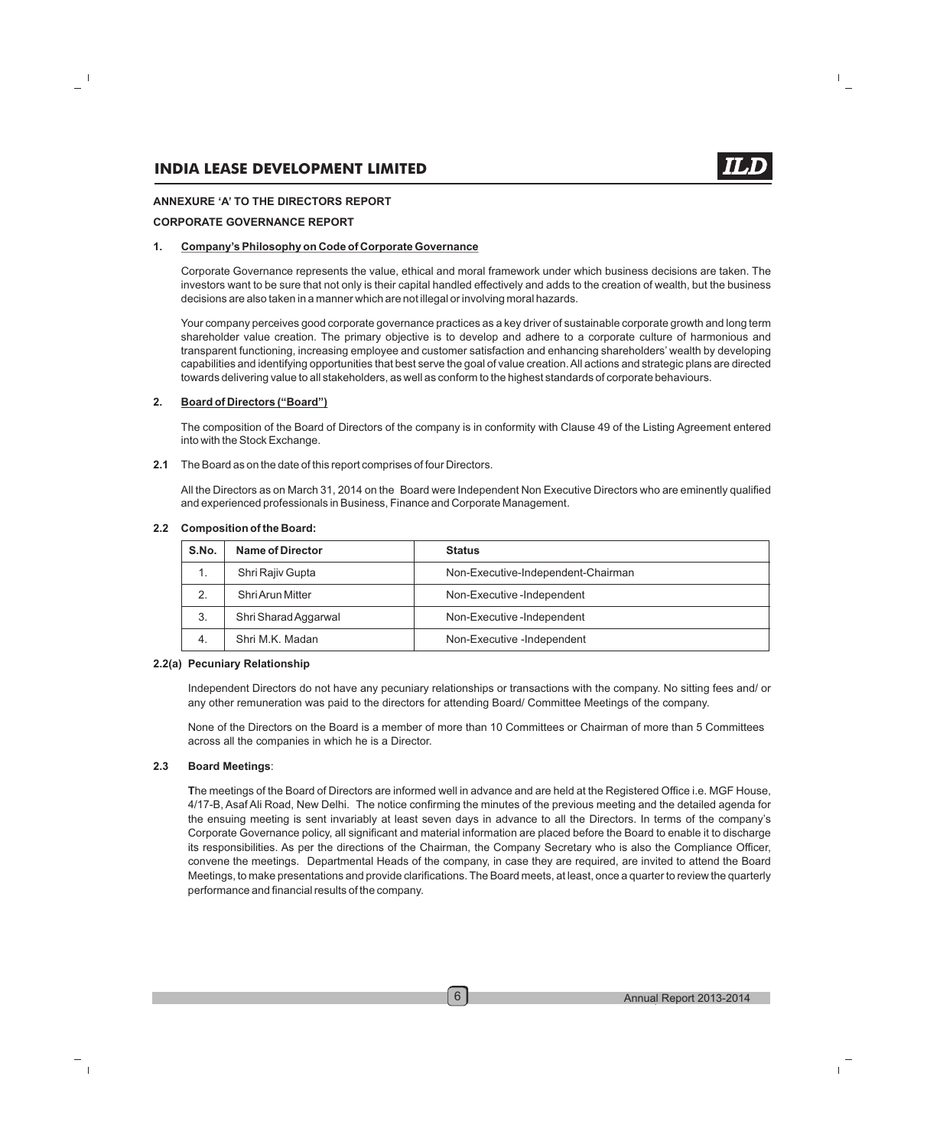#### **ANNEXURE 'A' TO THE DIRECTORS REPORT**

#### **CORPORATE GOVERNANCE REPORT**

#### **1. Company's Philosophy on Code of Corporate Governance**

Corporate Governance represents the value, ethical and moral framework under which business decisions are taken. The investors want to be sure that not only is their capital handled effectively and adds to the creation of wealth, but the business decisions are also taken in a manner which are not illegal or involving moral hazards.

Your company perceives good corporate governance practices as a key driver of sustainable corporate growth and long term shareholder value creation. The primary objective is to develop and adhere to a corporate culture of harmonious and transparent functioning, increasing employee and customer satisfaction and enhancing shareholders' wealth by developing capabilities and identifying opportunities that best serve the goal of value creation. All actions and strategic plans are directed towards delivering value to all stakeholders, as well as conform to the highest standards of corporate behaviours.

#### **2. Board of Directors ("Board")**

The composition of the Board of Directors of the company is in conformity with Clause 49 of the Listing Agreement entered into with the Stock Exchange.

**2.1** The Board as on the date of this report comprises of four Directors.

All the Directors as on March 31, 2014 on the Board were Independent Non Executive Directors who are eminently qualified and experienced professionals in Business, Finance and Corporate Management.

| S.No.          | Name of Director     | <b>Status</b>                      |
|----------------|----------------------|------------------------------------|
|                | Shri Rajiy Gupta     | Non-Executive-Independent-Chairman |
| $\overline{2}$ | Shri Arun Mitter     | Non-Executive-Independent          |
| 3.             | Shri Sharad Aggarwal | Non-Executive-Independent          |
| 4.             | Shri M.K. Madan      | Non-Executive -Independent         |

#### **2.2 Composition of the Board:**

#### **2.2(a) Pecuniary Relationship**

Independent Directors do not have any pecuniary relationships or transactions with the company. No sitting fees and/ or any other remuneration was paid to the directors for attending Board/ Committee Meetings of the company.

None of the Directors on the Board is a member of more than 10 Committees or Chairman of more than 5 Committees across all the companies in which he is a Director.

#### **2.3 Board Meetings**:

**T**he meetings of the Board of Directors are informed well in advance and are held at the Registered Office i.e. MGF House, 4/17-B, Asaf Ali Road, New Delhi. The notice confirming the minutes of the previous meeting and the detailed agenda for the ensuing meeting is sent invariably at least seven days in advance to all the Directors. In terms of the company's Corporate Governance policy, all significant and material information are placed before the Board to enable it to discharge its responsibilities. As per the directions of the Chairman, the Company Secretary who is also the Compliance Officer, convene the meetings. Departmental Heads of the company, in case they are required, are invited to attend the Board Meetings, to make presentations and provide clarifications. The Board meets, at least, once a quarter to review the quarterly performance and financial results of the company.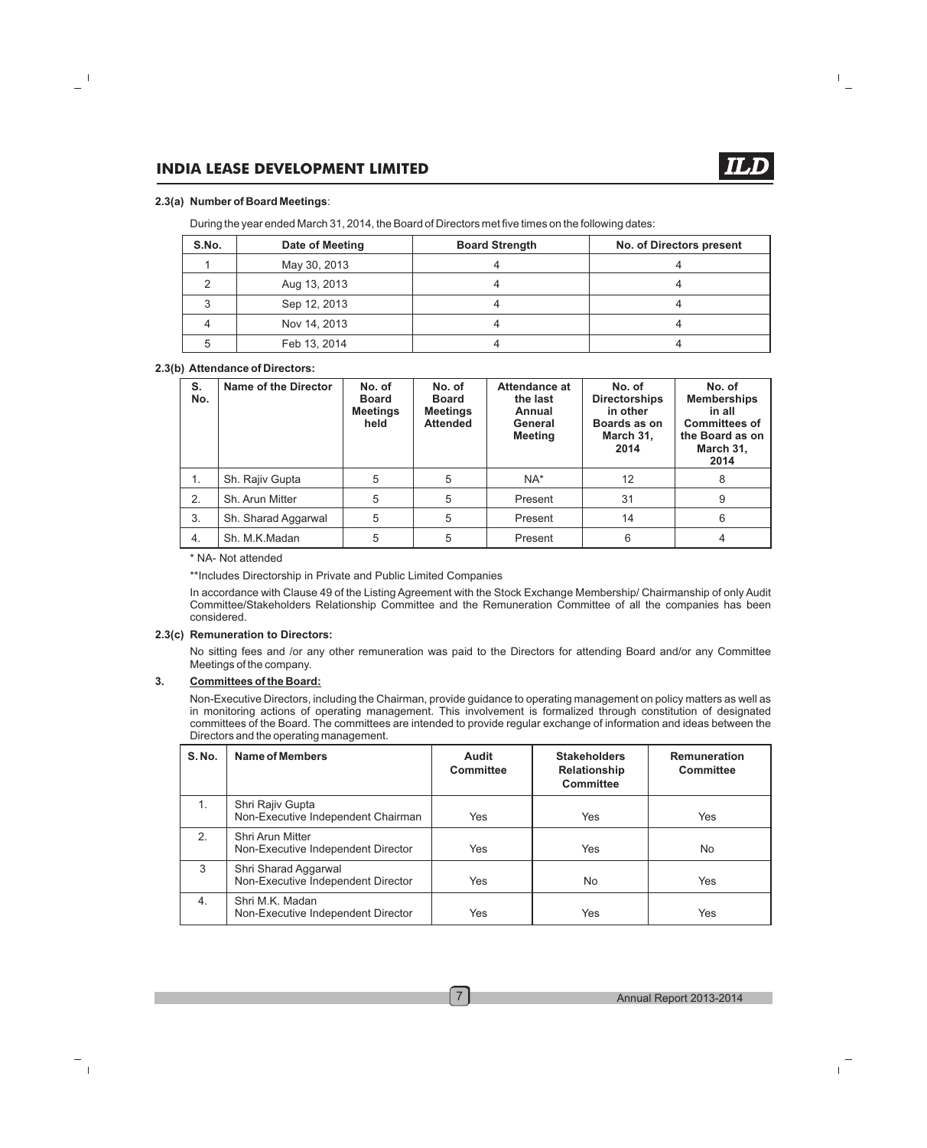#### **2.3(a) Number of Board Meetings**:

During the year ended March 31, 2014, the Board of Directors met five times on the following dates:

| S.No. | Date of Meeting | <b>Board Strength</b> | <b>No. of Directors present</b> |
|-------|-----------------|-----------------------|---------------------------------|
|       | May 30, 2013    |                       |                                 |
|       | Aug 13, 2013    |                       |                                 |
|       | Sep 12, 2013    |                       |                                 |
|       | Nov 14, 2013    |                       |                                 |
|       | Feb 13, 2014    |                       |                                 |

#### **2.3(b) Attendance of Directors:**

| S.<br>No. | Name of the Director | No. of<br><b>Board</b><br><b>Meetings</b><br>held | No. of<br><b>Board</b><br><b>Meetings</b><br><b>Attended</b> | Attendance at<br>the last<br>Annual<br>General<br><b>Meeting</b> | No. of<br><b>Directorships</b><br>in other<br>Boards as on<br>March 31,<br>2014 | No. of<br><b>Memberships</b><br>in all<br><b>Committees of</b><br>the Board as on<br>March 31,<br>2014 |
|-----------|----------------------|---------------------------------------------------|--------------------------------------------------------------|------------------------------------------------------------------|---------------------------------------------------------------------------------|--------------------------------------------------------------------------------------------------------|
| 1.        | Sh. Rajiv Gupta      | 5                                                 | 5                                                            | $NA^*$                                                           | 12                                                                              | 8                                                                                                      |
| 2.        | Sh. Arun Mitter      | 5                                                 | 5                                                            | Present                                                          | 31                                                                              | 9                                                                                                      |
| 3.        | Sh. Sharad Aggarwal  | 5                                                 | 5                                                            | Present                                                          | 14                                                                              | 6                                                                                                      |
| 4.        | Sh. M.K.Madan        | 5                                                 | 5                                                            | Present                                                          | 6                                                                               | 4                                                                                                      |

#### \* NA- Not attended

\*\*Includes Directorship in Private and Public Limited Companies

In accordance with Clause 49 of the Listing Agreement with the Stock Exchange Membership/ Chairmanship of only Audit Committee/Stakeholders Relationship Committee and the Remuneration Committee of all the companies has been considered.

#### **2.3(c) Remuneration to Directors:**

No sitting fees and /or any other remuneration was paid to the Directors for attending Board and/or any Committee Meetings of the company.

#### **3. Committees of the Board:**

Non-Executive Directors, including the Chairman, provide guidance to operating management on policy matters as well as in monitoring actions of operating management. This involvement is formalized through constitution of designated committees of the Board. The committees are intended to provide regular exchange of information and ideas between the Directors and the operating management.

| <b>S. No.</b> | Name of Members                                            | Audit<br><b>Committee</b> | <b>Stakeholders</b><br><b>Relationship</b><br><b>Committee</b> | <b>Remuneration</b><br><b>Committee</b> |
|---------------|------------------------------------------------------------|---------------------------|----------------------------------------------------------------|-----------------------------------------|
| 1.            | Shri Rajiv Gupta<br>Non-Executive Independent Chairman     | Yes                       | Yes                                                            | Yes                                     |
| 2.            | Shri Arun Mitter<br>Non-Executive Independent Director     | Yes                       | Yes                                                            | No.                                     |
| 3             | Shri Sharad Aggarwal<br>Non-Executive Independent Director | Yes                       | No                                                             | Yes                                     |
| 4.            | Shri M.K. Madan<br>Non-Executive Independent Director      | Yes                       | Yes                                                            | Yes                                     |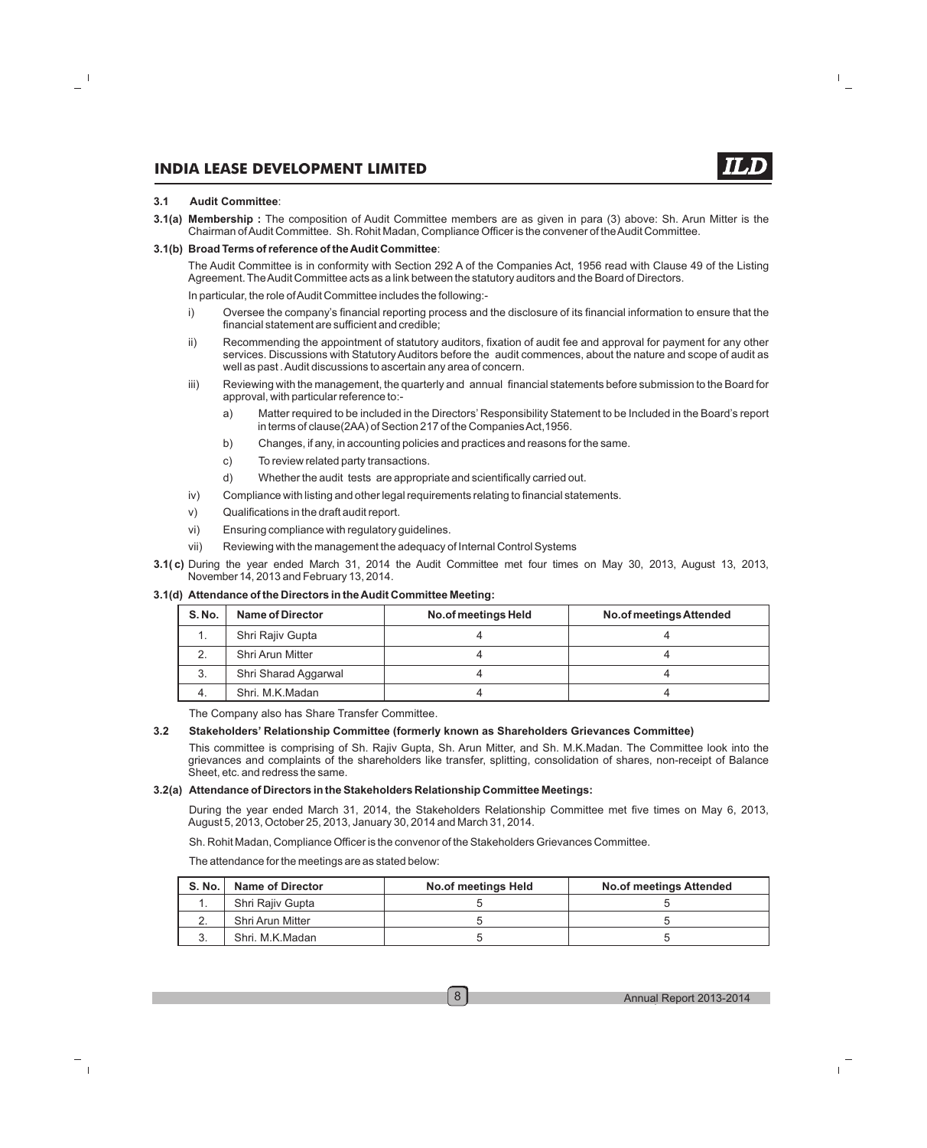#### **3.1 Audit Committee**:

**3.1(a) Membership :** The composition of Audit Committee members are as given in para (3) above: Sh. Arun Mitter is the Chairman of Audit Committee. Sh. Rohit Madan, Compliance Officer is the convener of the Audit Committee.

#### **3.1(b) Broad Terms of reference of the Audit Committee**:

The Audit Committee is in conformity with Section 292 A of the Companies Act, 1956 read with Clause 49 of the Listing Agreement. The Audit Committee acts as a link between the statutory auditors and the Board of Directors.

In particular, the role of Audit Committee includes the following:-

- i) Oversee the company's financial reporting process and the disclosure of its financial information to ensure that the financial statement are sufficient and credible;
- ii) Recommending the appointment of statutory auditors, fixation of audit fee and approval for payment for any other services. Discussions with Statutory Auditors before the audit commences, about the nature and scope of audit as well as past . Audit discussions to ascertain any area of concern.
- iii) Reviewing with the management, the quarterly and annual financial statements before submission to the Board for approval, with particular reference to:
	- a) Matter required to be included in the Directors' Responsibility Statement to be Included in the Board's report in terms of clause(2AA) of Section 217 of the Companies Act,1956.
	- b) Changes, if any, in accounting policies and practices and reasons for the same.
	- c) To review related party transactions.
	- d) Whether the audit tests are appropriate and scientifically carried out.
- iv) Compliance with listing and other legal requirements relating to financial statements.
- v) Qualifications in the draft audit report.
- vi) Ensuring compliance with regulatory guidelines.
- vii) Reviewing with the management the adequacy of Internal Control Systems
- **3.1( c)** During the year ended March 31, 2014 the Audit Committee met four times on May 30, 2013, August 13, 2013, November14, 2013 and February 13, 2014.

#### **3.1(d) Attendance of the Directors in the Audit Committee Meeting:**

| S. No. | Name of Director     | No.of meetings Held | No.of meetings Attended |
|--------|----------------------|---------------------|-------------------------|
|        | Shri Rajiv Gupta     |                     |                         |
| 2.     | Shri Arun Mitter     |                     |                         |
| 3.     | Shri Sharad Aggarwal |                     |                         |
| 4.     | Shri, M.K.Madan      |                     |                         |

The Company also has Share Transfer Committee.

#### **3.2 Stakeholders' Relationship Committee (formerly known as Shareholders Grievances Committee)**

This committee is comprising of Sh. Rajiv Gupta, Sh. Arun Mitter, and Sh. M.K.Madan. The Committee look into the grievances and complaints of the shareholders like transfer, splitting, consolidation of shares, non-receipt of Balance Sheet, etc. and redress the same.

#### **3.2(a) Attendance of Directors in the Stakeholders Relationship Committee Meetings:**

During the year ended March 31, 2014, the Stakeholders Relationship Committee met five times on May 6, 2013, August 5, 2013, October 25, 2013, January 30, 2014 and March 31, 2014.

Sh. Rohit Madan, Compliance Officer is the convenor of the Stakeholders Grievances Committee.

The attendance for the meetings are as stated below:

| <b>S. No.</b> | <b>Name of Director</b> | No.of meetings Held | <b>No.of meetings Attended</b> |
|---------------|-------------------------|---------------------|--------------------------------|
|               | Shri Raiiv Gupta        |                     |                                |
|               | Shri Arun Mitter        |                     |                                |
|               | Shri, M.K.Madan         |                     |                                |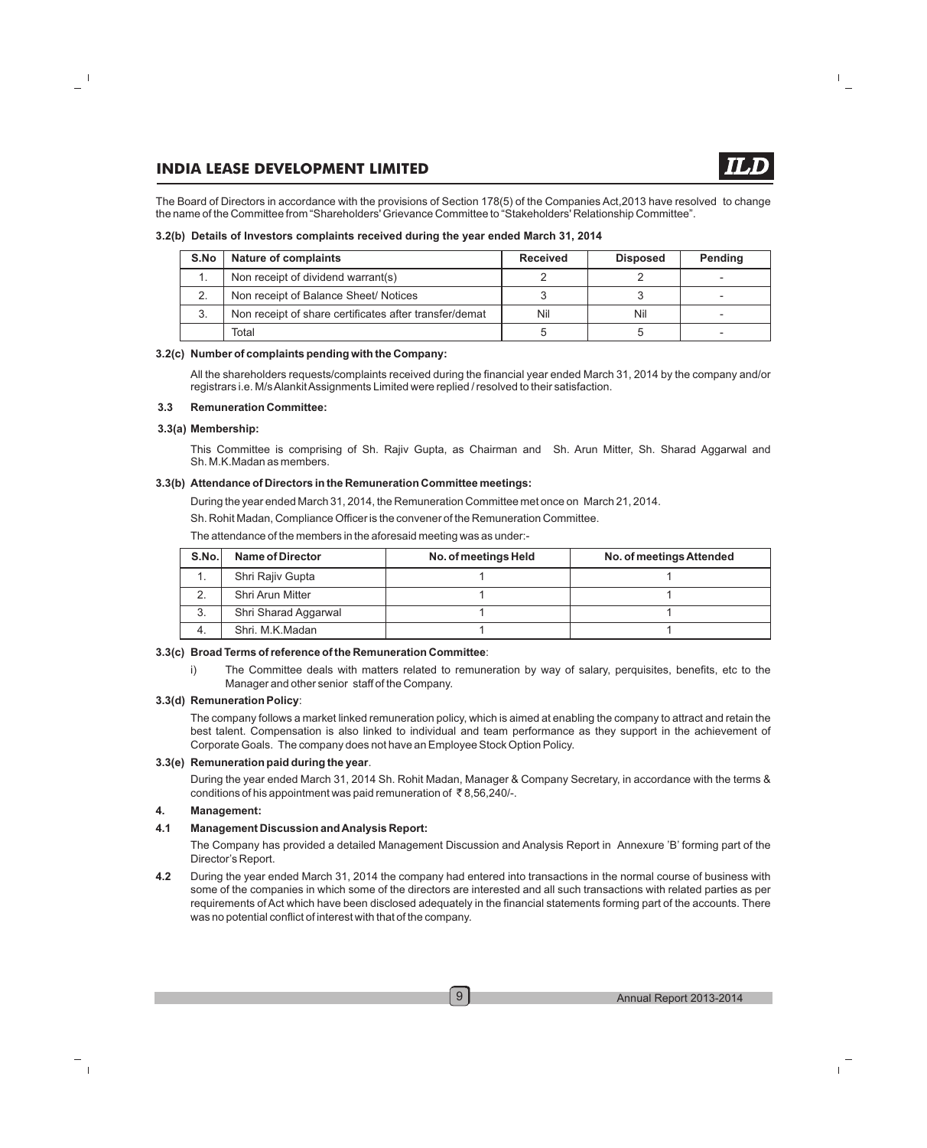The Board of Directors in accordance with the provisions of Section 178(5) of the Companies Act,2013 have resolved to change the name of the Committee from "Shareholders' Grievance Committee to "Stakeholders' Relationship Committee".

#### **3.2(b) Details of Investors complaints received during the year ended March 31, 2014**

| S.No | <b>Nature of complaints</b>                            | <b>Received</b> | <b>Disposed</b> | <b>Pending</b> |
|------|--------------------------------------------------------|-----------------|-----------------|----------------|
|      | Non receipt of dividend warrant(s)                     |                 |                 |                |
| 2.   | Non receipt of Balance Sheet/ Notices                  |                 |                 |                |
| 3.   | Non receipt of share certificates after transfer/demat | Nil             | Nil             |                |
|      | Total                                                  |                 |                 |                |

#### **3.2(c) Number of complaints pending with the Company:**

All the shareholders requests/complaints received during the financial year ended March 31, 2014 by the company and/or registrars i.e. M/s Alankit Assignments Limited were replied / resolved to their satisfaction.

#### **3.3 Remuneration Committee:**

#### **3.3(a) Membership:**

This Committee is comprising of Sh. Rajiv Gupta, as Chairman and Sh. Arun Mitter, Sh. Sharad Aggarwal and Sh. M.K.Madan as members.

#### **3.3(b) Attendance of Directors in the Remuneration Committee meetings:**

During the year ended March 31, 2014, the Remuneration Committee met once on March 21, 2014.

Sh. Rohit Madan, Compliance Officer is the convener of the Remuneration Committee.

The attendance of the members in the aforesaid meeting was as under:-

| S.No.        | Name of Director     | No. of meetings Held | No. of meetings Attended |
|--------------|----------------------|----------------------|--------------------------|
|              | Shri Rajiv Gupta     |                      |                          |
|              | Shri Arun Mitter     |                      |                          |
| $\sim$<br>o. | Shri Sharad Aggarwal |                      |                          |
| 4.           | Shri, M.K.Madan      |                      |                          |

#### **3.3(c) Broad Terms of reference of the Remuneration Committee**:

i) The Committee deals with matters related to remuneration by way of salary, perquisites, benefits, etc to the Manager and other senior staff of the Company.

#### **3.3(d) Remuneration Policy**:

The company follows a market linked remuneration policy, which is aimed at enabling the company to attract and retain the best talent. Compensation is also linked to individual and team performance as they support in the achievement of Corporate Goals. The company does not have an Employee Stock Option Policy.

#### **3.3(e) Remuneration paid during the year**.

During the year ended March 31, 2014 Sh. Rohit Madan, Manager & Company Secretary, in accordance with the terms & conditions of his appointment was paid remuneration of  $\bar{\tau}$ 8,56,240/-.

#### **4. Management:**

#### **4.1 Management Discussion and Analysis Report:**

The Company has provided a detailed Management Discussion and Analysis Report in Annexure 'B' forming part of the Director's Report.

**4.2** During the year ended March 31, 2014 the company had entered into transactions in the normal course of business with some of the companies in which some of the directors are interested and all such transactions with related parties as per requirements of Act which have been disclosed adequately in the financial statements forming part of the accounts. There was no potential conflict of interest with that of the company.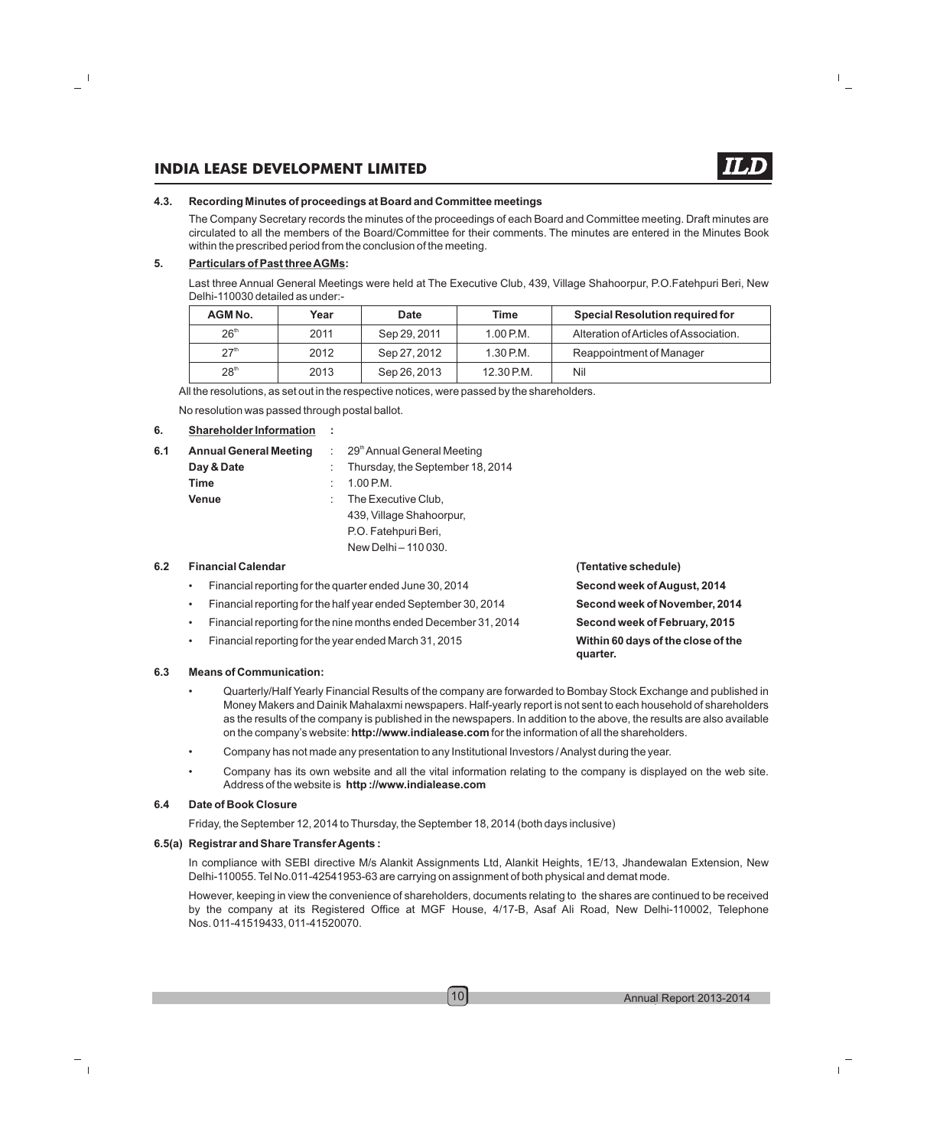#### **4.3. Recording Minutes of proceedings at Board and Committee meetings**

The Company Secretary records the minutes of the proceedings of each Board and Committee meeting. Draft minutes are circulated to all the members of the Board/Committee for their comments. The minutes are entered in the Minutes Book within the prescribed period from the conclusion of the meeting.

#### **5. Particulars of Past three AGMs:**

Last three Annual General Meetings were held at The Executive Club, 439, Village Shahoorpur, P.O.Fatehpuri Beri, New Delhi-110030 detailed as under:-

| AGM No.          | Year | <b>Date</b>  | <b>Time</b> | <b>Special Resolution required for</b> |
|------------------|------|--------------|-------------|----------------------------------------|
| 26 <sup>th</sup> | 2011 | Sep 29, 2011 | 1.00 P.M.   | Alteration of Articles of Association. |
| 27 <sup>th</sup> | 2012 | Sep 27, 2012 | $1.30$ P.M. | Reappointment of Manager               |
| 28 <sup>th</sup> | 2013 | Sep 26, 2013 | 12.30 P.M.  | Nil                                    |

All the resolutions, as set out in the respective notices, were passed by the shareholders.

No resolution was passed through postal ballot.

#### **6. Shareholder Information :**

| 6.1 | <b>Annual General Meeting</b> | $\therefore$ 29 <sup>th</sup> Annual General Meeting |
|-----|-------------------------------|------------------------------------------------------|
|     | Day & Date                    | : Thursday, the September 18, 2014                   |
|     | Time                          | 1.00 P.M.                                            |
|     | <b>Venue</b>                  | The Executive Club,                                  |
|     |                               | 439, Village Shahoorpur,                             |
|     |                               | P.O. Fatehpuri Beri,                                 |
|     |                               | New Delhi - 110 030.                                 |
|     |                               |                                                      |

#### **6.2 Financial Calendar (Tentative schedule)**

| Financial reporting for the quarter ended June 30, 2014         | Second week of August, 2014                    |
|-----------------------------------------------------------------|------------------------------------------------|
| Financial reporting for the half year ended September 30, 2014  | Second week of November, 2014                  |
| Financial reporting for the nine months ended December 31, 2014 | Second week of February, 2015                  |
| Financial reporting for the year ended March 31, 2015           | Within 60 days of the close of the<br>quarter. |

#### **6.3 Means of Communication:**

- Quarterly/Half Yearly Financial Results of the company are forwarded to Bombay Stock Exchange and published in Money Makers and Dainik Mahalaxmi newspapers. Half-yearly report is not sent to each household of shareholders as the results of the company is published in the newspapers. In addition to the above, the results are also available on the company's website: **http://www.indialease.com** for the information of all the shareholders.
- Company has not made any presentation to any Institutional Investors / Analyst during the year.
- Company has its own website and all the vital information relating to the company is displayed on the web site. Address of the website is **http ://www.indialease.com**

#### **6.4 Date of Book Closure**

Friday, the September 12, 2014 to Thursday, the September 18, 2014 (both days inclusive)

#### **6.5(a) Registrar and Share Transfer Agents :**

In compliance with SEBI directive M/s Alankit Assignments Ltd, Alankit Heights, 1E/13, Jhandewalan Extension, New Delhi-110055. Tel No.011-42541953-63 are carrying on assignment of both physical and demat mode.

However, keeping in view the convenience of shareholders, documents relating to the shares are continued to be received by the company at its Registered Office at MGF House, 4/17-B, Asaf Ali Road, New Delhi-110002, Telephone Nos. 011-41519433, 011-41520070.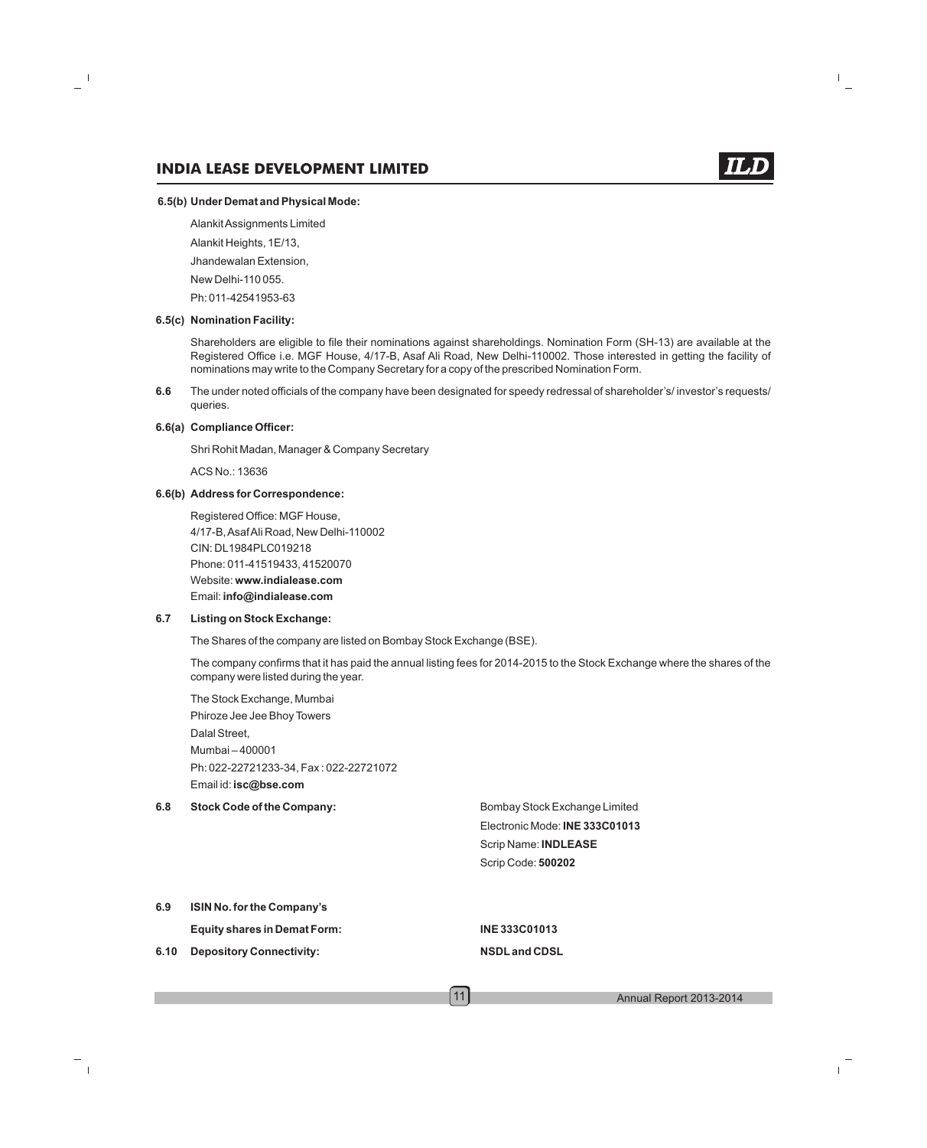#### **6.5(b) Under Demat and Physical Mode:**

Alankit Assignments Limited

Alankit Heights, 1E/13,

Jhandewalan Extension,

New Delhi-110 055.

Ph: 011-42541953-63

#### **6.5(c) Nomination Facility:**

Shareholders are eligible to file their nominations against shareholdings. Nomination Form (SH-13) are available at the Registered Office i.e. MGF House, 4/17-B, Asaf Ali Road, New Delhi-110002. Those interested in getting the facility of nominations may write to the Company Secretary for a copy of the prescribed Nomination Form.

**6.6** The under noted officials of the company have been designated for speedy redressal of shareholder's/ investor's requests/ queries.

#### **6.6(a) Compliance Officer:**

Shri Rohit Madan, Manager & Company Secretary

ACS No.: 13636

#### **6.6(b) Address for Correspondence:**

Registered Office: MGF House, 4/17-B, Asaf Ali Road, New Delhi-110002 CIN: DL1984PLC019218 Phone: 011-41519433, 41520070 Website: **www.indialease.com**  Email: **info@indialease.com**

#### **6.7 Listing on Stock Exchange:**

The Shares of the company are listed on Bombay Stock Exchange (BSE).

The company confirms that it has paid the annual listing fees for 2014-2015 to the Stock Exchange where the shares of the company were listed during the year.

The Stock Exchange, Mumbai Phiroze Jee Jee Bhoy Towers Dalal Street, Mumbai – 400001 Ph: 022-22721233-34, Fax : 022-22721072 Email id: **isc@bse.com**

**6.8 Stock Code of the Company:** Bombay Stock Exchange Limited

Electronic Mode: **INE 333C01013** Scrip Name: **INDLEASE** Scrip Code: **500202**

**6.9 ISIN No. for the Company's**

**Equity shares in Demat Form: INE 333C01013**

**6.10 Depository Connectivity: NSDLand CDSL**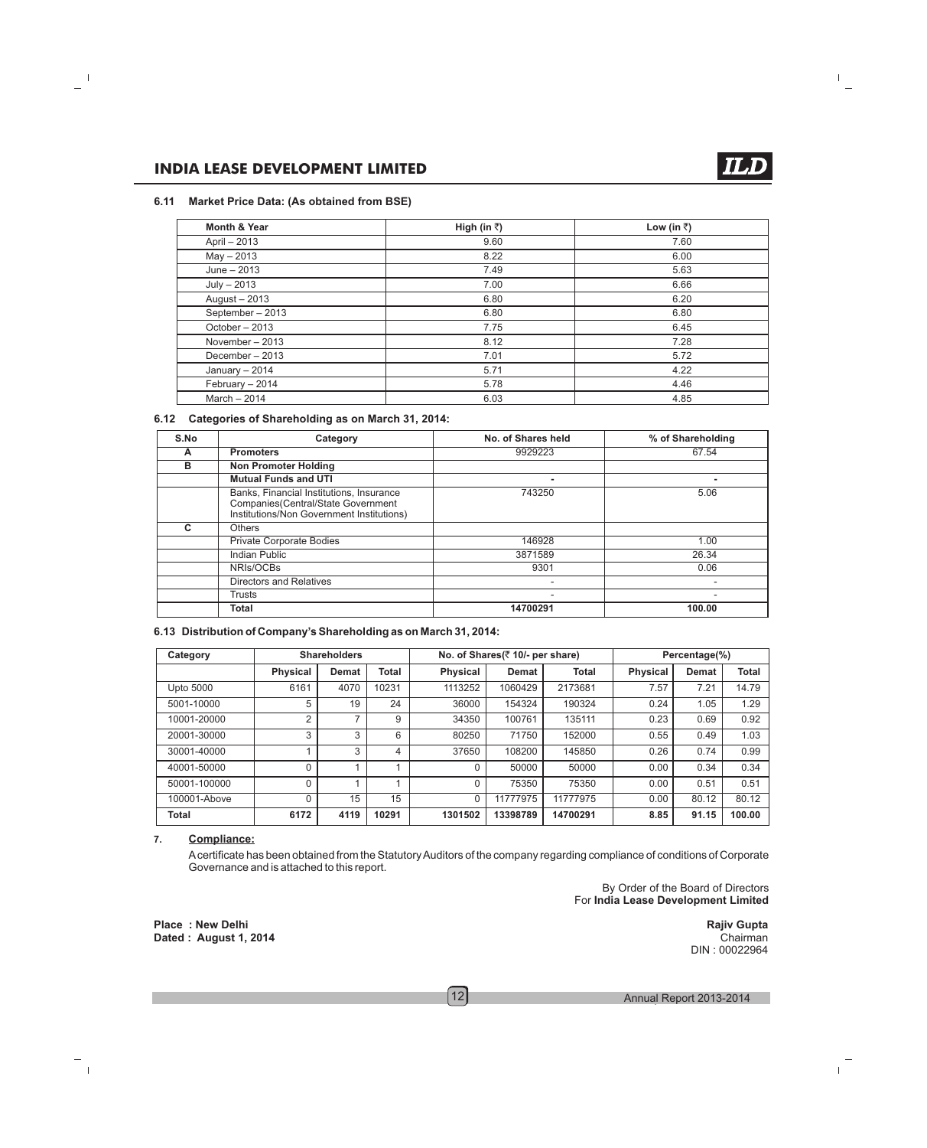#### **6.11 Market Price Data: (As obtained from BSE)**

| <b>Month &amp; Year</b> | High (in ₹) | Low (in ₹) |
|-------------------------|-------------|------------|
| April - 2013            | 9.60        | 7.60       |
| $May - 2013$            | 8.22        | 6.00       |
| June $-2013$            | 7.49        | 5.63       |
| $July - 2013$           | 7.00        | 6.66       |
| August - 2013           | 6.80        | 6.20       |
| September-2013          | 6.80        | 6.80       |
| October - 2013          | 7.75        | 6.45       |
| November $-2013$        | 8.12        | 7.28       |
| December - 2013         | 7.01        | 5.72       |
| January $-2014$         | 5.71        | 4.22       |
| February - 2014         | 5.78        | 4.46       |
| March $-2014$           | 6.03        | 4.85       |

#### **6.12 Categories of Shareholding as on March 31, 2014:**

| S.No | Category                                                                                                                    | No. of Shares held       | % of Shareholding |
|------|-----------------------------------------------------------------------------------------------------------------------------|--------------------------|-------------------|
| A    | <b>Promoters</b>                                                                                                            | 9929223                  | 67.54             |
| в    | <b>Non Promoter Holding</b>                                                                                                 |                          |                   |
|      | <b>Mutual Funds and UTI</b>                                                                                                 | ۰                        |                   |
|      | Banks, Financial Institutions, Insurance<br>Companies(Central/State Government<br>Institutions/Non Government Institutions) | 743250                   | 5.06              |
| c    | <b>Others</b>                                                                                                               |                          |                   |
|      | <b>Private Corporate Bodies</b>                                                                                             | 146928                   | 1.00              |
|      | <b>Indian Public</b>                                                                                                        | 3871589                  | 26.34             |
|      | NRIs/OCBs                                                                                                                   | 9301                     | 0.06              |
|      | Directors and Relatives                                                                                                     | $\overline{\phantom{a}}$ |                   |
|      | Trusts                                                                                                                      | ٠                        | -                 |
|      | Total                                                                                                                       | 14700291                 | 100.00            |

#### **6.13 Distribution of Company's Shareholding as on March 31, 2014:**

| <b>Shareholders</b><br>Category |                 |       | No. of Shares(₹ 10/- per share) |                 |              | Percentage(%) |                 |              |              |
|---------------------------------|-----------------|-------|---------------------------------|-----------------|--------------|---------------|-----------------|--------------|--------------|
|                                 | <b>Physical</b> | Demat | Total                           | <b>Physical</b> | <b>Demat</b> | <b>Total</b>  | <b>Physical</b> | <b>Demat</b> | <b>Total</b> |
| Upto 5000                       | 6161            | 4070  | 10231                           | 1113252         | 1060429      | 2173681       | 7.57            | 7.21         | 14.79        |
| 5001-10000                      | 5               | 19    | 24                              | 36000           | 154324       | 190324        | 0.24            | 1.05         | 1.29         |
| 10001-20000                     | 2               | 7     | 9                               | 34350           | 100761       | 135111        | 0.23            | 0.69         | 0.92         |
| 20001-30000                     | 3               | 3     | 6                               | 80250           | 71750        | 152000        | 0.55            | 0.49         | 1.03         |
| 30001-40000                     |                 | 3     | 4                               | 37650           | 108200       | 145850        | 0.26            | 0.74         | 0.99         |
| 40001-50000                     | 0               |       |                                 | 0               | 50000        | 50000         | 0.00            | 0.34         | 0.34         |
| 50001-100000                    | 0               |       |                                 | $\Omega$        | 75350        | 75350         | 0.00            | 0.51         | 0.51         |
| 100001-Above                    | 0               | 15    | 15                              | 0               | 11777975     | 11777975      | 0.00            | 80.12        | 80.12        |
| Total                           | 6172            | 4119  | 10291                           | 1301502         | 13398789     | 14700291      | 8.85            | 91.15        | 100.00       |

#### **7. Compliance:**

Acertificate has been obtained from the Statutory Auditors of the company regarding compliance of conditions of Corporate Governance and is attached to this report.

> By Order of the Board of Directors For **India Lease Development Limited**

> > DIN : 00022964

Place : New Delhi **Rajiv Gupta Place : New Delhi** Place : New Delhi Place in the Rajiv Gupta Rajiv Gupta Rajiv Gupta<br>
Dated : August 1, 2014 **Dated : August 1, 2014** 

 $\left[12\right]$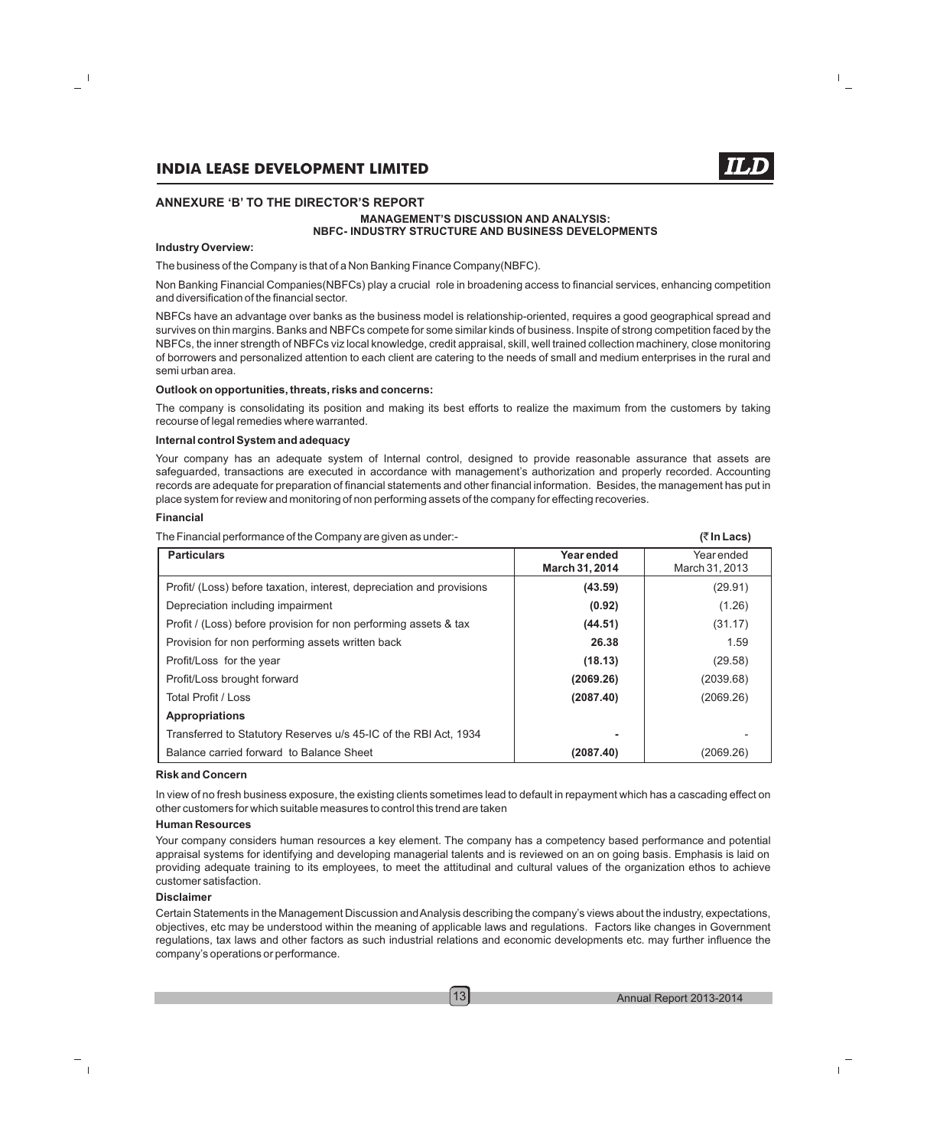#### **MANAGEMENT'S DISCUSSION AND ANALYSIS: NBFC- INDUSTRY STRUCTURE AND BUSINESS DEVELOPMENTS**

#### **Industry Overview:**

#### The business of the Company is that of a Non Banking Finance Company(NBFC).

Non Banking Financial Companies(NBFCs) play a crucial role in broadening access to financial services, enhancing competition and diversification of the financial sector.

NBFCs have an advantage over banks as the business model is relationship-oriented, requires a good geographical spread and survives on thin margins. Banks and NBFCs compete for some similar kinds of business. Inspite of strong competition faced by the NBFCs, the inner strength of NBFCs viz local knowledge, credit appraisal, skill, well trained collection machinery, close monitoring of borrowers and personalized attention to each client are catering to the needs of small and medium enterprises in the rural and semi urban area.

#### **Outlook on opportunities, threats, risks and concerns:**

The company is consolidating its position and making its best efforts to realize the maximum from the customers by taking recourse of legal remedies where warranted.

#### **Internal control System and adequacy**

Your company has an adequate system of Internal control, designed to provide reasonable assurance that assets are safeguarded, transactions are executed in accordance with management's authorization and properly recorded. Accounting records are adequate for preparation of financial statements and other financial information. Besides, the management has put in place system for review and monitoring of non performing assets of the company for effecting recoveries.

#### **Financial**

The Financial performance of the Company are given as under:- **(**` **In Lacs)**

| THE FINANCIAL POTTOM RUCE OF LITE OUTHPAILY AIR GIVEN AS UNDER.<br>$111$ - 2003 |                                     |                              |  |  |
|---------------------------------------------------------------------------------|-------------------------------------|------------------------------|--|--|
| <b>Particulars</b>                                                              | <b>Year ended</b><br>March 31, 2014 | Year ended<br>March 31, 2013 |  |  |
| Profit/ (Loss) before taxation, interest, depreciation and provisions           | (43.59)                             | (29.91)                      |  |  |
| Depreciation including impairment                                               | (0.92)                              | (1.26)                       |  |  |
| Profit / (Loss) before provision for non performing assets & tax                | (44.51)                             | (31.17)                      |  |  |
| Provision for non performing assets written back                                | 26.38                               | 1.59                         |  |  |
| Profit/Loss for the year                                                        | (18.13)                             | (29.58)                      |  |  |
| Profit/Loss brought forward                                                     | (2069.26)                           | (2039.68)                    |  |  |
| Total Profit / Loss                                                             | (2087.40)                           | (2069.26)                    |  |  |
| <b>Appropriations</b>                                                           |                                     |                              |  |  |
| Transferred to Statutory Reserves u/s 45-IC of the RBI Act, 1934                |                                     |                              |  |  |
| Balance carried forward to Balance Sheet                                        | (2087.40)                           | (2069.26)                    |  |  |

#### **Risk and Concern**

In view of no fresh business exposure, the existing clients sometimes lead to default in repayment which has a cascading effect on other customers for which suitable measures to control this trend are taken

#### **Human Resources**

Your company considers human resources a key element. The company has a competency based performance and potential appraisal systems for identifying and developing managerial talents and is reviewed on an on going basis. Emphasis is laid on providing adequate training to its employees, to meet the attitudinal and cultural values of the organization ethos to achieve customer satisfaction.

#### **Disclaimer**

Certain Statements in the Management Discussion and Analysis describing the company's views about the industry, expectations, objectives, etc may be understood within the meaning of applicable laws and regulations. Factors like changes in Government regulations, tax laws and other factors as such industrial relations and economic developments etc. may further influence the company's operations or performance.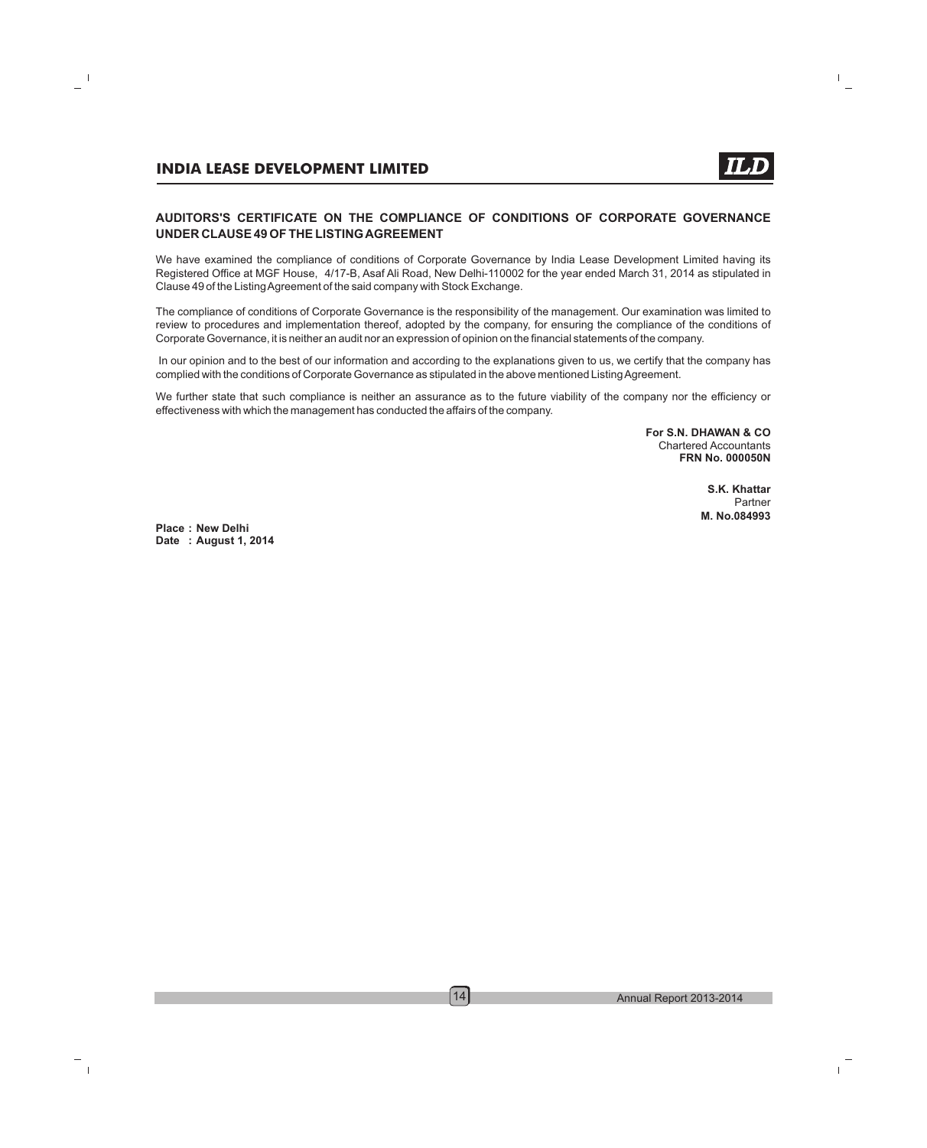### **AUDITORS'S CERTIFICATE ON THE COMPLIANCE OF CONDITIONS OF CORPORATE GOVERNANCE UNDER CLAUSE 49 OF THE LISTING AGREEMENT**

We have examined the compliance of conditions of Corporate Governance by India Lease Development Limited having its Registered Office at MGF House, 4/17-B, Asaf Ali Road, New Delhi-110002 for the year ended March 31, 2014 as stipulated in Clause 49 of the Listing Agreement of the said company with Stock Exchange.

The compliance of conditions of Corporate Governance is the responsibility of the management. Our examination was limited to review to procedures and implementation thereof, adopted by the company, for ensuring the compliance of the conditions of Corporate Governance, it is neither an audit nor an expression of opinion on the financial statements of the company.

In our opinion and to the best of our information and according to the explanations given to us, we certify that the company has complied with the conditions of Corporate Governance as stipulated in the above mentioned Listing Agreement.

We further state that such compliance is neither an assurance as to the future viability of the company nor the efficiency or effectiveness with which the management has conducted the affairs of the company.

> **For S.N. DHAWAN & CO** Chartered Accountants **FRN No. 000050N**

> > **S.K. Khattar** Partner **M. No.084993**

**Place : New Delhi Date : August 1, 2014**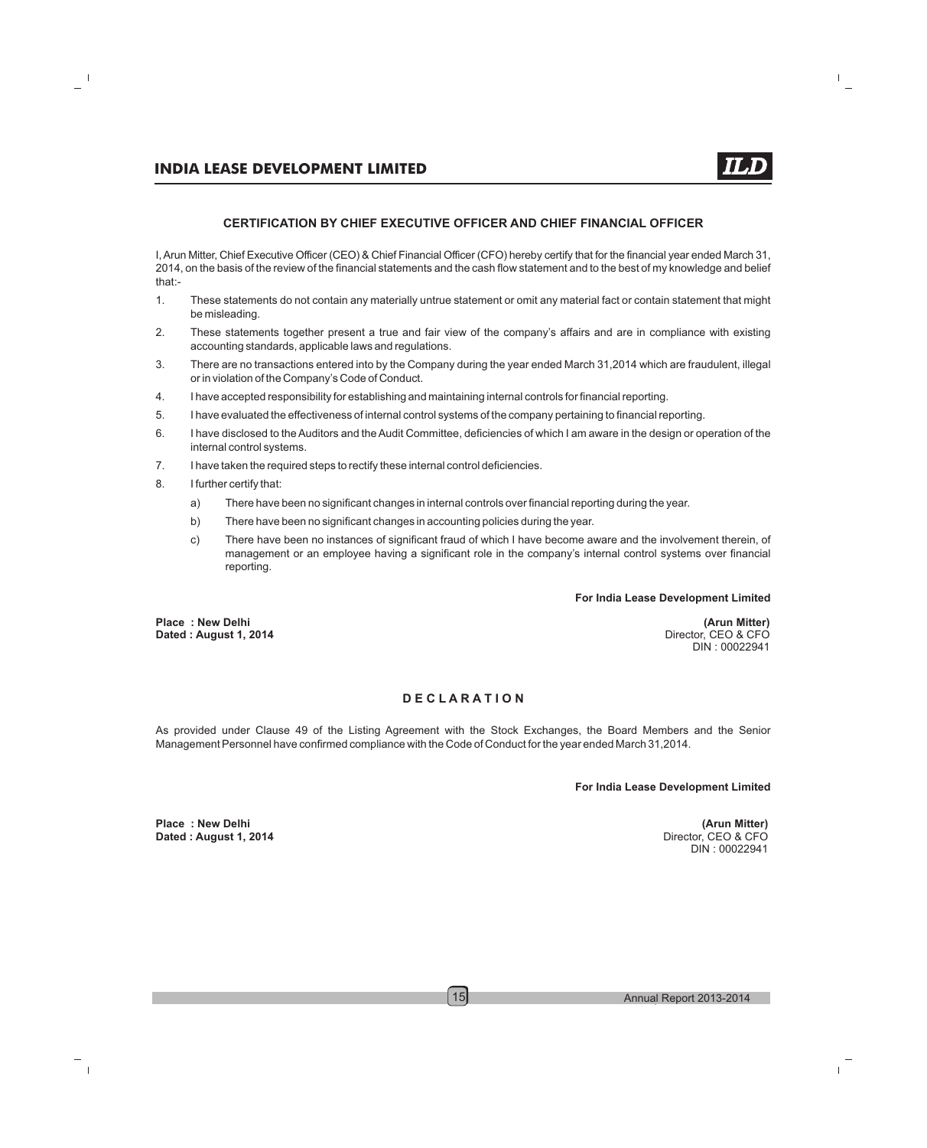#### **CERTIFICATION BY CHIEF EXECUTIVE OFFICER AND CHIEF FINANCIAL OFFICER**

I,Arun Mitter, Chief Executive Officer (CEO) & Chief Financial Officer (CFO) hereby certify that for the financial year ended March 31, 2014, on the basis of the review of the financial statements and the cash flow statement and to the best of my knowledge and belief that:-

- 1. These statements do not contain any materially untrue statement or omit any material fact or contain statement that might be misleading.
- 2. These statements together present a true and fair view of the company's affairs and are in compliance with existing accounting standards, applicable laws and regulations.
- 3. There are no transactions entered into by the Company during the year ended March 31,2014 which are fraudulent, illegal or in violation of the Company's Code of Conduct.
- 4. I have accepted responsibility for establishing and maintaining internal controls for financial reporting.
- 5. I have evaluated the effectiveness of internal control systems of the company pertaining to financial reporting.
- 6. I have disclosed to the Auditors and the Audit Committee, deficiencies of which I am aware in the design or operation of the internal control systems.
- 7. I have taken the required steps to rectify these internal control deficiencies.
- 8. I further certify that:
	- a) There have been no significant changes in internal controls over financial reporting during the year.
	- b) There have been no significant changes in accounting policies during the year.
	- c) There have been no instances of significant fraud of which I have become aware and the involvement therein, of management or an employee having a significant role in the company's internal control systems over financial reporting.

#### **For India Lease Development Limited**

**Place : New Delhi (Arun Mitter) Dated : August 1, 2014** 

DIN : 00022941

#### **D E C L A R A T I O N**

As provided under Clause 49 of the Listing Agreement with the Stock Exchanges, the Board Members and the Senior Management Personnel have confirmed compliance with the Code of Conduct for the year ended March 31,2014.

**For India Lease Development Limited**

DIN : 00022941

**Place : New Delhi (Arun Mitter) Dated : August 1, 2014**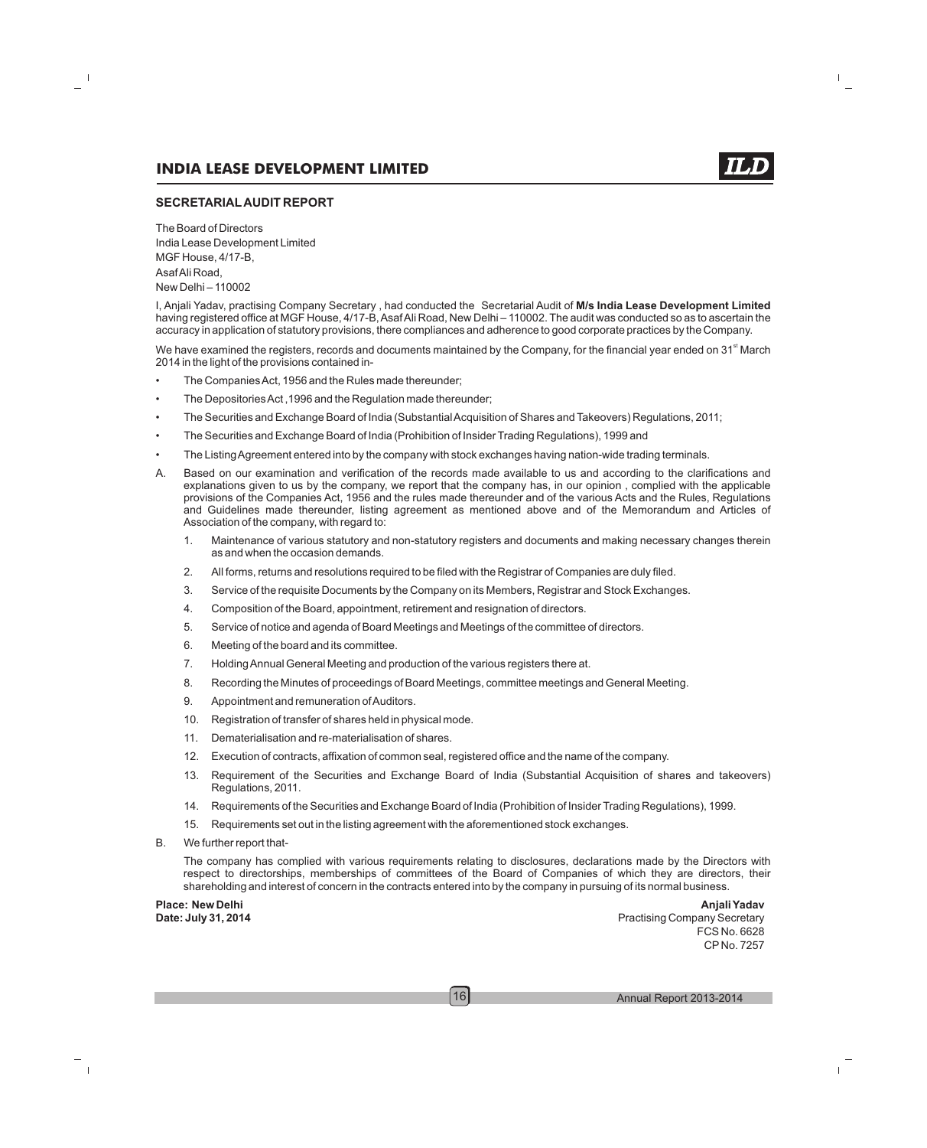#### **SECRETARIALAUDIT REPORT**

The Board of Directors India Lease Development Limited MGF House, 4/17-B, Asaf Ali Road, New Delhi – 110002

I, Anjali Yadav, practising Company Secretary , had conducted the Secretarial Audit of **M/s India Lease Development Limited** having registered office at MGF House, 4/17-B, Asaf Ali Road, New Delhi – 110002. The audit was conducted so as to ascertain the accuracy in application of statutory provisions, there compliances and adherence to good corporate practices by the Company.

We have examined the registers, records and documents maintained by the Company, for the financial year ended on  $31<sup>st</sup>$  March 2014 in the light of the provisions contained in-

- The Companies Act, 1956 and the Rules made thereunder;
- The Depositories Act ,1996 and the Regulation made thereunder;
- The Securities and Exchange Board of India (Substantial Acquisition of Shares and Takeovers) Regulations, 2011;
- The Securities and Exchange Board of India (Prohibition of Insider Trading Regulations), 1999 and
- The Listing Agreement entered into by the company with stock exchanges having nation-wide trading terminals.
- A. Based on our examination and verification of the records made available to us and according to the clarifications and explanations given to us by the company, we report that the company has, in our opinion , complied with the applicable provisions of the Companies Act, 1956 and the rules made thereunder and of the various Acts and the Rules, Regulations and Guidelines made thereunder, listing agreement as mentioned above and of the Memorandum and Articles of Association of the company, with regard to:
	- 1. Maintenance of various statutory and non-statutory registers and documents and making necessary changes therein as and when the occasion demands.
	- 2. All forms, returns and resolutions required to be filed with the Registrar of Companies are duly filed.
	- 3. Service of the requisite Documents by the Company on its Members, Registrar and Stock Exchanges.
	- 4. Composition of the Board, appointment, retirement and resignation of directors.
	- 5. Service of notice and agenda of Board Meetings and Meetings of the committee of directors.
	- 6. Meeting of the board and its committee.
	- 7. Holding Annual General Meeting and production of the various registers there at.
	- 8. Recording the Minutes of proceedings of Board Meetings, committee meetings and General Meeting.
	- 9. Appointment and remuneration of Auditors.
	- 10. Registration of transfer of shares held in physical mode.
	- 11. Dematerialisation and re-materialisation of shares.
	- 12. Execution of contracts, affixation of common seal, registered office and the name of the company.
	- 13. Requirement of the Securities and Exchange Board of India (Substantial Acquisition of shares and takeovers) Regulations, 2011.
	- 14. Requirements of the Securities and Exchange Board of India (Prohibition of Insider Trading Regulations), 1999.
	- 15. Requirements set out in the listing agreement with the aforementioned stock exchanges.
- B. We further report that-

The company has complied with various requirements relating to disclosures, declarations made by the Directors with respect to directorships, memberships of committees of the Board of Companies of which they are directors, their shareholding and interest of concern in the contracts entered into by the company in pursuing of its normal business.

**Place: New Delhi Anjali Yadav**

**Date: July 31, 2014** Practising Company Secretary FCS No. 6628 CP No. 7257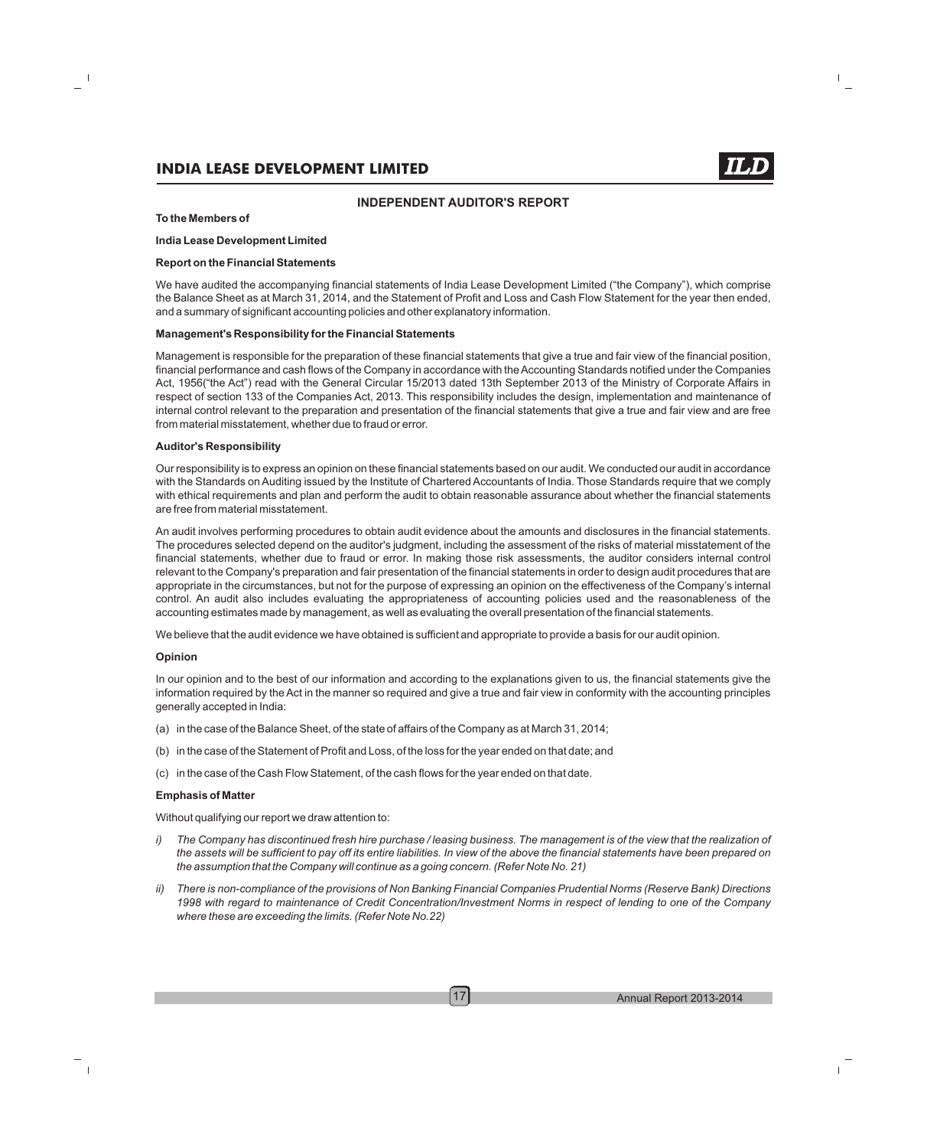#### **INDEPENDENT AUDITOR'S REPORT**

#### **To the Members of**

#### **India Lease Development Limited**

#### **Report on the Financial Statements**

We have audited the accompanying financial statements of India Lease Development Limited ("the Company"), which comprise the Balance Sheet as at March 31, 2014, and the Statement of Profit and Loss and Cash Flow Statement for the year then ended, and a summary of significant accounting policies and other explanatory information.

#### **Management's Responsibility for the Financial Statements**

Management is responsible for the preparation of these financial statements that give a true and fair view of the financial position, financial performance and cash flows of the Company in accordance with the Accounting Standards notified under the Companies Act, 1956("the Act") read with the General Circular 15/2013 dated 13th September 2013 of the Ministry of Corporate Affairs in respect of section 133 of the Companies Act, 2013. This responsibility includes the design, implementation and maintenance of internal control relevant to the preparation and presentation of the financial statements that give a true and fair view and are free from material misstatement, whether due to fraud or error.

#### **Auditor's Responsibility**

Our responsibility is to express an opinion on these financial statements based on our audit. We conducted our audit in accordance with the Standards on Auditing issued by the Institute of Chartered Accountants of India. Those Standards require that we comply with ethical requirements and plan and perform the audit to obtain reasonable assurance about whether the financial statements are free from material misstatement.

An audit involves performing procedures to obtain audit evidence about the amounts and disclosures in the financial statements. The procedures selected depend on the auditor's judgment, including the assessment of the risks of material misstatement of the financial statements, whether due to fraud or error. In making those risk assessments, the auditor considers internal control relevant to the Company's preparation and fair presentation of the financial statements in order to design audit procedures that are appropriate in the circumstances, but not for the purpose of expressing an opinion on the effectiveness of the Company's internal control. An audit also includes evaluating the appropriateness of accounting policies used and the reasonableness of the accounting estimates made by management, as well as evaluating the overall presentation of the financial statements.

We believe that the audit evidence we have obtained is sufficient and appropriate to provide a basis for our audit opinion.

#### **Opinion**

In our opinion and to the best of our information and according to the explanations given to us, the financial statements give the information required by the Act in the manner so required and give a true and fair view in conformity with the accounting principles generally accepted in India:

- (a) in the case of the Balance Sheet, of the state of affairs of the Company as at March 31, 2014;
- (b) in the case of the Statement of Profit and Loss, of the loss for the year ended on that date; and
- (c) in the case of the Cash Flow Statement, of the cash flows for the year ended on that date.

#### **Emphasis of Matter**

Without qualifying our report we draw attention to:

- *i*) The Company has discontinued fresh hire purchase / leasing business. The management is of the view that the realization of *the assets will be sufficient to pay off its entire liabilities. In view of the above the financial statements have been prepared on the assumption that the Company will continue as a going concern. (Refer Note No. 21)*
- *ii) There is non-compliance of the provisions of Non Banking Financial Companies Prudential Norms (Reserve Bank) Directions 1998 with regard to maintenance of Credit Concentration/Investment Norms in respect of lending to one of the Company where these are exceeding the limits. (Refer Note No.22)*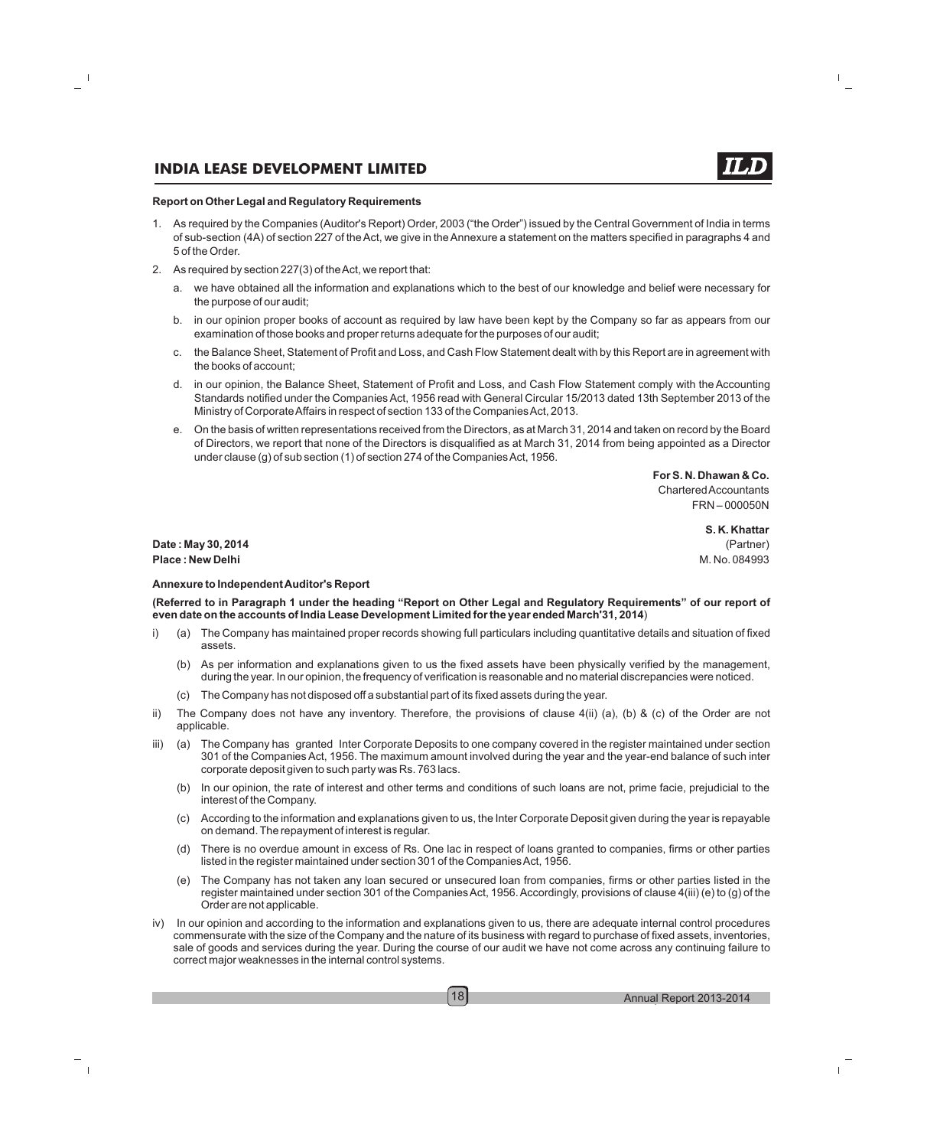#### **Report on Other Legal and Regulatory Requirements**

- 1. As required by the Companies (Auditor's Report) Order, 2003 ("the Order") issued by the Central Government of India in terms of sub-section (4A) of section 227 of the Act, we give in the Annexure a statement on the matters specified in paragraphs 4 and 5 of the Order.
- 2. As required by section 227(3) of the Act, we report that:
	- a. we have obtained all the information and explanations which to the best of our knowledge and belief were necessary for the purpose of our audit;
	- b. in our opinion proper books of account as required by law have been kept by the Company so far as appears from our examination of those books and proper returns adequate for the purposes of our audit;
	- c. the Balance Sheet, Statement of Profit and Loss, and Cash Flow Statement dealt with by this Report are in agreement with the books of account;
	- d. in our opinion, the Balance Sheet, Statement of Profit and Loss, and Cash Flow Statement comply with the Accounting Standards notified under the Companies Act, 1956 read with General Circular 15/2013 dated 13th September 2013 of the Ministry of Corporate Affairs in respect of section 133 of the Companies Act, 2013.
	- e. On the basis of written representations received from the Directors, as at March 31, 2014 and taken on record by the Board of Directors, we report that none of the Directors is disqualified as at March 31, 2014 from being appointed as a Director under clause (g) of sub section (1) of section 274 of the Companies Act, 1956.

**For S. N. Dhawan & Co.** Chartered Accountants FRN – 000050N

**S. K. Khattar**

**Date : May 30, 2014** (Partner) **Place : New Delhi** M. No. 084993

#### **Annexure to Independent Auditor's Report**

**(Referred to in Paragraph 1 under the heading "Report on Other Legal and Regulatory Requirements" of our report of even date on the accounts of India Lease Development Limited for the year ended March'31, 2014**)

- i) (a) The Company has maintained proper records showing full particulars including quantitative details and situation of fixed assets.
	- (b) As per information and explanations given to us the fixed assets have been physically verified by the management, during the year. In our opinion, the frequency of verification is reasonable and no material discrepancies were noticed.
	- (c) The Company has not disposed off a substantial part of its fixed assets during the year.
- ii) The Company does not have any inventory. Therefore, the provisions of clause  $4(ii)$  (a), (b) & (c) of the Order are not applicable.
- iii) (a) The Company has granted Inter Corporate Deposits to one company covered in the register maintained under section 301 of the Companies Act, 1956. The maximum amount involved during the year and the year-end balance of such inter corporate deposit given to such party was Rs. 763 lacs.
	- (b) In our opinion, the rate of interest and other terms and conditions of such loans are not, prime facie, prejudicial to the interest of the Company.
	- (c) According to the information and explanations given to us, the Inter Corporate Deposit given during the year is repayable on demand. The repayment of interest is regular.
	- (d) There is no overdue amount in excess of Rs. One lac in respect of loans granted to companies, firms or other parties listed in the register maintained under section 301 of the Companies Act, 1956.
	- (e) The Company has not taken any loan secured or unsecured loan from companies, firms or other parties listed in the register maintained under section 301 of the Companies Act, 1956. Accordingly, provisions of clause 4(iii) (e) to (g) of the Order are not applicable.
- iv) In our opinion and according to the information and explanations given to us, there are adequate internal control procedures commensurate with the size of the Company and the nature of its business with regard to purchase of fixed assets, inventories, sale of goods and services during the year. During the course of our audit we have not come across any continuing failure to correct major weaknesses in the internal control systems.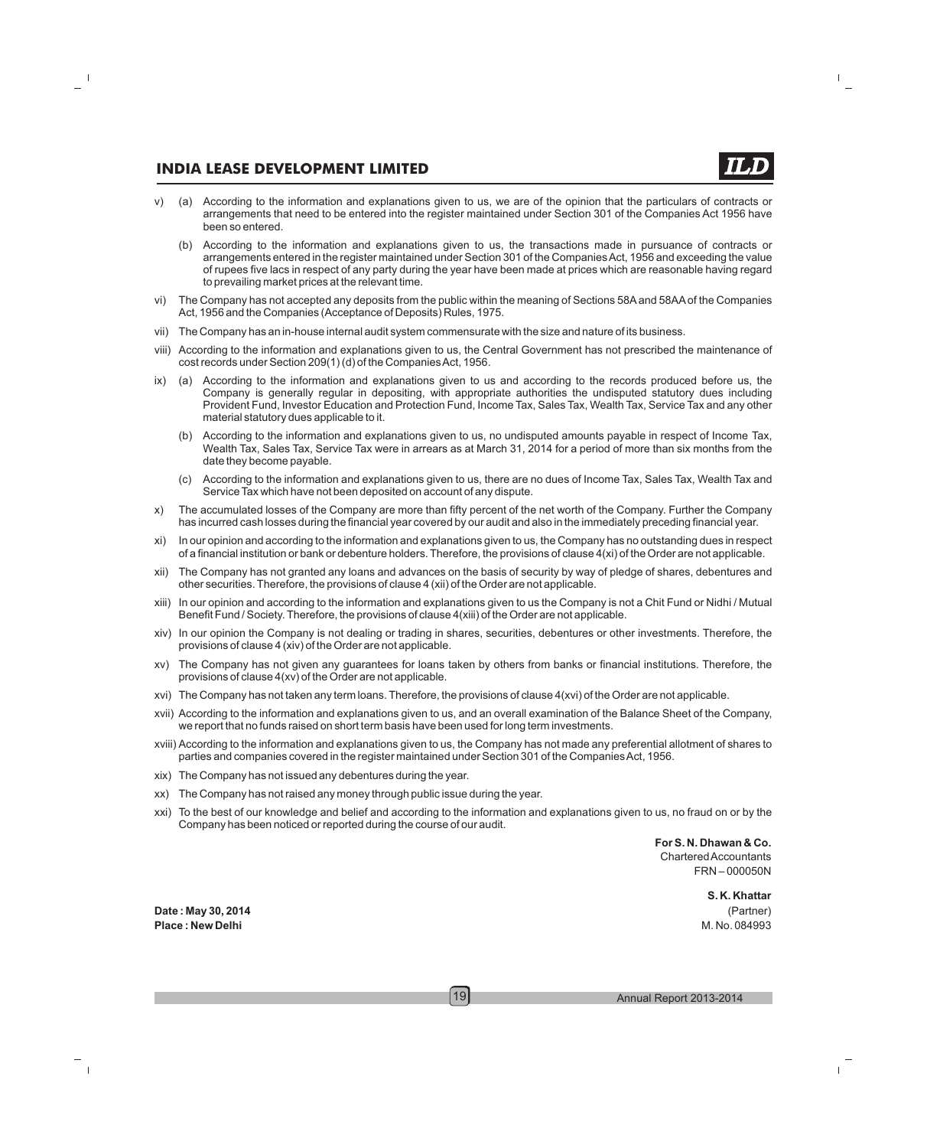- v) (a) According to the information and explanations given to us, we are of the opinion that the particulars of contracts or arrangements that need to be entered into the register maintained under Section 301 of the Companies Act 1956 have been so entered.
	- (b) According to the information and explanations given to us, the transactions made in pursuance of contracts or arrangements entered in the register maintained under Section 301 of the Companies Act, 1956 and exceeding the value of rupees five lacs in respect of any party during the year have been made at prices which are reasonable having regard to prevailing market prices at the relevant time.
- vi) The Company has not accepted any deposits from the public within the meaning of Sections 58Aand 58AAof the Companies Act, 1956 and the Companies (Acceptance of Deposits) Rules, 1975.
- vii) The Company has an in-house internal audit system commensurate with the size and nature of its business.
- viii) According to the information and explanations given to us, the Central Government has not prescribed the maintenance of cost records under Section 209(1) (d) of the Companies Act, 1956.
- ix) (a) According to the information and explanations given to us and according to the records produced before us, the Company is generally regular in depositing, with appropriate authorities the undisputed statutory dues including Provident Fund, Investor Education and Protection Fund, Income Tax, Sales Tax, Wealth Tax, Service Tax and any other material statutory dues applicable to it.
	- (b) According to the information and explanations given to us, no undisputed amounts payable in respect of Income Tax, Wealth Tax, Sales Tax, Service Tax were in arrears as at March 31, 2014 for a period of more than six months from the date they become payable.
	- (c) According to the information and explanations given to us, there are no dues of Income Tax, Sales Tax, Wealth Tax and Service Tax which have not been deposited on account of any dispute.
- x) The accumulated losses of the Company are more than fifty percent of the net worth of the Company. Further the Company has incurred cash losses during the financial year covered by our audit and also in the immediately preceding financial year.
- xi) In our opinion and according to the information and explanations given to us, the Company has no outstanding dues in respect of a financial institution or bank or debenture holders. Therefore, the provisions of clause 4(xi) of the Order are not applicable.
- xii) The Company has not granted any loans and advances on the basis of security by way of pledge of shares, debentures and other securities. Therefore, the provisions of clause 4 (xii) of the Order are not applicable.
- xiii) In our opinion and according to the information and explanations given to us the Company is not a Chit Fund or Nidhi / Mutual Benefit Fund / Society. Therefore, the provisions of clause 4(xiii) of the Order are not applicable.
- xiv) In our opinion the Company is not dealing or trading in shares, securities, debentures or other investments. Therefore, the provisions of clause 4 (xiv) of the Order are not applicable.
- xv) The Company has not given any guarantees for loans taken by others from banks or financial institutions. Therefore, the provisions of clause 4(xv) of the Order are not applicable.
- xvi) The Company has not taken any term loans. Therefore, the provisions of clause 4(xvi) of the Order are not applicable.
- xvii) According to the information and explanations given to us, and an overall examination of the Balance Sheet of the Company, we report that no funds raised on short term basis have been used for long term investments.
- xviii) According to the information and explanations given to us, the Company has not made any preferential allotment of shares to parties and companies covered in the register maintained under Section 301 of the Companies Act, 1956.
- xix) The Company has not issued any debentures during the year.
- xx) The Company has not raised any money through public issue during the year.
- xxi) To the best of our knowledge and belief and according to the information and explanations given to us, no fraud on or by the Company has been noticed or reported during the course of our audit.

**For S. N. Dhawan & Co.** Chartered Accountants FRN – 000050N

**S. K. Khattar Date : May 30, 2014** (Partner)

**Place : New Delhi** M. No. 084993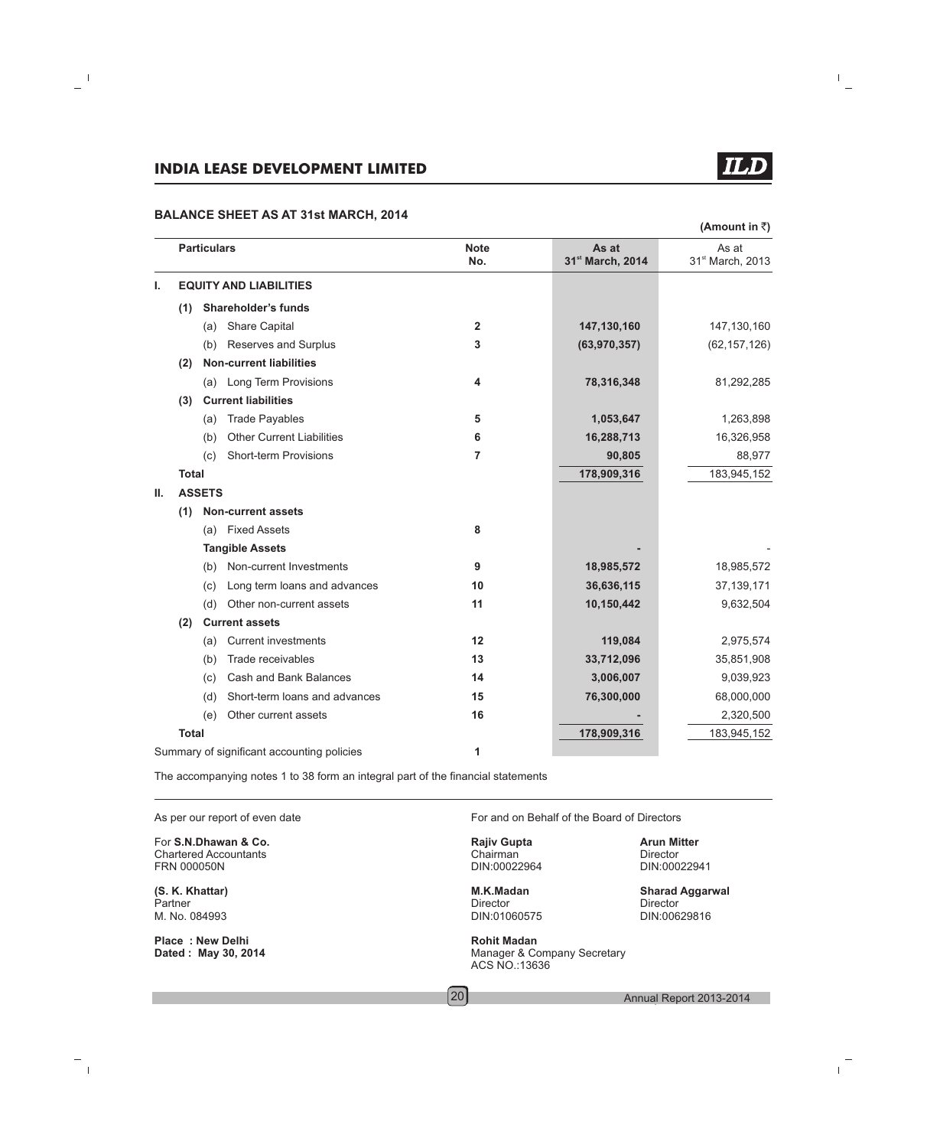#### **BALANCE SHEET AS AT 31st MARCH, 2014**

|    |              | <b>Particulars</b> |                                            | <b>Note</b>             | As at            | As at            |
|----|--------------|--------------------|--------------------------------------------|-------------------------|------------------|------------------|
|    |              |                    |                                            | No.                     | 31st March, 2014 | 31st March, 2013 |
| ı. |              |                    | <b>EQUITY AND LIABILITIES</b>              |                         |                  |                  |
|    | (1)          |                    | <b>Shareholder's funds</b>                 |                         |                  |                  |
|    |              | (a)                | <b>Share Capital</b>                       | $\overline{\mathbf{2}}$ | 147,130,160      | 147,130,160      |
|    |              | (b)                | Reserves and Surplus                       | 3                       | (63, 970, 357)   | (62, 157, 126)   |
|    | (2)          |                    | <b>Non-current liabilities</b>             |                         |                  |                  |
|    |              | (a)                | <b>Long Term Provisions</b>                | 4                       | 78,316,348       | 81,292,285       |
|    | (3)          |                    | <b>Current liabilities</b>                 |                         |                  |                  |
|    |              | (a)                | <b>Trade Payables</b>                      | 5                       | 1,053,647        | 1,263,898        |
|    |              | (b)                | <b>Other Current Liabilities</b>           | 6                       | 16,288,713       | 16,326,958       |
|    |              | (c)                | Short-term Provisions                      | 7                       | 90,805           | 88,977           |
|    | <b>Total</b> |                    |                                            |                         | 178,909,316      | 183,945,152      |
| Ш. |              | <b>ASSETS</b>      |                                            |                         |                  |                  |
|    | (1)          |                    | <b>Non-current assets</b>                  |                         |                  |                  |
|    |              | (a)                | <b>Fixed Assets</b>                        | 8                       |                  |                  |
|    |              |                    | <b>Tangible Assets</b>                     |                         |                  |                  |
|    |              | (b)                | Non-current Investments                    | 9                       | 18,985,572       | 18,985,572       |
|    |              | (c)                | Long term loans and advances               | 10                      | 36,636,115       | 37, 139, 171     |
|    |              | (d)                | Other non-current assets                   | 11                      | 10,150,442       | 9,632,504        |
|    | (2)          |                    | <b>Current assets</b>                      |                         |                  |                  |
|    |              | (a)                | <b>Current investments</b>                 | 12                      | 119,084          | 2,975,574        |
|    |              | (b)                | Trade receivables                          | 13                      | 33,712,096       | 35,851,908       |
|    |              | (c)                | Cash and Bank Balances                     | 14                      | 3,006,007        | 9,039,923        |
|    |              | (d)                | Short-term loans and advances              | 15                      | 76,300,000       | 68,000,000       |
|    |              | (e)                | Other current assets                       | 16                      |                  | 2,320,500        |
|    | <b>Total</b> |                    |                                            |                         | 178,909,316      | 183,945,152      |
|    |              |                    | Summary of significant accounting policies | 1                       |                  |                  |

The accompanying notes 1 to 38 form an integral part of the financial statements

**For S.N.Dhawan & Co. Rajiv Gupta Rajiv Gupta Arun Mitter**<br>
Chartered Accountants **Arun Mitter** Chairman **Arun Mitter** Chartered Accountants and Chairman Chairman Chairman Director Director Director<br>
Chairman DIN:00022964 DIN:00022941

Partner **Director** Director **Director** Director **Director** Director **Director** M. No. 084993 DIN:01060575 DIN:00629816

**Place : New Delhi Rohit Madan**<br> **Dated : May 30, 2014 Rohit Madan**<br>
Manager & Co

As per our report of even date **For and on Behalf of the Board of Directors** 

DIN:00022964

**Manager & Company Secretary** ACS NO.:13636

**(S. K. Khattar) M.K.Madan Sharad Aggarwal**

(Amount in ₹)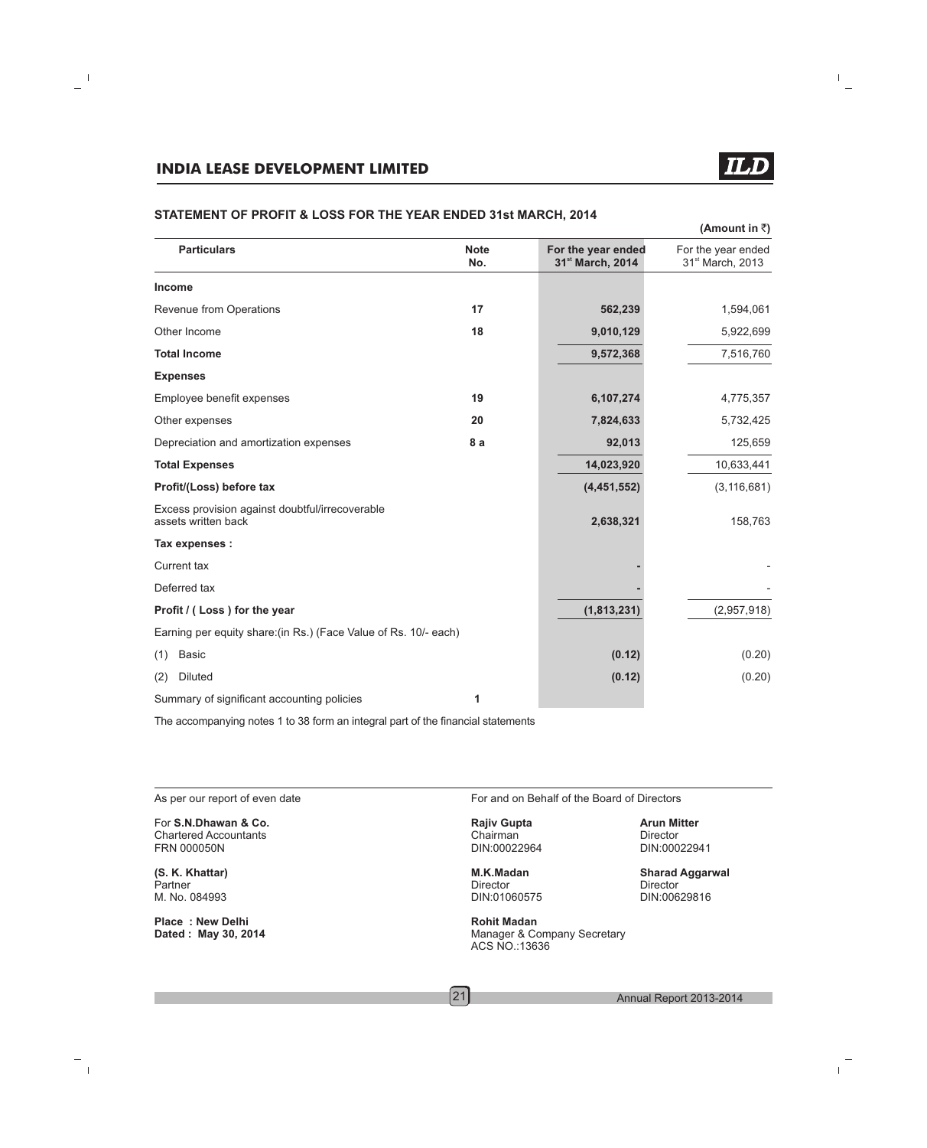|                                                                        |                    |                                        | (Amount in ₹ੋ)                                     |
|------------------------------------------------------------------------|--------------------|----------------------------------------|----------------------------------------------------|
| <b>Particulars</b>                                                     | <b>Note</b><br>No. | For the year ended<br>31st March, 2014 | For the year ended<br>31 <sup>st</sup> March, 2013 |
| <b>Income</b>                                                          |                    |                                        |                                                    |
| Revenue from Operations                                                | 17                 | 562,239                                | 1,594,061                                          |
| Other Income                                                           | 18                 | 9,010,129                              | 5,922,699                                          |
| <b>Total Income</b>                                                    |                    | 9,572,368                              | 7,516,760                                          |
| <b>Expenses</b>                                                        |                    |                                        |                                                    |
| Employee benefit expenses                                              | 19                 | 6,107,274                              | 4,775,357                                          |
| Other expenses                                                         | 20                 | 7,824,633                              | 5,732,425                                          |
| Depreciation and amortization expenses                                 | 8a                 | 92,013                                 | 125,659                                            |
| <b>Total Expenses</b>                                                  |                    | 14,023,920                             | 10,633,441                                         |
| Profit/(Loss) before tax                                               |                    | (4, 451, 552)                          | (3, 116, 681)                                      |
| Excess provision against doubtful/irrecoverable<br>assets written back |                    | 2,638,321                              | 158,763                                            |
| Tax expenses :                                                         |                    |                                        |                                                    |
| <b>Current tax</b>                                                     |                    |                                        |                                                    |
| Deferred tax                                                           |                    |                                        |                                                    |
| Profit / (Loss) for the year                                           |                    | (1,813,231)                            | (2,957,918)                                        |
| Earning per equity share: (in Rs.) (Face Value of Rs. 10/- each)       |                    |                                        |                                                    |
| <b>Basic</b><br>(1)                                                    |                    | (0.12)                                 | (0.20)                                             |
| Diluted<br>(2)                                                         |                    | (0.12)                                 | (0.20)                                             |
| Summary of significant accounting policies                             | 1                  |                                        |                                                    |

#### **STATEMENT OF PROFIT & LOSS FOR THE YEAR ENDED 31st MARCH, 2014**

The accompanying notes 1 to 38 form an integral part of the financial statements

**For S.N.Dhawan & Co. Rajiv Gupta Rajiv Gupta Arun Mitter**<br>
Chartered Accountants **Arun Mitter** Chairman **Arun Mitter** Chartered Accountants and Chairman Chairman Chairman Director Director Director<br>
Chairman DIN:00022964 DIN:00022941

Partner **Director** Director **Director** Director **Director** Director **Director** M. No. 084993 DIN:01060575 DIN:00629816

**Place : New Delhi Rohit Madan**

As per our report of even date For and on Behalf of the Board of Directors

DIN:00022964

21

**Manager & Company Secretary** ACS NO.:13636

**(S. K. Khattar) M.K.Madan Sharad Aggarwal**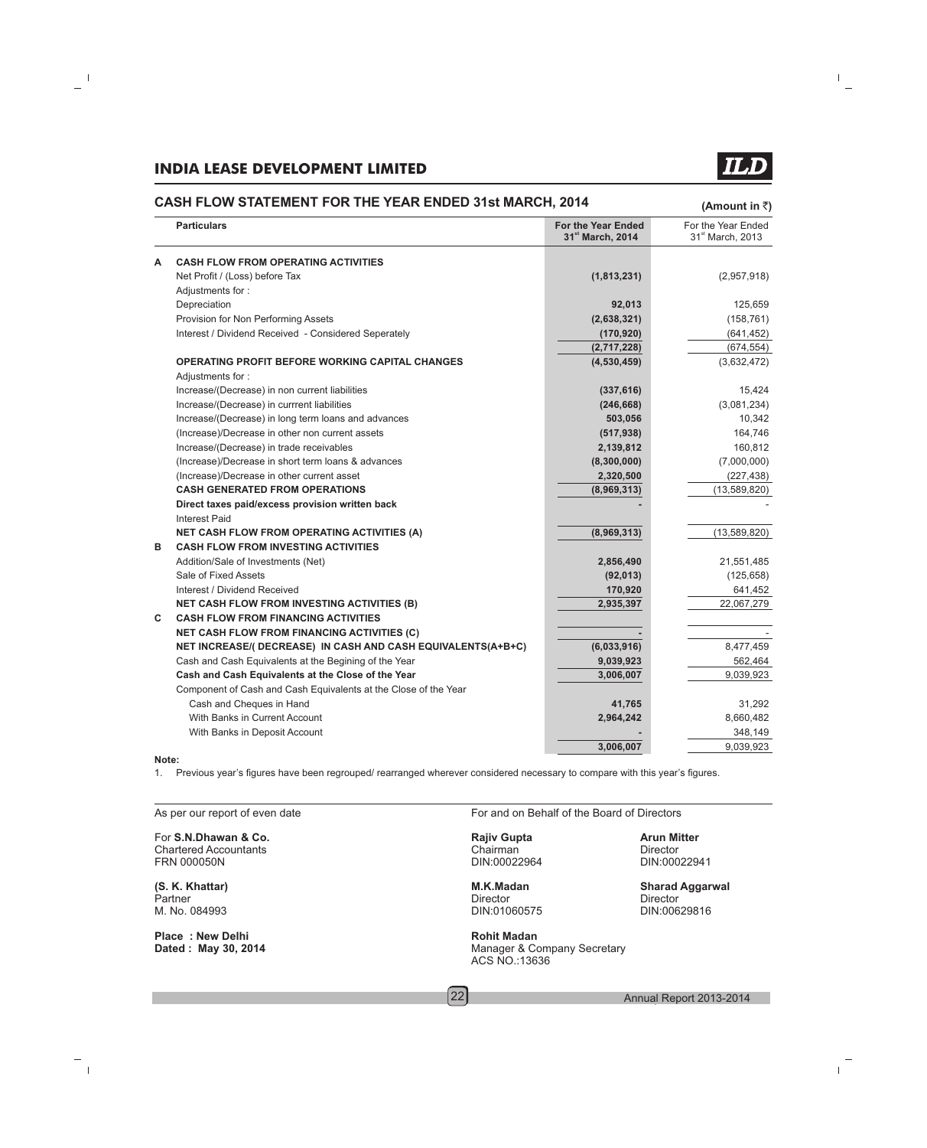#### **CASH FLOW STATEMENT FOR THE YEAR ENDED 31st MARCH, 2014**

**(Amount in** `**)**

|       | <b>Particulars</b>                                                         | <b>For the Year Ended</b><br>31st March, 2014 | For the Year Ended<br>31 <sup>st</sup> March, 2013 |
|-------|----------------------------------------------------------------------------|-----------------------------------------------|----------------------------------------------------|
| A     | <b>CASH FLOW FROM OPERATING ACTIVITIES</b>                                 |                                               |                                                    |
|       | Net Profit / (Loss) before Tax                                             | (1,813,231)                                   | (2,957,918)                                        |
|       | Adjustments for:                                                           |                                               |                                                    |
|       | Depreciation                                                               | 92,013                                        | 125,659                                            |
|       | Provision for Non Performing Assets                                        | (2,638,321)                                   | (158, 761)                                         |
|       | Interest / Dividend Received - Considered Seperately                       | (170, 920)                                    | (641, 452)                                         |
|       |                                                                            | (2,717,228)                                   | (674, 554)                                         |
|       | <b>OPERATING PROFIT BEFORE WORKING CAPITAL CHANGES</b><br>Adjustments for: | (4,530,459)                                   | (3,632,472)                                        |
|       | Increase/(Decrease) in non current liabilities                             | (337, 616)                                    | 15,424                                             |
|       | Increase/(Decrease) in currrent liabilities                                | (246, 668)                                    | (3,081,234)                                        |
|       | Increase/(Decrease) in long term loans and advances                        | 503,056                                       | 10,342                                             |
|       | (Increase)/Decrease in other non current assets                            | (517, 938)                                    | 164,746                                            |
|       | Increase/(Decrease) in trade receivables                                   | 2,139,812                                     | 160,812                                            |
|       | (Increase)/Decrease in short term loans & advances                         | (8,300,000)                                   | (7,000,000)                                        |
|       | (Increase)/Decrease in other current asset                                 | 2,320,500                                     | (227, 438)                                         |
|       | <b>CASH GENERATED FROM OPERATIONS</b>                                      | (8,969,313)                                   | (13,589,820)                                       |
|       | Direct taxes paid/excess provision written back<br>Interest Paid           |                                               |                                                    |
|       | <b>NET CASH FLOW FROM OPERATING ACTIVITIES (A)</b>                         | (8,969,313)                                   | (13,589,820)                                       |
| в     | <b>CASH FLOW FROM INVESTING ACTIVITIES</b>                                 |                                               |                                                    |
|       | Addition/Sale of Investments (Net)                                         | 2,856,490                                     | 21,551,485                                         |
|       | Sale of Fixed Assets                                                       | (92, 013)                                     | (125, 658)                                         |
|       | Interest / Dividend Received                                               | 170,920                                       | 641,452                                            |
|       | <b>NET CASH FLOW FROM INVESTING ACTIVITIES (B)</b>                         | 2,935,397                                     | 22,067,279                                         |
| C     | <b>CASH FLOW FROM FINANCING ACTIVITIES</b>                                 |                                               |                                                    |
|       | <b>NET CASH FLOW FROM FINANCING ACTIVITIES (C)</b>                         |                                               |                                                    |
|       | NET INCREASE/(DECREASE) IN CASH AND CASH EQUIVALENTS(A+B+C)                | (6,033,916)                                   | 8,477,459                                          |
|       | Cash and Cash Equivalents at the Begining of the Year                      | 9,039,923                                     | 562,464                                            |
|       | Cash and Cash Equivalents at the Close of the Year                         | 3,006,007                                     | 9,039,923                                          |
|       | Component of Cash and Cash Equivalents at the Close of the Year            |                                               |                                                    |
|       | Cash and Cheques in Hand                                                   | 41,765                                        | 31,292                                             |
|       | With Banks in Current Account                                              | 2,964,242                                     | 8,660,482                                          |
|       | With Banks in Deposit Account                                              |                                               | 348,149                                            |
| Note: |                                                                            | 3,006,007                                     | 9,039,923                                          |

#### **Note:**

1. Previous year's figures have been regrouped/ rearranged wherever considered necessary to compare with this year's figures.

For **S.N.Dhawan & Co. Rajiv Gupta Arun Mitter** Chartered Accountants and Chairman Chairman Chairman Chairman Chairman Chairman Chairman Chairman Chairman Chairman Chairman Chairman Chairman Chairman Chairman Chairman Chairman Chairman Chairman Chairman Chairman Chairma

Partner **Director** Director **Director** Director **Director** Director **Director** M. No. 084993 DIN:01060575 DIN:00629816

**Place : New Delhi Rohit Madan**<br> **Dated : May 30, 2014 Rohit Madan**<br>
Manager & Co

As per our report of even date For and on Behalf of the Board of Directors

**Manager & Company Secretary** ACS NO.:13636

DIN:00022941

**(S. K. Khattar) M.K.Madan Sharad Aggarwal**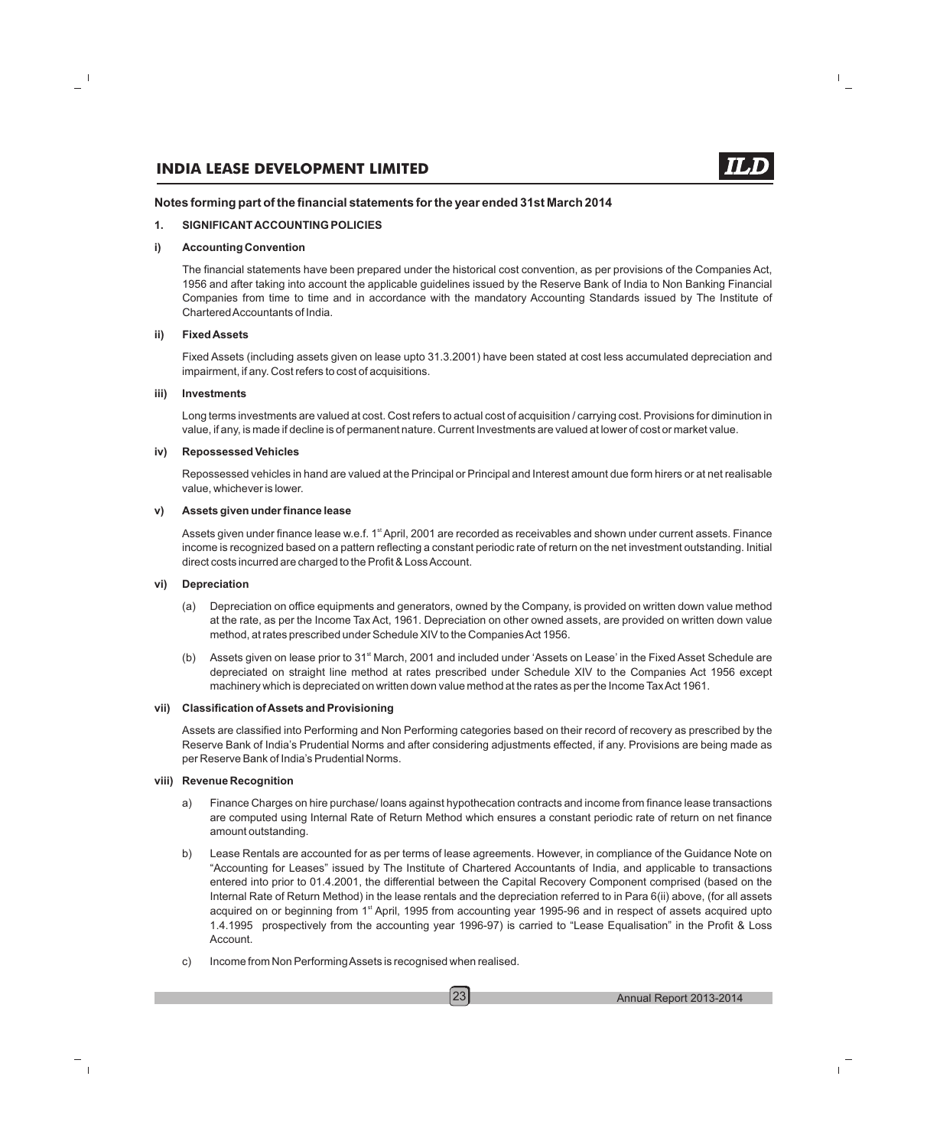#### **Notes forming part of the financial statements for the year ended 31st March 2014**

#### **1. SIGNIFICANT ACCOUNTING POLICIES**

#### **i) Accounting Convention**

The financial statements have been prepared under the historical cost convention, as per provisions of the Companies Act, 1956 and after taking into account the applicable guidelines issued by the Reserve Bank of India to Non Banking Financial Companies from time to time and in accordance with the mandatory Accounting Standards issued by The Institute of Chartered Accountants of India.

#### **ii) Fixed Assets**

Fixed Assets (including assets given on lease upto 31.3.2001) have been stated at cost less accumulated depreciation and impairment, if any. Cost refers to cost of acquisitions.

#### **iii) Investments**

Long terms investments are valued at cost. Cost refers to actual cost of acquisition / carrying cost. Provisions for diminution in value, if any, is made if decline is of permanent nature. Current Investments are valued at lower of cost or market value.

#### **iv) Repossessed Vehicles**

Repossessed vehicles in hand are valued at the Principal or Principal and Interest amount due form hirers or at net realisable value, whichever is lower.

#### **v) Assets given under finance lease**

Assets given under finance lease w.e.f. 1<sup>st</sup> April, 2001 are recorded as receivables and shown under current assets. Finance income is recognized based on a pattern reflecting a constant periodic rate of return on the net investment outstanding. Initial direct costs incurred are charged to the Profit & Loss Account.

#### **vi) Depreciation**

- (a) Depreciation on office equipments and generators, owned by the Company, is provided on written down value method at the rate, as per the Income Tax Act, 1961. Depreciation on other owned assets, are provided on written down value method, at rates prescribed under Schedule XIV to the Companies Act 1956.
- (b) Assets given on lease prior to 31<sup>st</sup> March, 2001 and included under 'Assets on Lease' in the Fixed Asset Schedule are depreciated on straight line method at rates prescribed under Schedule XIV to the Companies Act 1956 except machinery which is depreciated on written down value method at the rates as per the Income Tax Act 1961.

#### **vii) Classification of Assets and Provisioning**

Assets are classified into Performing and Non Performing categories based on their record of recovery as prescribed by the Reserve Bank of India's Prudential Norms and after considering adjustments effected, if any. Provisions are being made as per Reserve Bank of India's Prudential Norms.

#### **viii) Revenue Recognition**

- a) Finance Charges on hire purchase/ loans against hypothecation contracts and income from finance lease transactions are computed using Internal Rate of Return Method which ensures a constant periodic rate of return on net finance amount outstanding.
- b) Lease Rentals are accounted for as per terms of lease agreements. However, in compliance of the Guidance Note on "Accounting for Leases" issued by The Institute of Chartered Accountants of India, and applicable to transactions entered into prior to 01.4.2001, the differential between the Capital Recovery Component comprised (based on the Internal Rate of Return Method) in the lease rentals and the depreciation referred to in Para 6(ii) above, (for all assets acquired on or beginning from 1<sup>st</sup> April, 1995 from accounting year 1995-96 and in respect of assets acquired upto 1.4.1995 prospectively from the accounting year 1996-97) is carried to "Lease Equalisation" in the Profit & Loss Account.
- c) Income from Non Performing Assets is recognised when realised.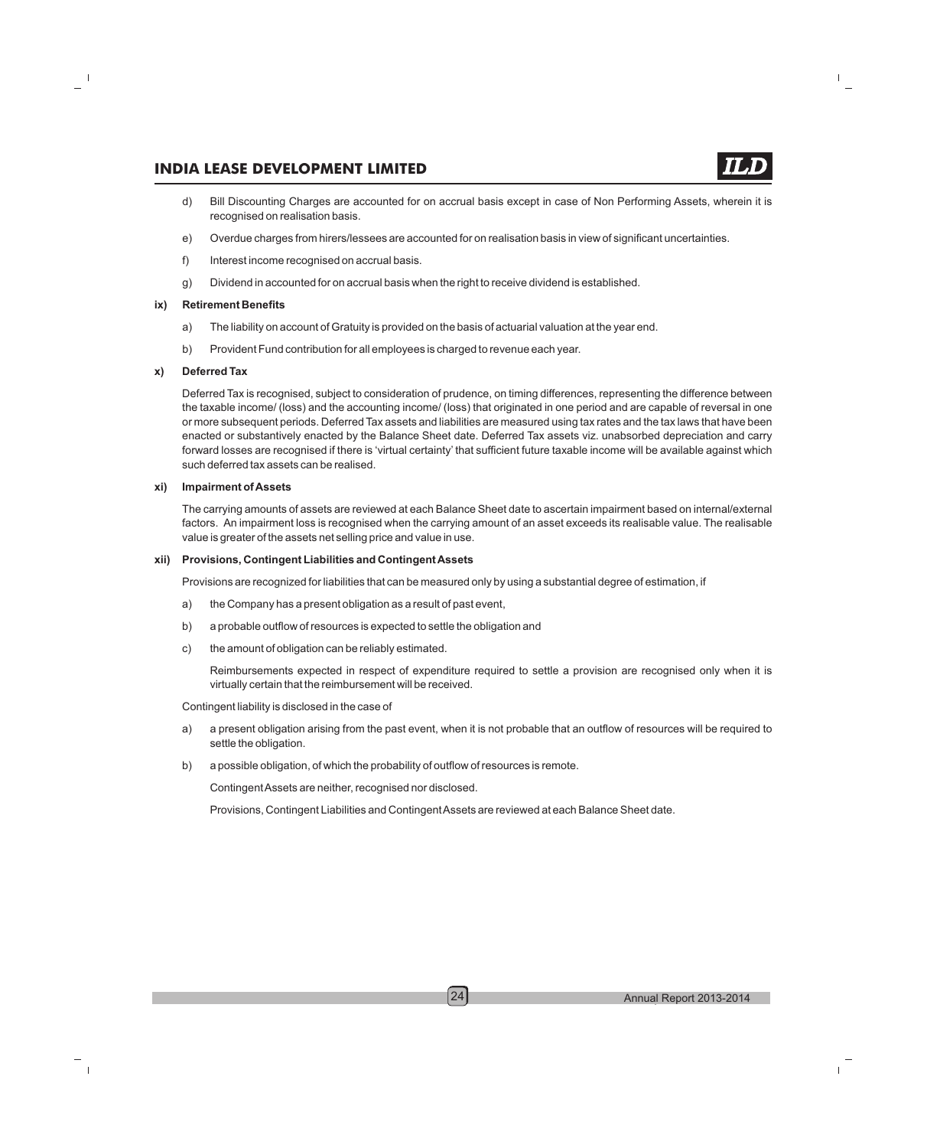- d) Bill Discounting Charges are accounted for on accrual basis except in case of Non Performing Assets, wherein it is recognised on realisation basis.
- e) Overdue charges from hirers/lessees are accounted for on realisation basis in view of significant uncertainties.
- f) Interest income recognised on accrual basis.
- g) Dividend in accounted for on accrual basis when the right to receive dividend is established.

#### **ix) Retirement Benefits**

- a) The liability on account of Gratuity is provided on the basis of actuarial valuation at the year end.
- b) Provident Fund contribution for all employees is charged to revenue each year.

#### **x) Deferred Tax**

Deferred Tax is recognised, subject to consideration of prudence, on timing differences, representing the difference between the taxable income/ (loss) and the accounting income/ (loss) that originated in one period and are capable of reversal in one or more subsequent periods. Deferred Tax assets and liabilities are measured using tax rates and the tax laws that have been enacted or substantively enacted by the Balance Sheet date. Deferred Tax assets viz. unabsorbed depreciation and carry forward losses are recognised if there is 'virtual certainty' that sufficient future taxable income will be available against which such deferred tax assets can be realised.

#### **xi) Impairment of Assets**

The carrying amounts of assets are reviewed at each Balance Sheet date to ascertain impairment based on internal/external factors. An impairment loss is recognised when the carrying amount of an asset exceeds its realisable value. The realisable value is greater of the assets net selling price and value in use.

#### **xii) Provisions, Contingent Liabilities and Contingent Assets**

Provisions are recognized for liabilities that can be measured only by using a substantial degree of estimation, if

- a) the Company has a present obligation as a result of past event,
- b) a probable outflow of resources is expected to settle the obligation and
- c) the amount of obligation can be reliably estimated.

Reimbursements expected in respect of expenditure required to settle a provision are recognised only when it is virtually certain that the reimbursement will be received.

Contingent liability is disclosed in the case of

- a) a present obligation arising from the past event, when it is not probable that an outflow of resources will be required to settle the obligation.
- b) a possible obligation, of which the probability of outflow of resources is remote.

Contingent Assets are neither, recognised nor disclosed.

Provisions, Contingent Liabilities and Contingent Assets are reviewed at each Balance Sheet date.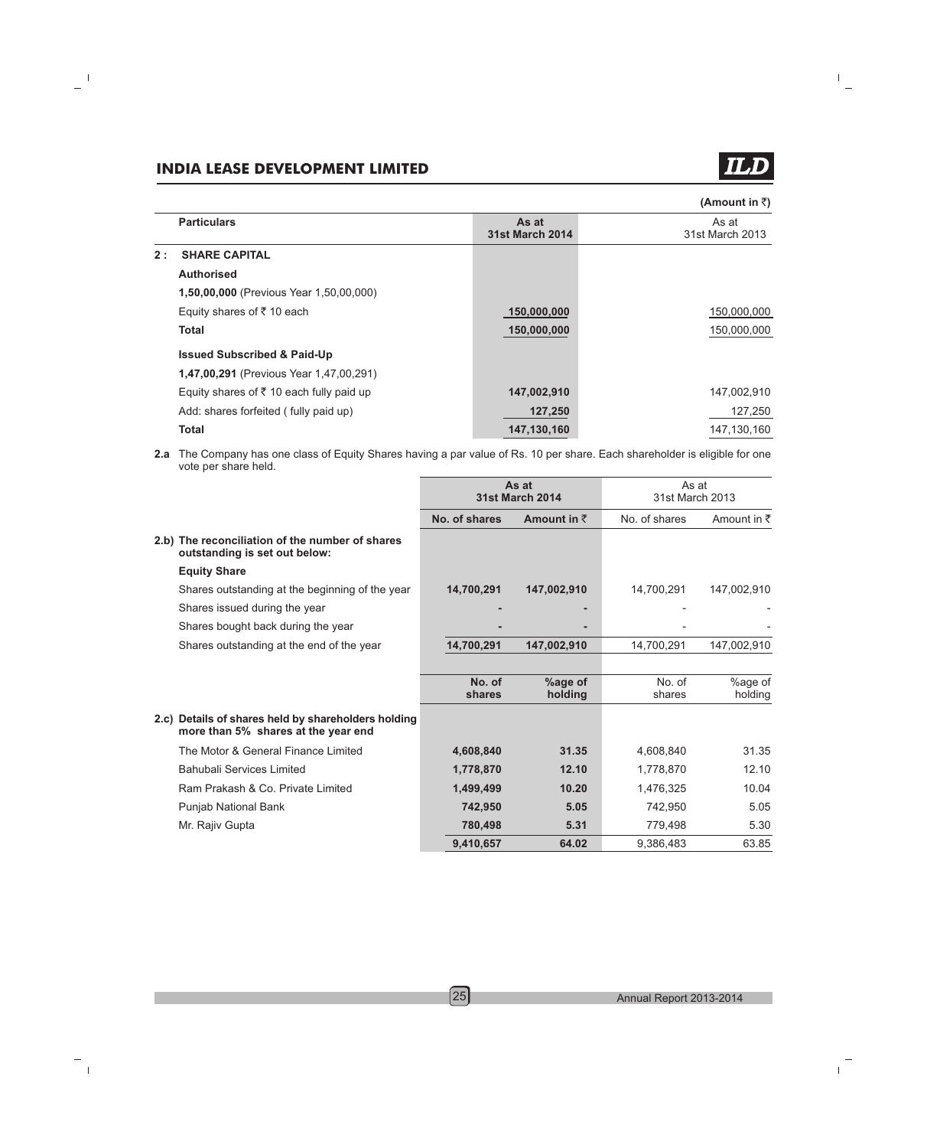ILD

| (Amount in ₹) |  |  |
|---------------|--|--|
|---------------|--|--|

|    | <b>Particulars</b>                                  | As at<br><b>31st March 2014</b> | As at<br>31st March 2013 |
|----|-----------------------------------------------------|---------------------------------|--------------------------|
| 2: | <b>SHARE CAPITAL</b>                                |                                 |                          |
|    | <b>Authorised</b>                                   |                                 |                          |
|    | <b>1,50,00,000</b> (Previous Year 1,50,00,000)      |                                 |                          |
|    | Equity shares of ₹10 each                           | 150,000,000                     | 150,000,000              |
|    | <b>Total</b>                                        | 150,000,000                     | 150,000,000              |
|    | <b>Issued Subscribed &amp; Paid-Up</b>              |                                 |                          |
|    | <b>1,47,00,291</b> (Previous Year 1,47,00,291)      |                                 |                          |
|    | Equity shares of $\bar{\tau}$ 10 each fully paid up | 147,002,910                     | 147,002,910              |
|    | Add: shares forfeited (fully paid up)               | 127,250                         | 127,250                  |
|    | <b>Total</b>                                        | 147,130,160                     | 147,130,160              |
|    |                                                     |                                 |                          |

**2.a** The Company has one class of Equity Shares having a par value of Rs. 10 per share. Each shareholder is eligible for one vote per share held.

|                                                                                            | As at<br><b>31st March 2014</b> |                     | As at<br>31st March 2013 |                        |
|--------------------------------------------------------------------------------------------|---------------------------------|---------------------|--------------------------|------------------------|
|                                                                                            | No. of shares                   | Amount in $\bar{z}$ | No. of shares            | Amount in $\bar{\tau}$ |
| 2.b) The reconciliation of the number of shares<br>outstanding is set out below:           |                                 |                     |                          |                        |
| <b>Equity Share</b>                                                                        |                                 |                     |                          |                        |
| Shares outstanding at the beginning of the year                                            | 14,700,291                      | 147,002,910         | 14,700,291               | 147,002,910            |
| Shares issued during the year                                                              |                                 |                     |                          |                        |
| Shares bought back during the year                                                         |                                 | ۰                   |                          |                        |
| Shares outstanding at the end of the year                                                  | 14,700,291                      | 147,002,910         | 14,700,291               | 147,002,910            |
|                                                                                            |                                 |                     |                          |                        |
|                                                                                            | No. of<br>shares                | %age of<br>holding  | No. of<br>shares         | %age of<br>holding     |
| 2.c) Details of shares held by shareholders holding<br>more than 5% shares at the year end |                                 |                     |                          |                        |
| The Motor & General Finance Limited                                                        | 4,608,840                       | 31.35               | 4,608,840                | 31.35                  |
| <b>Bahubali Services Limited</b>                                                           | 1,778,870                       | 12.10               | 1,778,870                | 12.10                  |
| Ram Prakash & Co. Private Limited                                                          | 1,499,499                       | 10.20               | 1,476,325                | 10.04                  |
| Punjab National Bank                                                                       | 742,950                         | 5.05                | 742,950                  | 5.05                   |
| Mr. Rajiv Gupta                                                                            | 780,498                         | 5.31                | 779,498                  | 5.30                   |
|                                                                                            | 9,410,657                       | 64.02               | 9,386,483                | 63.85                  |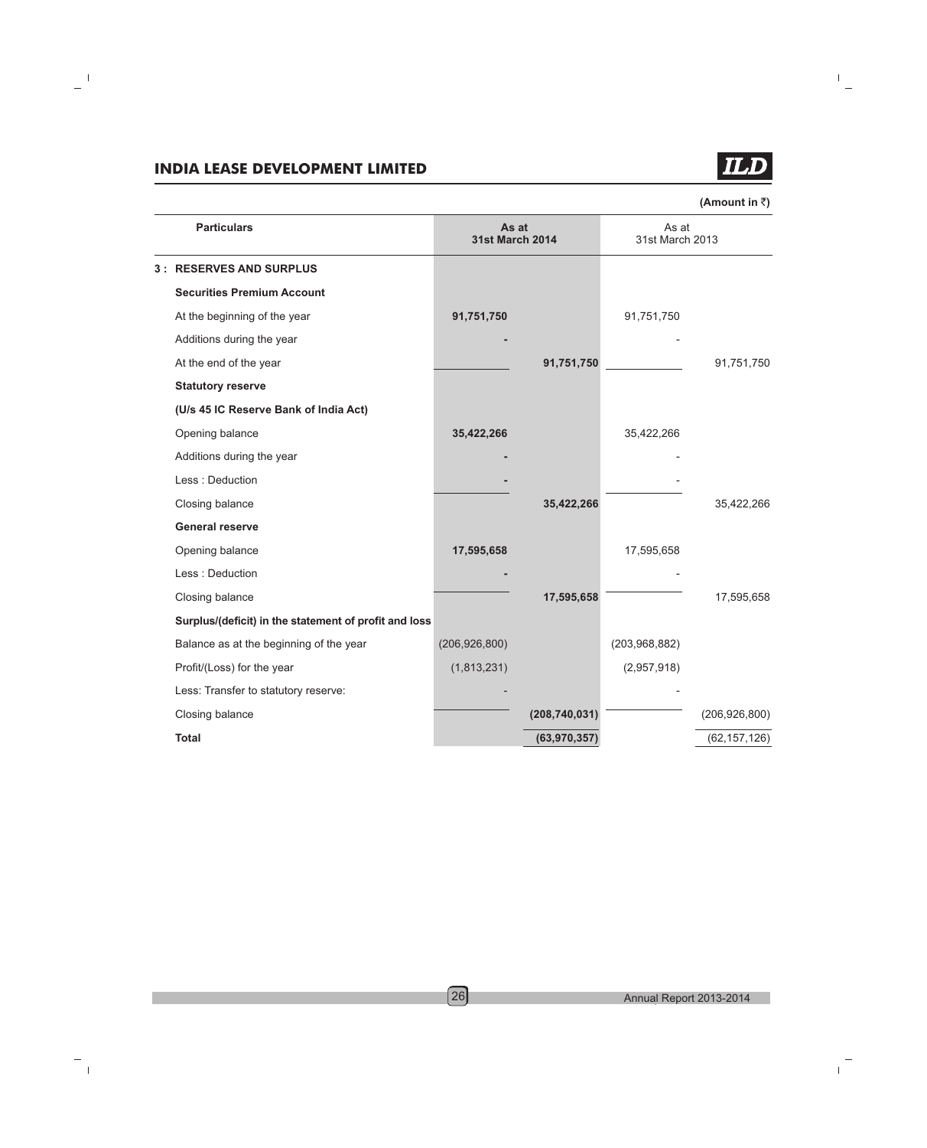

(Amount in **₹**)

| <b>Particulars</b>                                    |                 | As at<br><b>31st March 2014</b> | As at<br>31st March 2013 |                 |
|-------------------------------------------------------|-----------------|---------------------------------|--------------------------|-----------------|
| <b>3: RESERVES AND SURPLUS</b>                        |                 |                                 |                          |                 |
| <b>Securities Premium Account</b>                     |                 |                                 |                          |                 |
| At the beginning of the year                          | 91,751,750      |                                 | 91,751,750               |                 |
| Additions during the year                             |                 |                                 |                          |                 |
| At the end of the year                                |                 | 91,751,750                      |                          | 91,751,750      |
| <b>Statutory reserve</b>                              |                 |                                 |                          |                 |
| (U/s 45 IC Reserve Bank of India Act)                 |                 |                                 |                          |                 |
| Opening balance                                       | 35,422,266      |                                 | 35,422,266               |                 |
| Additions during the year                             |                 |                                 |                          |                 |
| Less: Deduction                                       |                 |                                 |                          |                 |
| Closing balance                                       |                 | 35,422,266                      |                          | 35,422,266      |
| <b>General reserve</b>                                |                 |                                 |                          |                 |
| Opening balance                                       | 17,595,658      |                                 | 17,595,658               |                 |
| Less : Deduction                                      |                 |                                 |                          |                 |
| Closing balance                                       |                 | 17,595,658                      |                          | 17,595,658      |
| Surplus/(deficit) in the statement of profit and loss |                 |                                 |                          |                 |
| Balance as at the beginning of the year               | (206, 926, 800) |                                 | (203,968,882)            |                 |
| Profit/(Loss) for the year                            | (1,813,231)     |                                 | (2,957,918)              |                 |
| Less: Transfer to statutory reserve:                  |                 |                                 |                          |                 |
| Closing balance                                       |                 | (208, 740, 031)                 |                          | (206, 926, 800) |
| <b>Total</b>                                          |                 | (63,970,357)                    |                          | (62, 157, 126)  |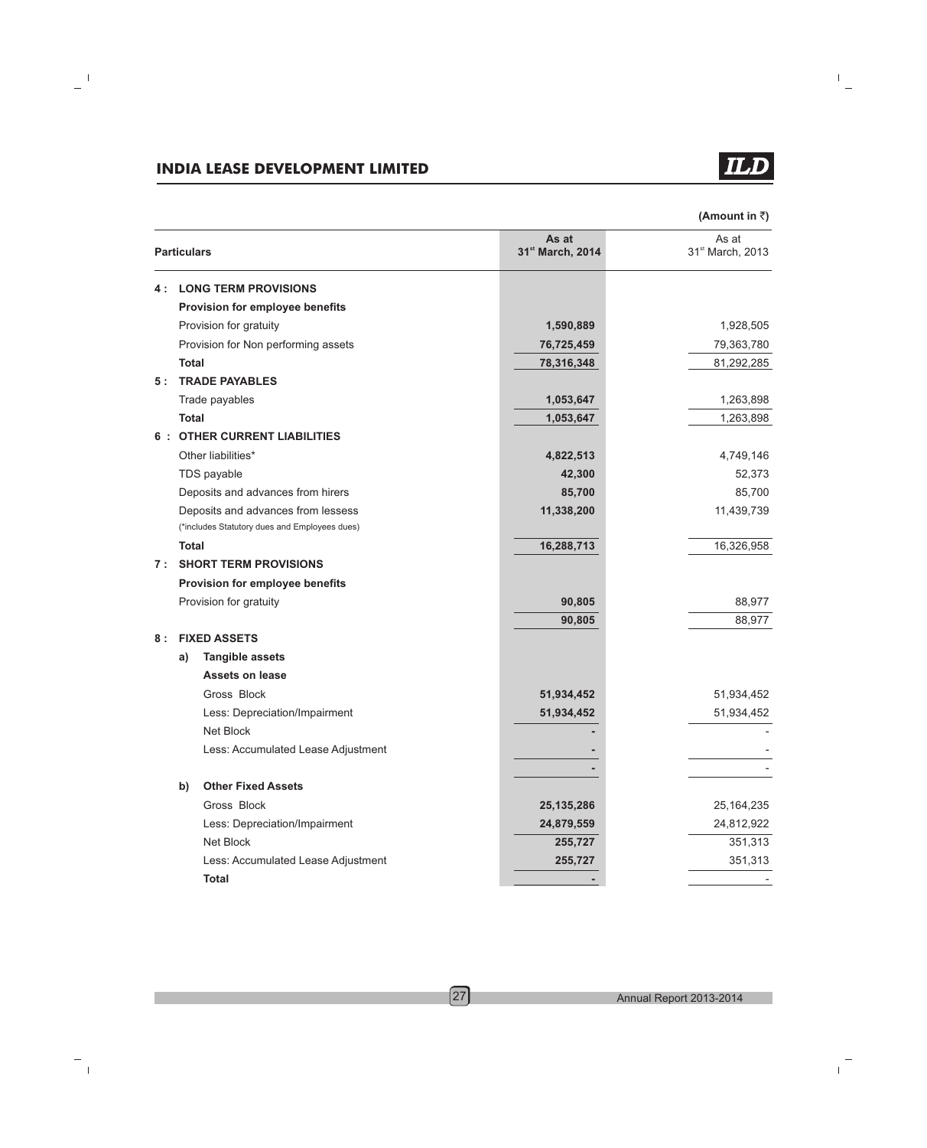**(Amount in** `**)**

|     | <b>Particulars</b>                                                                  | As at<br>31st March, 2014 | As at<br>31st March, 2013 |
|-----|-------------------------------------------------------------------------------------|---------------------------|---------------------------|
| 4 : | <b>LONG TERM PROVISIONS</b>                                                         |                           |                           |
|     | Provision for employee benefits                                                     |                           |                           |
|     | Provision for gratuity                                                              | 1,590,889                 | 1,928,505                 |
|     | Provision for Non performing assets                                                 | 76,725,459                | 79,363,780                |
|     | <b>Total</b>                                                                        | 78,316,348                | 81,292,285                |
| 5:  | <b>TRADE PAYABLES</b>                                                               |                           |                           |
|     | Trade payables                                                                      | 1,053,647                 | 1,263,898                 |
|     | Total                                                                               | 1,053,647                 | 1,263,898                 |
| 6:  | <b>OTHER CURRENT LIABILITIES</b>                                                    |                           |                           |
|     | Other liabilities*                                                                  | 4,822,513                 | 4,749,146                 |
|     | TDS payable                                                                         | 42,300                    | 52,373                    |
|     | Deposits and advances from hirers                                                   | 85,700                    | 85,700                    |
|     | Deposits and advances from lessess<br>(*includes Statutory dues and Employees dues) | 11,338,200                | 11,439,739                |
|     | Total                                                                               | 16,288,713                | 16,326,958                |
| 7:  | <b>SHORT TERM PROVISIONS</b>                                                        |                           |                           |
|     | Provision for employee benefits                                                     |                           |                           |
|     | Provision for gratuity                                                              | 90,805                    | 88,977                    |
|     |                                                                                     | 90,805                    | 88,977                    |
| 8 : | <b>FIXED ASSETS</b>                                                                 |                           |                           |
|     | <b>Tangible assets</b><br>a)                                                        |                           |                           |
|     | <b>Assets on lease</b>                                                              |                           |                           |
|     | Gross Block                                                                         | 51,934,452                | 51,934,452                |
|     | Less: Depreciation/Impairment                                                       | 51,934,452                | 51,934,452                |
|     | Net Block                                                                           |                           |                           |
|     | Less: Accumulated Lease Adjustment                                                  |                           |                           |
|     |                                                                                     |                           |                           |
|     | <b>Other Fixed Assets</b><br>b)                                                     |                           |                           |
|     | Gross Block                                                                         | 25, 135, 286              | 25, 164, 235              |
|     | Less: Depreciation/Impairment                                                       | 24,879,559                | 24,812,922                |
|     | Net Block                                                                           | 255,727                   | 351,313                   |
|     | Less: Accumulated Lease Adjustment                                                  | 255,727                   | 351,313                   |
|     | <b>Total</b>                                                                        |                           |                           |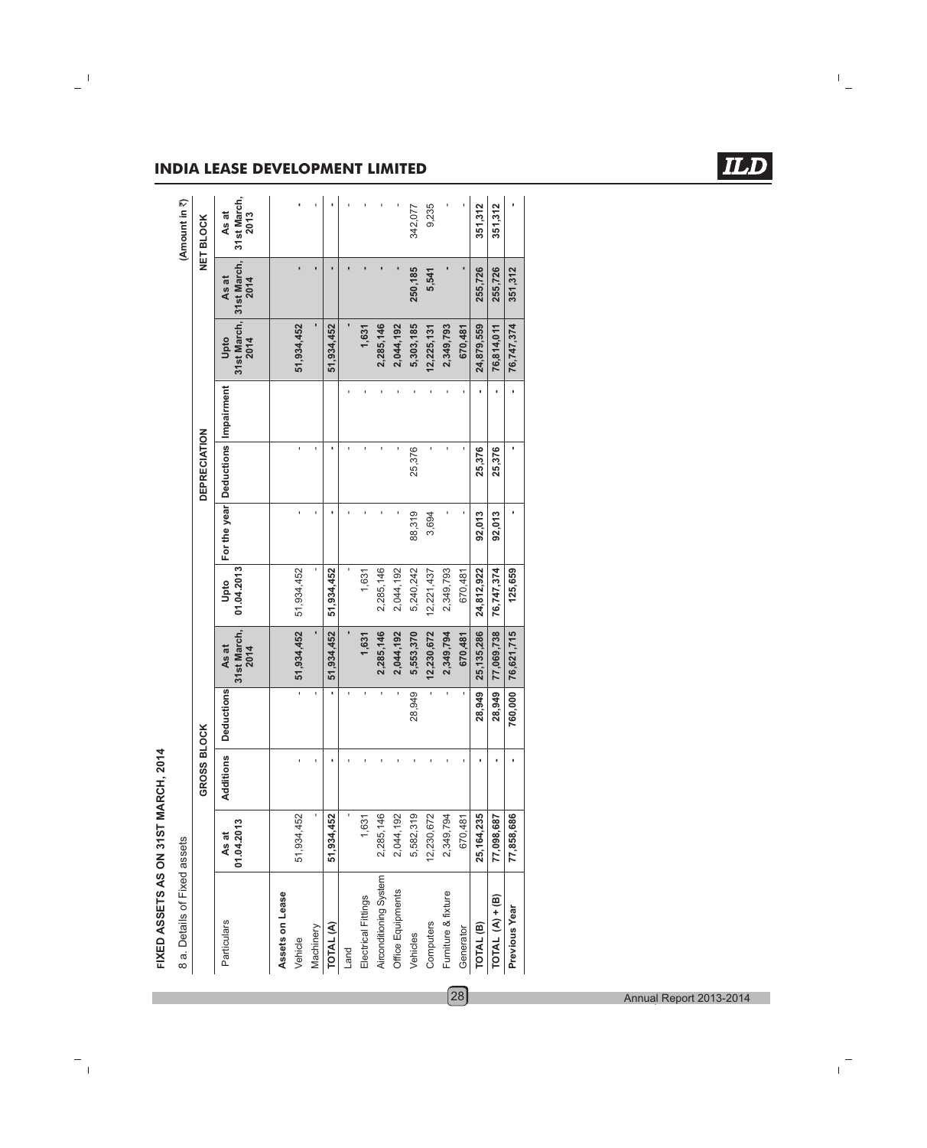| FIXED ASSETS AS ON 31ST MARCH, 2014 |                              |
|-------------------------------------|------------------------------|
|                                     |                              |
|                                     | 8 a. Details of Fixed assets |
|                                     |                              |

 $\blacktriangleleft$ 

| 8 a. Details of Fixed assets |                     |                  |            |                              |                    |        |                                    |                                         |               | (Amount in ₹)                |
|------------------------------|---------------------|------------------|------------|------------------------------|--------------------|--------|------------------------------------|-----------------------------------------|---------------|------------------------------|
|                              |                     | <b>GROSS BLO</b> | <b>OCK</b> |                              |                    |        | <b>DEPRECIATION</b>                |                                         |               | <b>NET BLOCK</b>             |
| Particulars                  | 01.04.2013<br>As at | Additions        | Deductions | 31st March,<br>As at<br>2014 | 01.04.2013<br>Upto |        | For the year Deductions Impairment | 31st March, 31st March,<br>Upto<br>2014 | As at<br>2014 | 31st March,<br>As at<br>2013 |
| Assets on Lease              |                     |                  |            |                              |                    |        |                                    |                                         |               |                              |
| Vehicle                      | 51,934,452          |                  | ı,         | 51,934,452                   | 51,934,452         |        | ï                                  | 51,934,452                              |               |                              |
| Machinery                    | ı                   |                  | ı          |                              |                    |        | ï                                  |                                         |               |                              |
| TOTAL (A)                    | 51,934,452          |                  |            | 51,934,452                   | 51,934,452         |        | í.                                 | 51,934,452                              |               |                              |
| Land                         |                     |                  | ı          |                              |                    |        | ı                                  |                                         |               |                              |
| Electrical Fittings          | 1,631               |                  | ï          | 1,631                        | 1,631              |        | ï                                  | 1,631                                   |               |                              |
| Airconditioning System       | 2,285,146           |                  | ï          | 2,285,146                    | 2,285,146          |        | ï                                  | 2,285,146                               |               |                              |
| Office Equipments            | 2,044,192           |                  |            | 2,044,192                    | 2,044,192          |        |                                    | 2,044,192                               |               |                              |
| Vehicles                     | 5,582,319           |                  | 28,949     | 5,553,370                    | 5,240,242          | 88,319 | 25,376                             | 5,303,185                               | 250,185       | 342,077                      |
| Computers                    | 12,230,672          |                  |            | 12,230,672                   | 12,221,437         | 3,694  | ï                                  | 12,225,131                              | 5,541         | 9,235                        |
| Furniture & fixture          | 2,349,794           |                  | ï          | 2,349,794                    | 2,349,793          |        | ï                                  | 2,349,793                               |               |                              |
| Generator                    | 670,481             |                  |            | 670,481                      | 670,481            |        | ï                                  | 670,481                                 |               |                              |
| TOTAL <sup>(B)</sup>         | 25,164,235          |                  | 28,949     | 25, 135, 286                 | 24,812,922         | 92,013 | 25,376                             | 24,879,559                              | 255,726       | 351,312                      |
| TOTAL $(A) + (B)$            | 77,098,687          |                  | 28,949     | 77,069,738                   | 76,747,374         | 92,013 | 25,376                             | 76,814,011                              | 255,726       | 351,312                      |
| Previous Year                | 77,858,686          |                  | 760,000    | 76,621,715                   | 125,659            |        |                                    | 76,747,374                              | 351,312       |                              |
|                              |                     |                  |            |                              |                    |        |                                    |                                         |               |                              |

### **INDIA LEASE DEVELOPMENT LIMITED**

**ILD**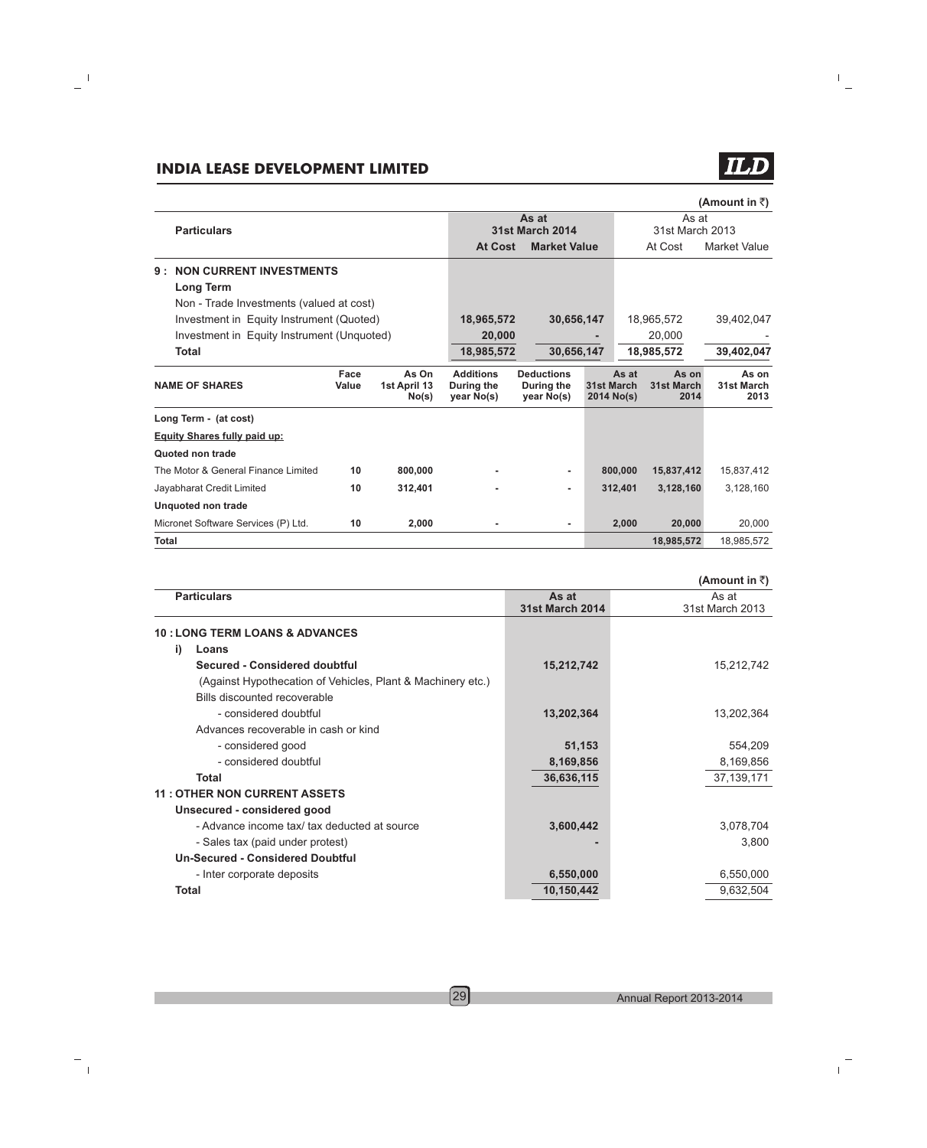| (Amount in ₹) |  |  |
|---------------|--|--|
|---------------|--|--|

| <b>Particulars</b>                         |               |                                | As at<br><b>31st March 2014</b>              |                                               |                          | As at<br>31st March 2013 |                             |                             |
|--------------------------------------------|---------------|--------------------------------|----------------------------------------------|-----------------------------------------------|--------------------------|--------------------------|-----------------------------|-----------------------------|
|                                            |               |                                | <b>At Cost</b>                               | <b>Market Value</b>                           |                          |                          | At Cost                     | <b>Market Value</b>         |
| <b>NON CURRENT INVESTMENTS</b><br>9:       |               |                                |                                              |                                               |                          |                          |                             |                             |
| <b>Long Term</b>                           |               |                                |                                              |                                               |                          |                          |                             |                             |
| Non - Trade Investments (valued at cost)   |               |                                |                                              |                                               |                          |                          |                             |                             |
| Investment in Equity Instrument (Quoted)   |               |                                | 18,965,572                                   | 30,656,147                                    |                          |                          | 18,965,572                  | 39,402,047                  |
| Investment in Equity Instrument (Unquoted) |               |                                | 20,000                                       |                                               |                          |                          | 20,000                      |                             |
| <b>Total</b>                               |               |                                | 18,985,572                                   | 30,656,147                                    |                          |                          | 18,985,572                  | 39,402,047                  |
| <b>NAME OF SHARES</b>                      | Face<br>Value | As On<br>1st April 13<br>No(s) | <b>Additions</b><br>During the<br>year No(s) | <b>Deductions</b><br>During the<br>year No(s) | 31st March<br>2014 No(s) | As at                    | As on<br>31st March<br>2014 | As on<br>31st March<br>2013 |
| Long Term - (at cost)                      |               |                                |                                              |                                               |                          |                          |                             |                             |
| <b>Equity Shares fully paid up:</b>        |               |                                |                                              |                                               |                          |                          |                             |                             |
| Quoted non trade                           |               |                                |                                              |                                               |                          |                          |                             |                             |
| The Motor & General Finance Limited        | 10            | 800,000                        |                                              |                                               |                          | 800.000                  | 15,837,412                  | 15,837,412                  |
| Jayabharat Credit Limited                  | 10            | 312,401                        |                                              | ۰                                             |                          | 312,401                  | 3,128,160                   | 3,128,160                   |
| Unquoted non trade                         |               |                                |                                              |                                               |                          |                          |                             |                             |
| Micronet Software Services (P) Ltd.        | 10            | 2,000                          |                                              | ۰                                             |                          | 2,000                    | 20,000                      | 20,000                      |
| <b>Total</b>                               |               |                                |                                              |                                               |                          |                          | 18.985.572                  | 18.985.572                  |

|       |                                                             |                        | (Amount in ₹)   |
|-------|-------------------------------------------------------------|------------------------|-----------------|
|       | <b>Particulars</b>                                          | As at                  | As at           |
|       |                                                             | <b>31st March 2014</b> | 31st March 2013 |
|       | <b>10 : LONG TERM LOANS &amp; ADVANCES</b>                  |                        |                 |
| i)    | Loans                                                       |                        |                 |
|       | Secured - Considered doubtful                               | 15,212,742             | 15,212,742      |
|       | (Against Hypothecation of Vehicles, Plant & Machinery etc.) |                        |                 |
|       | Bills discounted recoverable                                |                        |                 |
|       | - considered doubtful                                       | 13,202,364             | 13,202,364      |
|       | Advances recoverable in cash or kind                        |                        |                 |
|       | - considered good                                           | 51,153                 | 554,209         |
|       | - considered doubtful                                       | 8,169,856              | 8,169,856       |
|       | Total                                                       | 36,636,115             | 37, 139, 171    |
|       | <b>11: OTHER NON CURRENT ASSETS</b>                         |                        |                 |
|       | Unsecured - considered good                                 |                        |                 |
|       | - Advance income tax/ tax deducted at source                | 3,600,442              | 3,078,704       |
|       | - Sales tax (paid under protest)                            |                        | 3,800           |
|       | <b>Un-Secured - Considered Doubtful</b>                     |                        |                 |
|       | - Inter corporate deposits                                  | 6,550,000              | 6,550,000       |
| Total |                                                             | 10,150,442             | 9,632,504       |
|       |                                                             |                        |                 |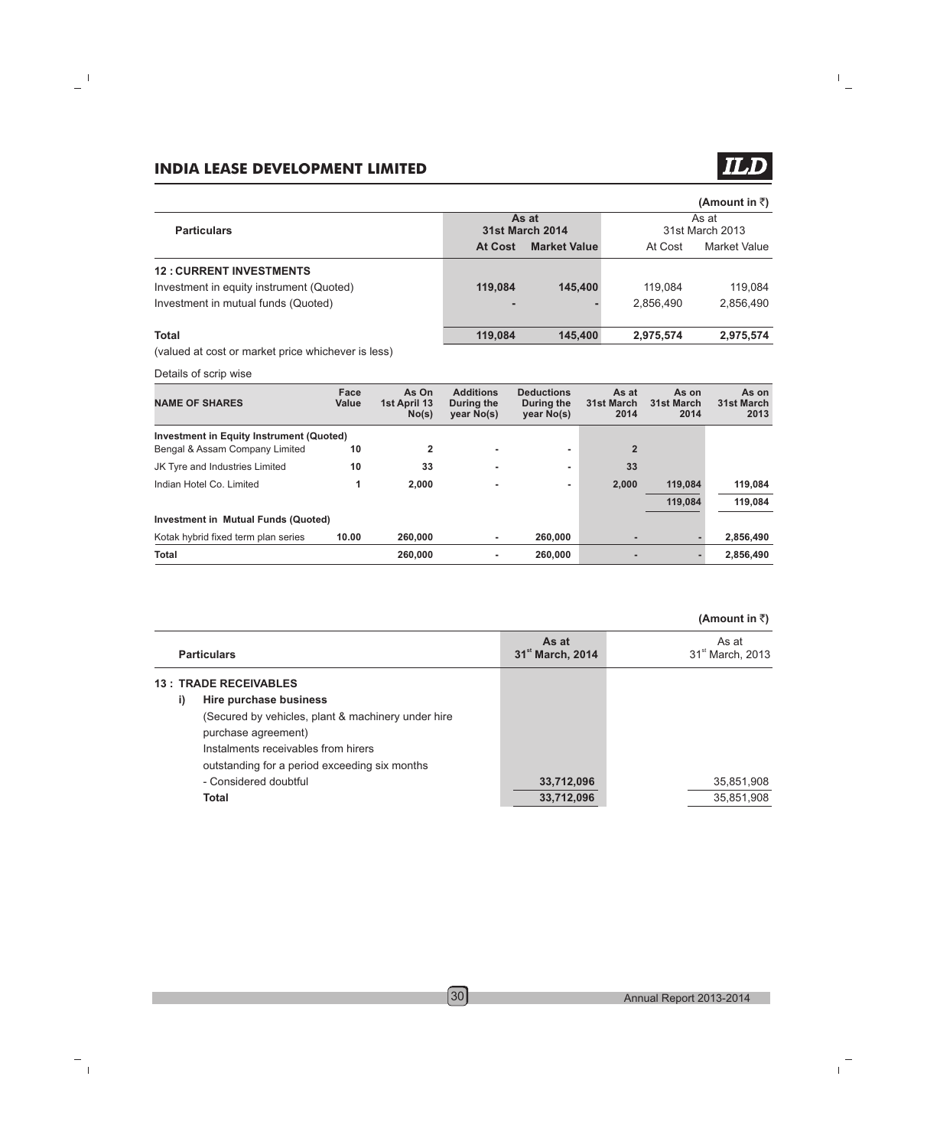### (Amount in **₹**)

 $\boldsymbol{\Pi}$ 

|                                          |                | As at                  |           | As at           |  |  |
|------------------------------------------|----------------|------------------------|-----------|-----------------|--|--|
| <b>Particulars</b>                       |                | <b>31st March 2014</b> |           | 31st March 2013 |  |  |
|                                          | <b>At Cost</b> | <b>Market Value</b>    | At Cost   | Market Value    |  |  |
| <b>12: CURRENT INVESTMENTS</b>           |                |                        |           |                 |  |  |
| Investment in equity instrument (Quoted) | 119.084        | 145,400                | 119.084   | 119.084         |  |  |
| Investment in mutual funds (Quoted)      |                |                        | 2.856.490 | 2.856.490       |  |  |
| <b>Total</b>                             | 119.084        | 145,400                | 2,975,574 | 2,975,574       |  |  |

(valued at cost or market price whichever is less)

Details of scrip wise

| <b>NAME OF SHARES</b>                           | Face<br>Value | As On<br>1st April 13<br>No(s) | <b>Additions</b><br>During the<br>year No(s) | <b>Deductions</b><br>During the<br>year No(s) | As at<br>31st March<br>2014 | As on<br>31st March<br>2014 | As on<br>31st March<br>2013 |
|-------------------------------------------------|---------------|--------------------------------|----------------------------------------------|-----------------------------------------------|-----------------------------|-----------------------------|-----------------------------|
| <b>Investment in Equity Instrument (Quoted)</b> |               |                                |                                              |                                               |                             |                             |                             |
| Bengal & Assam Company Limited                  | 10            | 2                              | $\blacksquare$                               | ۰                                             | $\overline{2}$              |                             |                             |
| JK Tyre and Industries Limited                  | 10            | 33                             | ۰                                            | ۰                                             | 33                          |                             |                             |
| Indian Hotel Co. Limited                        |               | 2.000                          | $\blacksquare$                               | ۰                                             | 2.000                       | 119.084                     | 119,084                     |
|                                                 |               |                                |                                              |                                               |                             | 119.084                     | 119.084                     |
| Investment in Mutual Funds (Quoted)             |               |                                |                                              |                                               |                             |                             |                             |
| Kotak hybrid fixed term plan series             | 10.00         | 260,000                        | ۰                                            | 260,000                                       |                             |                             | 2,856,490                   |
| <b>Total</b>                                    |               | 260,000                        | ۰                                            | 260,000                                       | ۰                           |                             | 2,856,490                   |

| <b>Particulars</b>                                 | As at<br>31 <sup>st</sup> March, 2014 | As at<br>31 <sup>st</sup> March, 2013 |
|----------------------------------------------------|---------------------------------------|---------------------------------------|
| <b>13: TRADE RECEIVABLES</b>                       |                                       |                                       |
| Hire purchase business<br>i)                       |                                       |                                       |
| (Secured by vehicles, plant & machinery under hire |                                       |                                       |
| purchase agreement)                                |                                       |                                       |
| Instalments receivables from hirers                |                                       |                                       |
| outstanding for a period exceeding six months      |                                       |                                       |
| - Considered doubtful                              | 33,712,096                            | 35,851,908                            |
| Total                                              | 33,712,096                            | 35,851,908                            |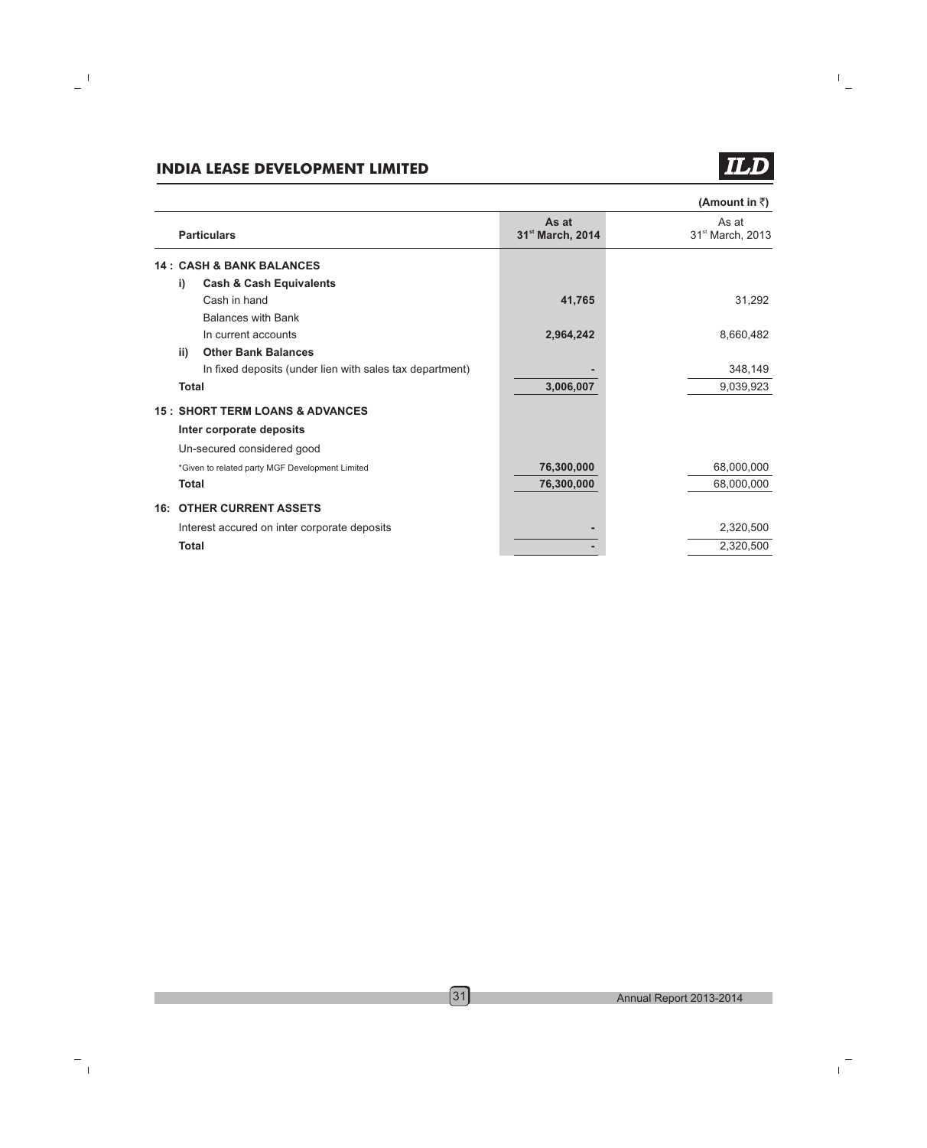# **TLD**

|              |                                                          |                                       | (Amount in ₹)                         |
|--------------|----------------------------------------------------------|---------------------------------------|---------------------------------------|
|              | <b>Particulars</b>                                       | As at<br>31 <sup>st</sup> March, 2014 | As at<br>31 <sup>st</sup> March, 2013 |
|              | <b>14: CASH &amp; BANK BALANCES</b>                      |                                       |                                       |
| i)           | <b>Cash &amp; Cash Equivalents</b>                       |                                       |                                       |
|              | Cash in hand                                             | 41,765                                | 31,292                                |
|              | <b>Balances with Bank</b>                                |                                       |                                       |
|              | In current accounts                                      | 2,964,242                             | 8,660,482                             |
| ii)          | <b>Other Bank Balances</b>                               |                                       |                                       |
|              | In fixed deposits (under lien with sales tax department) |                                       | 348,149                               |
| <b>Total</b> |                                                          | 3,006,007                             | 9,039,923                             |
|              | <b>15: SHORT TERM LOANS &amp; ADVANCES</b>               |                                       |                                       |
|              | Inter corporate deposits                                 |                                       |                                       |
|              | Un-secured considered good                               |                                       |                                       |
|              | *Given to related party MGF Development Limited          | 76,300,000                            | 68,000,000                            |
| <b>Total</b> |                                                          | 76,300,000                            | 68,000,000                            |
|              | <b>16: OTHER CURRENT ASSETS</b>                          |                                       |                                       |
|              | Interest accured on inter corporate deposits             |                                       | 2,320,500                             |
| <b>Total</b> |                                                          |                                       | 2,320,500                             |
|              |                                                          |                                       |                                       |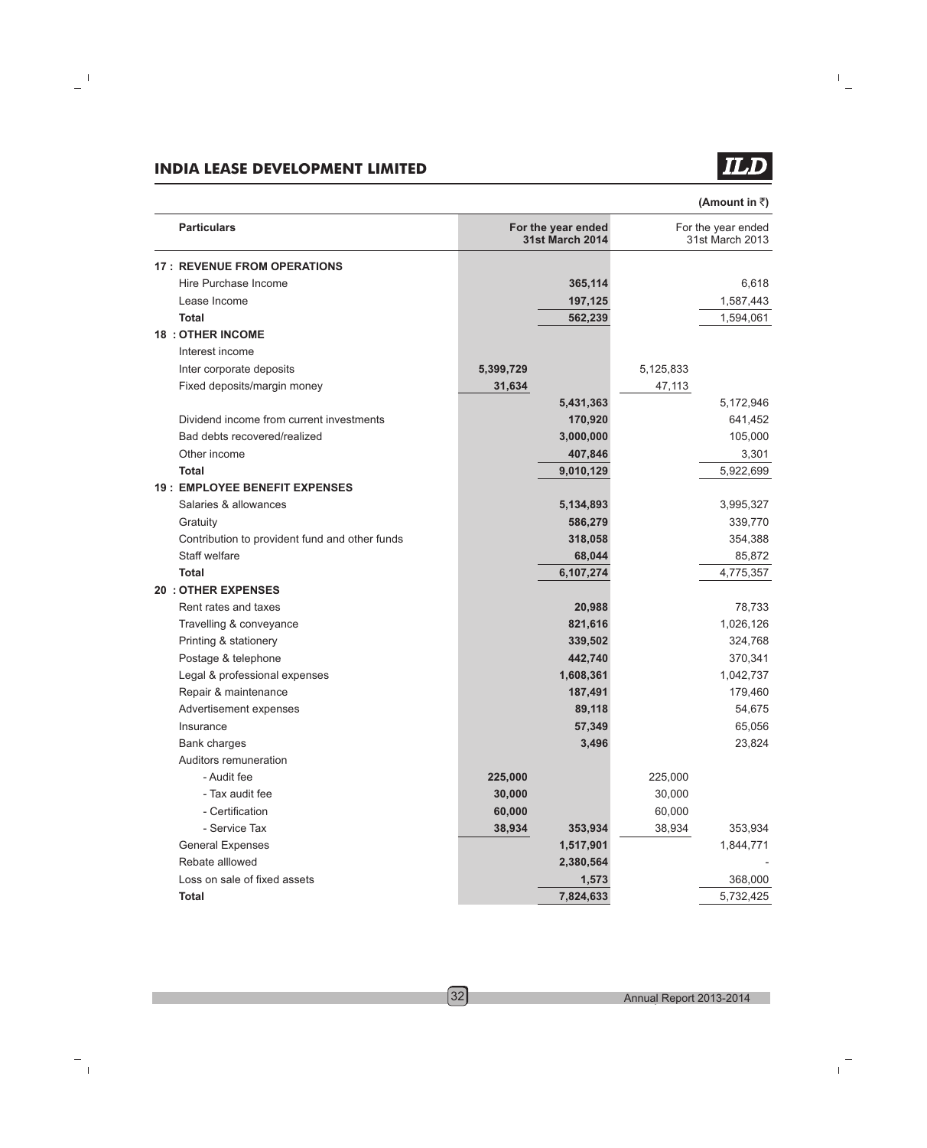**TLD** 

**(Amount in** `**)**

| <b>Particulars</b>                             |           | For the year ended<br><b>31st March 2014</b> |           | For the year ended<br>31st March 2013 |
|------------------------------------------------|-----------|----------------------------------------------|-----------|---------------------------------------|
| <b>17 : REVENUE FROM OPERATIONS</b>            |           |                                              |           |                                       |
| Hire Purchase Income                           |           | 365,114                                      |           | 6,618                                 |
| Lease Income                                   |           | 197,125                                      |           | 1,587,443                             |
| <b>Total</b>                                   |           | 562,239                                      |           | 1,594,061                             |
| <b>18 : OTHER INCOME</b>                       |           |                                              |           |                                       |
| Interest income                                |           |                                              |           |                                       |
| Inter corporate deposits                       | 5,399,729 |                                              | 5,125,833 |                                       |
| Fixed deposits/margin money                    | 31,634    |                                              | 47,113    |                                       |
|                                                |           | 5,431,363                                    |           | 5,172,946                             |
| Dividend income from current investments       |           | 170,920                                      |           | 641,452                               |
| Bad debts recovered/realized                   |           | 3,000,000                                    |           | 105,000                               |
| Other income                                   |           | 407,846                                      |           | 3,301                                 |
| <b>Total</b>                                   |           | 9,010,129                                    |           | 5,922,699                             |
| <b>19: EMPLOYEE BENEFIT EXPENSES</b>           |           |                                              |           |                                       |
| Salaries & allowances                          |           | 5,134,893                                    |           | 3,995,327                             |
| Gratuity                                       |           | 586,279                                      |           | 339,770                               |
| Contribution to provident fund and other funds |           | 318,058                                      |           | 354,388                               |
| Staff welfare                                  |           | 68,044                                       |           | 85,872                                |
| <b>Total</b>                                   |           | 6,107,274                                    |           | 4,775,357                             |
| <b>20 : OTHER EXPENSES</b>                     |           |                                              |           |                                       |
| Rent rates and taxes                           |           | 20,988                                       |           | 78,733                                |
| Travelling & conveyance                        |           | 821,616                                      |           | 1,026,126                             |
| Printing & stationery                          |           | 339,502                                      |           | 324,768                               |
| Postage & telephone                            |           | 442,740                                      |           | 370,341                               |
| Legal & professional expenses                  |           | 1,608,361                                    |           | 1,042,737                             |
| Repair & maintenance                           |           | 187,491                                      |           | 179,460                               |
| Advertisement expenses                         |           | 89,118                                       |           | 54,675                                |
| Insurance                                      |           | 57,349                                       |           | 65,056                                |
| <b>Bank charges</b>                            |           | 3,496                                        |           | 23,824                                |
| Auditors remuneration                          |           |                                              |           |                                       |
| - Audit fee                                    | 225,000   |                                              | 225,000   |                                       |
| - Tax audit fee                                | 30,000    |                                              | 30,000    |                                       |
| - Certification                                | 60,000    |                                              | 60,000    |                                       |
| - Service Tax                                  | 38,934    | 353,934                                      | 38,934    | 353,934                               |
| <b>General Expenses</b>                        |           | 1,517,901                                    |           | 1,844,771                             |
| Rebate alllowed                                |           | 2,380,564                                    |           |                                       |
| Loss on sale of fixed assets                   |           | 1,573                                        |           | 368,000                               |
| <b>Total</b>                                   |           | 7,824,633                                    |           | 5,732,425                             |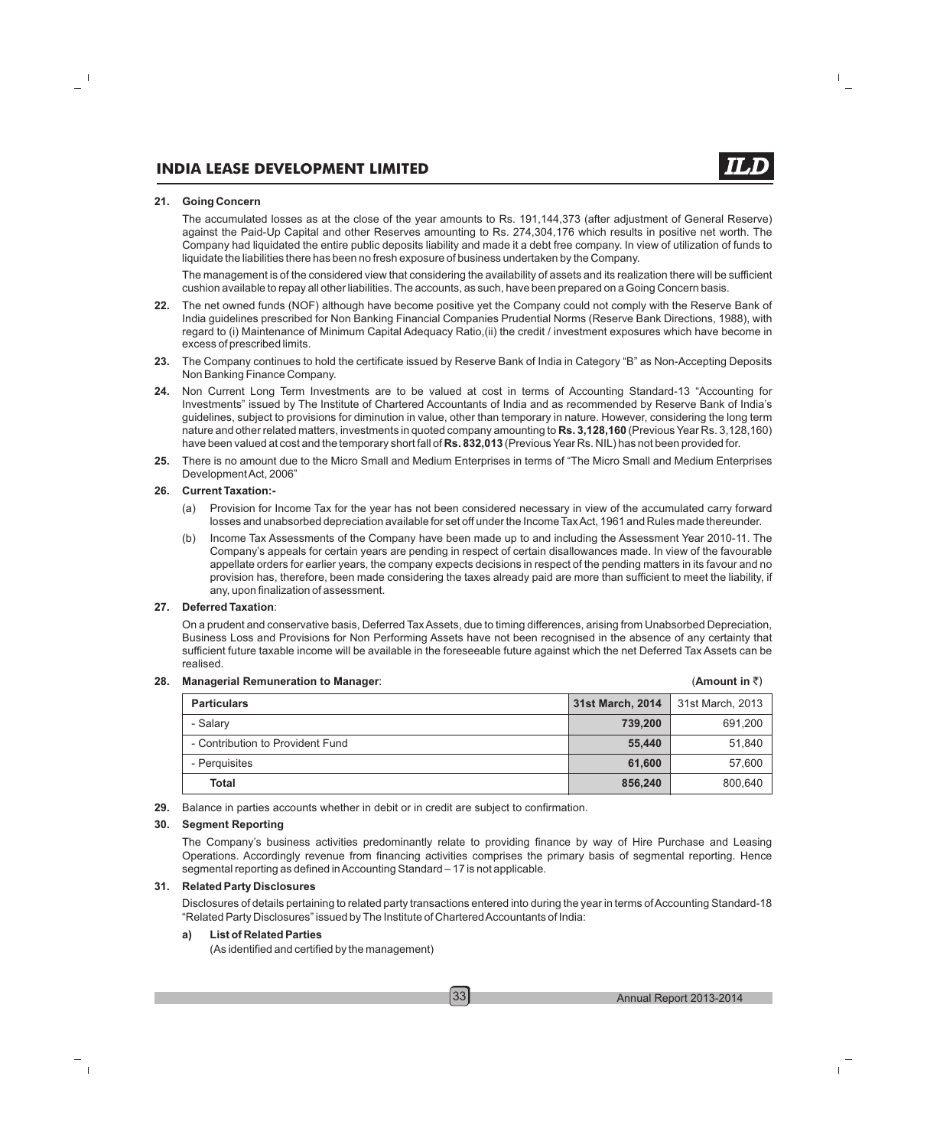#### **21. Going Concern**

The accumulated losses as at the close of the year amounts to Rs. 191,144,373 (after adjustment of General Reserve) against the Paid-Up Capital and other Reserves amounting to Rs. 274,304,176 which results in positive net worth. The Company had liquidated the entire public deposits liability and made it a debt free company. In view of utilization of funds to liquidate the liabilities there has been no fresh exposure of business undertaken by the Company.

The management is of the considered view that considering the availability of assets and its realization there will be sufficient cushion available to repay all other liabilities. The accounts, as such, have been prepared on a Going Concern basis.

- **22.** The net owned funds (NOF) although have become positive yet the Company could not comply with the Reserve Bank of India guidelines prescribed for Non Banking Financial Companies Prudential Norms (Reserve Bank Directions, 1988), with regard to (i) Maintenance of Minimum Capital Adequacy Ratio,(ii) the credit / investment exposures which have become in excess of prescribed limits.
- **23.** The Company continues to hold the certificate issued by Reserve Bank of India in Category "B" as Non-Accepting Deposits Non Banking Finance Company.
- **24.** Non Current Long Term Investments are to be valued at cost in terms of Accounting Standard-13 "Accounting for Investments" issued by The Institute of Chartered Accountants of India and as recommended by Reserve Bank of India's guidelines, subject to provisions for diminution in value, other than temporary in nature. However, considering the long term nature and other related matters, investments in quoted company amounting to **Rs. 3,128,160** (Previous Year Rs. 3,128,160) have been valued at cost and the temporary short fall of **Rs. 832,013** (Previous Year Rs. NIL) has not been provided for.
- **25.** There is no amount due to the Micro Small and Medium Enterprises in terms of "The Micro Small and Medium Enterprises Development Act, 2006"

#### **26. Current Taxation:-**

- (a) Provision for Income Tax for the year has not been considered necessary in view of the accumulated carry forward losses and unabsorbed depreciation available for set off under the Income Tax Act, 1961 and Rules made thereunder.
- (b) Income Tax Assessments of the Company have been made up to and including the Assessment Year 2010-11. The Company's appeals for certain years are pending in respect of certain disallowances made. In view of the favourable appellate orders for earlier years, the company expects decisions in respect of the pending matters in its favour and no provision has, therefore, been made considering the taxes already paid are more than sufficient to meet the liability, if any, upon finalization of assessment.

#### **27. Deferred Taxation**:

On a prudent and conservative basis, Deferred Tax Assets, due to timing differences, arising from Unabsorbed Depreciation, Business Loss and Provisions for Non Performing Assets have not been recognised in the absence of any certainty that sufficient future taxable income will be available in the foreseeable future against which the net Deferred Tax Assets can be realised.

#### **28. Managerial Remuneration to Manager:**

| <b>Particulars</b>               | 31st March, 2014 | 31st March, 2013 |
|----------------------------------|------------------|------------------|
| - Salary                         | 739,200          | 691,200          |
| - Contribution to Provident Fund | 55.440           | 51,840           |
| - Perquisites                    | 61.600           | 57,600           |
| <b>Total</b>                     | 856,240          | 800,640          |

#### **29.** Balance in parties accounts whether in debit or in credit are subject to confirmation.

#### **30. Segment Reporting**

The Company's business activities predominantly relate to providing finance by way of Hire Purchase and Leasing Operations. Accordingly revenue from financing activities comprises the primary basis of segmental reporting. Hence segmental reporting as defined in Accounting Standard – 17 is not applicable.

#### **31. Related Party Disclosures**

Disclosures of details pertaining to related party transactions entered into during the year in terms of Accounting Standard-18 "Related Party Disclosures" issued by The Institute of Chartered Accountants of India:

#### **a) List of Related Parties**

(As identified and certified by the management)

(Amount in  $\bar{z}$ )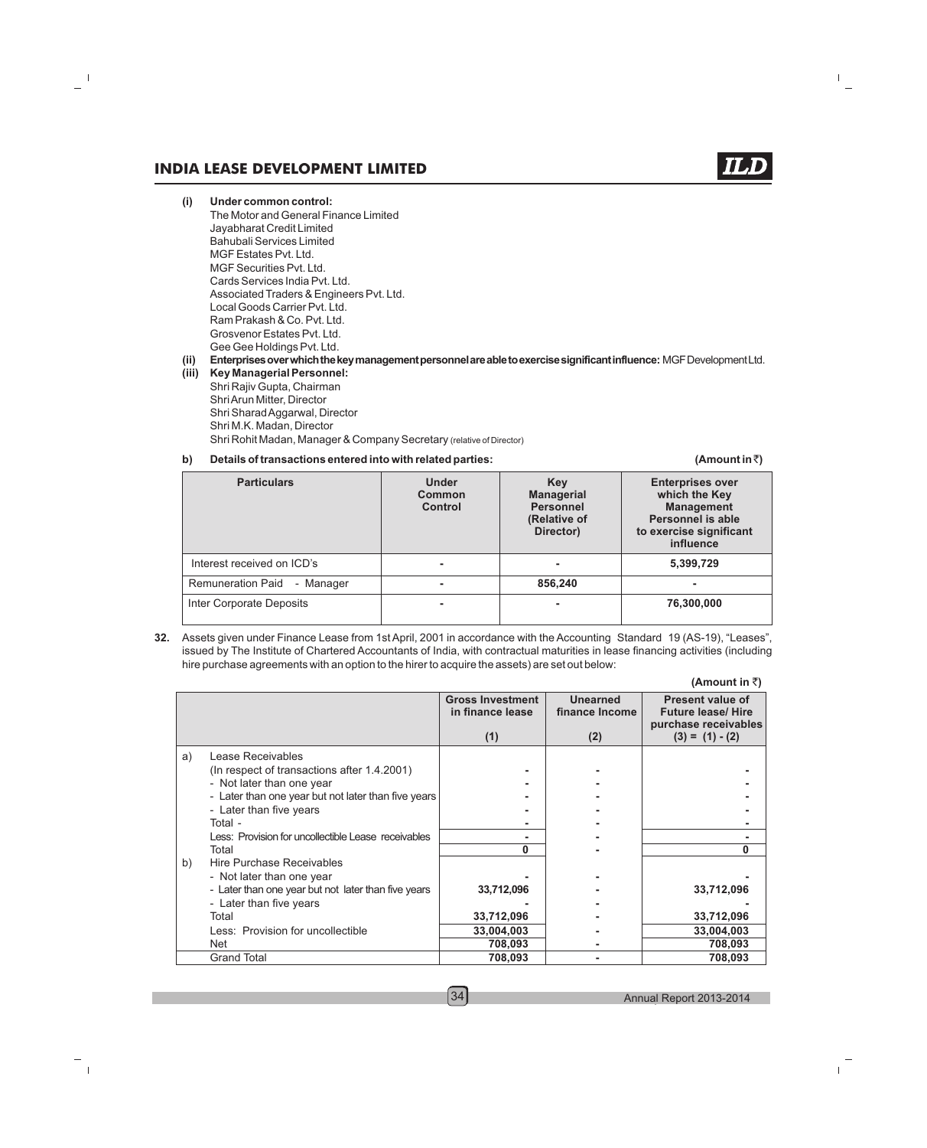(Amount in  $\bar{z}$ )

- **(i) Under common control:** The Motor and General Finance Limited Jayabharat Credit Limited Bahubali Services Limited MGF Estates Pvt. Ltd. MGF Securities Pvt. Ltd. Cards Services India Pvt. Ltd. Associated Traders & Engineers Pvt. Ltd. Local Goods Carrier Pvt. Ltd. Ram Prakash & Co. Pvt. Ltd. Grosvenor Estates Pvt. Ltd. Gee Gee Holdings Pvt. Ltd. **(ii) Enterprisesoverwhichthekeymanagementpersonnelareabletoexercisesignificantinfluence:** MGFDevelopmentLtd.
- **(iii) Key Managerial Personnel:** Shri Rajiv Gupta, Chairman Shri Arun Mitter, Director Shri Sharad Aggarwal, Director Shri M.K. Madan, Director Shri Rohit Madan, Manager & Company Secretary (relative of Director)

#### **b)** Details of transactions entered into with related parties:

**Particulars Particulars Particulars Enterprises over Under <b>Key Enterprises over Common Enterprises over Enterprises over Common Managerial which the Key Personnel Management**<br> **Control Control Control Personnel is able (Relative of Personnel is able Director) to exercise significant influence** Interest received on ICD's **- - 5,399,729** Remuneration Paid - Manager **- 856,240 -** Inter Corporate Deposits **- - 76,300,000**

**32.** Assets given under Finance Lease from 1st April, 2001 in accordance with the Accounting Standard 19 (AS-19), "Leases", issued by The Institute of Chartered Accountants of India, with contractual maturities in lease financing activities (including hire purchase agreements with an option to the hirer to acquire the assets) are set out below:

|    |                                                     |                                                    |                                          | (Amount in ₹ੋ)                                                                                    |
|----|-----------------------------------------------------|----------------------------------------------------|------------------------------------------|---------------------------------------------------------------------------------------------------|
|    |                                                     | <b>Gross Investment</b><br>in finance lease<br>(1) | <b>Unearned</b><br>finance Income<br>(2) | <b>Present value of</b><br><b>Future lease/ Hire</b><br>purchase receivables<br>$(3) = (1) - (2)$ |
| a) | Lease Receivables                                   |                                                    |                                          |                                                                                                   |
|    | (In respect of transactions after 1.4.2001)         |                                                    |                                          |                                                                                                   |
|    | - Not later than one year                           |                                                    |                                          |                                                                                                   |
|    | - Later than one year but not later than five years |                                                    |                                          |                                                                                                   |
|    | - Later than five years                             |                                                    |                                          |                                                                                                   |
|    | Total -                                             |                                                    |                                          |                                                                                                   |
|    | Less: Provision for uncollectible Lease receivables |                                                    |                                          |                                                                                                   |
|    | Total                                               | 0                                                  |                                          | O                                                                                                 |
| b) | Hire Purchase Receivables                           |                                                    |                                          |                                                                                                   |
|    | - Not later than one year                           |                                                    |                                          |                                                                                                   |
|    | - Later than one year but not later than five years | 33,712,096                                         |                                          | 33,712,096                                                                                        |
|    | - Later than five years                             |                                                    |                                          |                                                                                                   |
|    | Total                                               | 33,712,096                                         |                                          | 33,712,096                                                                                        |
|    | Less: Provision for uncollectible                   | 33,004,003                                         |                                          | 33,004,003                                                                                        |
|    | Net                                                 | 708,093                                            |                                          | 708,093                                                                                           |
|    | <b>Grand Total</b>                                  | 708,093                                            |                                          | 708,093                                                                                           |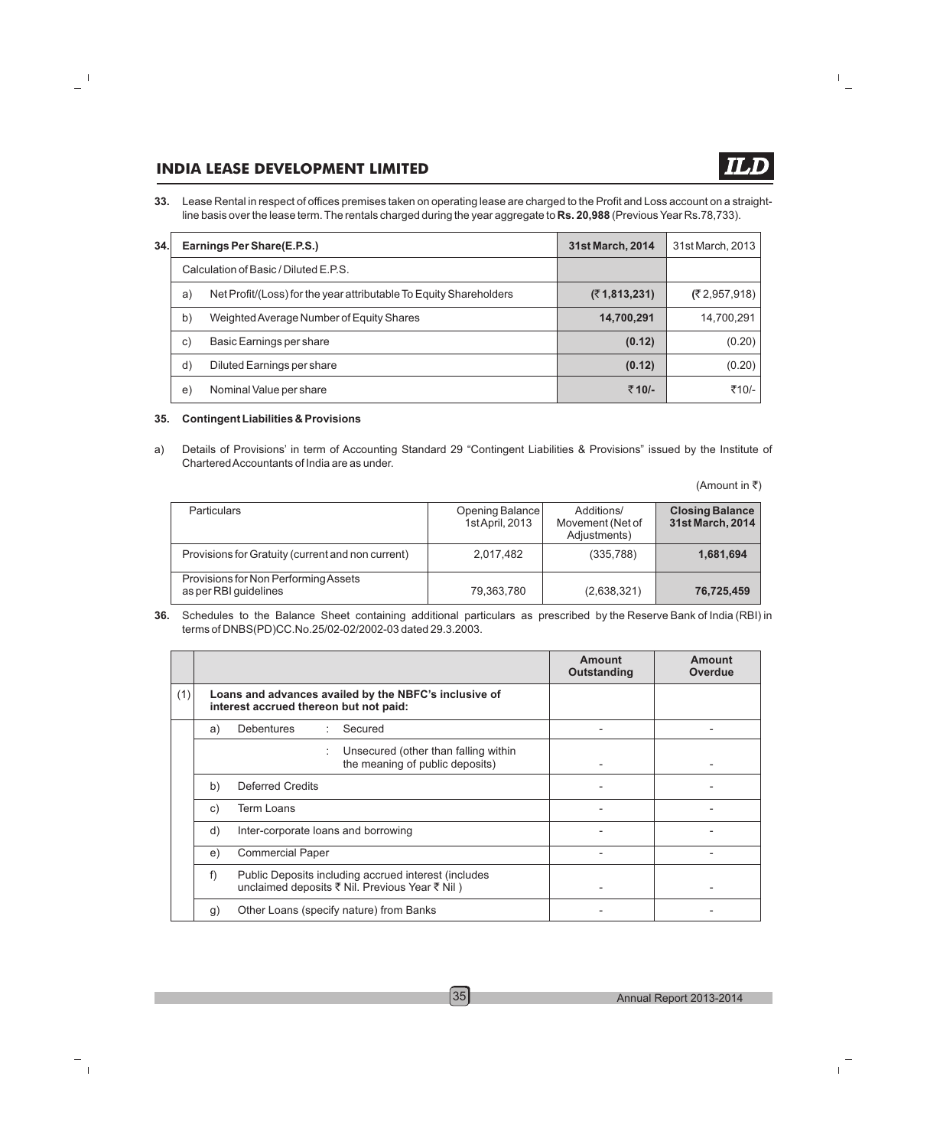**33.** Lease Rental in respect of offices premises taken on operating lease are charged to the Profit and Loss account on a straightline basis over the lease term. The rentals charged during the year aggregate to **Rs. 20,988** (Previous Year Rs.78,733).

| 34. |    | Earnings Per Share(E.P.S.)                                         | 31st March, 2014 | 31st March, 2013 |
|-----|----|--------------------------------------------------------------------|------------------|------------------|
|     |    | Calculation of Basic / Diluted E.P.S.                              |                  |                  |
|     | a) | Net Profit/(Loss) for the year attributable To Equity Shareholders | (71,813,231)     | (2,957,918)      |
|     | b) | Weighted Average Number of Equity Shares                           | 14,700,291       | 14,700,291       |
|     | C) | Basic Earnings per share                                           | (0.12)           | (0.20)           |
|     | d) | Diluted Earnings per share                                         | (0.12)           | (0.20)           |
|     | e) | Nominal Value per share                                            | ₹10/-            | ₹10/-            |

#### **35. Contingent Liabilities & Provisions**

a) Details of Provisions' in term of Accounting Standard 29 "Contingent Liabilities & Provisions" issued by the Institute of Chartered Accountants of India are as under.

(Amount in  $\overline{\tau}$ )

| <b>Particulars</b>                                            | Opening Balance<br>1st April, 2013 | Additions/<br>Movement (Net of<br>Adjustments) | <b>Closing Balance</b><br>31st March, 2014 |
|---------------------------------------------------------------|------------------------------------|------------------------------------------------|--------------------------------------------|
| Provisions for Gratuity (current and non current)             | 2,017,482                          | (335,788)                                      | 1,681,694                                  |
| Provisions for Non Performing Assets<br>as per RBI guidelines | 79,363,780                         | (2,638,321)                                    | 76,725,459                                 |

**36.** Schedules to the Balance Sheet containing additional particulars as prescribed by the Reserve Bank of India (RBI) in terms of DNBS(PD)CC.No.25/02-02/2002-03 dated 29.3.2003.

|     |                |                                                                                                        | Amount<br>Outstanding | Amount<br><b>Overdue</b> |
|-----|----------------|--------------------------------------------------------------------------------------------------------|-----------------------|--------------------------|
| (1) |                | Loans and advances availed by the NBFC's inclusive of<br>interest accrued thereon but not paid:        |                       |                          |
|     | a)             | <b>Debentures</b><br>Secured<br>÷                                                                      |                       |                          |
|     |                | Unsecured (other than falling within<br>the meaning of public deposits)                                |                       |                          |
|     | b)             | Deferred Credits                                                                                       |                       |                          |
|     | C)             | Term Loans                                                                                             |                       |                          |
|     | d)             | Inter-corporate loans and borrowing                                                                    |                       |                          |
|     | e)             | <b>Commercial Paper</b>                                                                                |                       |                          |
|     | f)             | Public Deposits including accrued interest (includes<br>unclaimed deposits ₹ Nil. Previous Year ₹ Nil) |                       |                          |
|     | $\mathfrak{g}$ | Other Loans (specify nature) from Banks                                                                |                       |                          |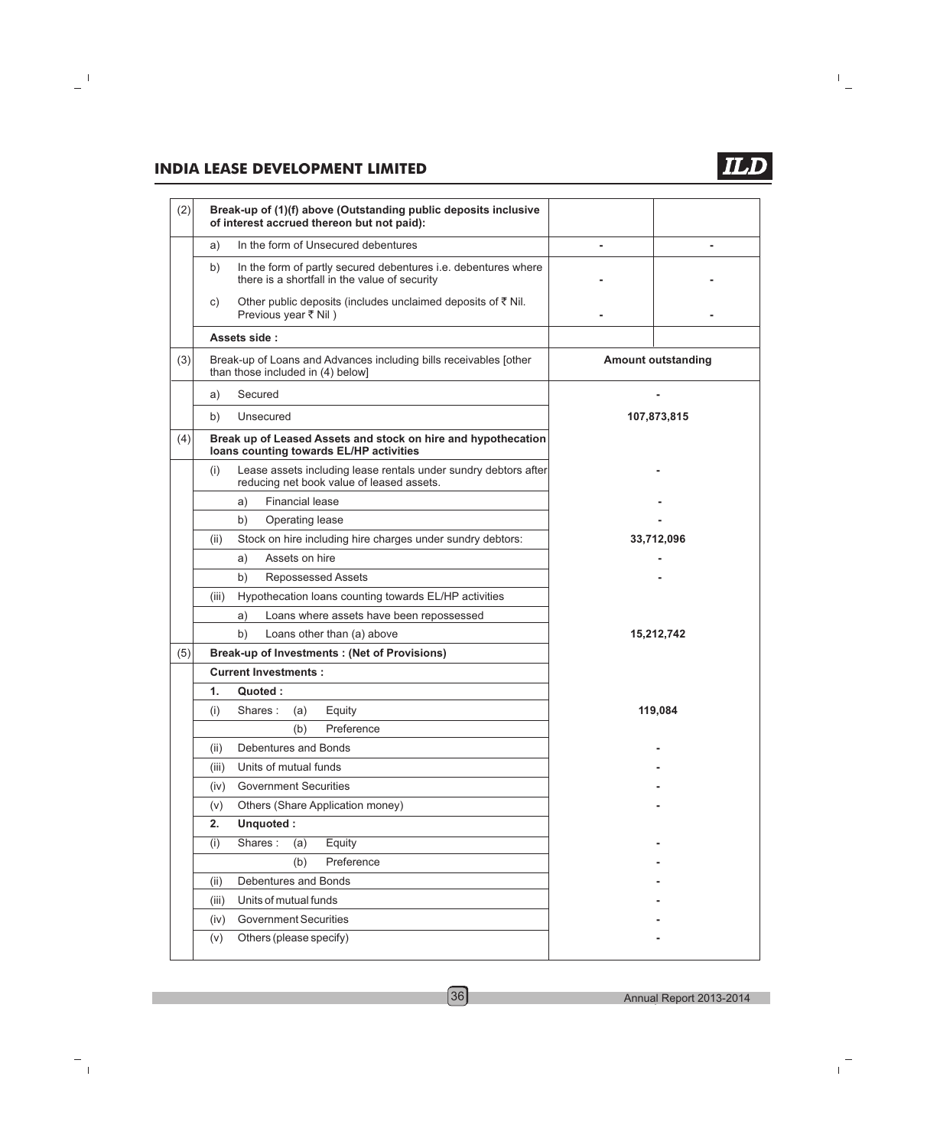

| (2) | Break-up of (1)(f) above (Outstanding public deposits inclusive<br>of interest accrued thereon but not paid):         |                           |
|-----|-----------------------------------------------------------------------------------------------------------------------|---------------------------|
|     | In the form of Unsecured debentures<br>a)                                                                             | -                         |
|     | In the form of partly secured debentures i.e. debentures where<br>b)<br>there is a shortfall in the value of security |                           |
|     | Other public deposits (includes unclaimed deposits of ₹ Nil.<br>C)<br>Previous year ₹ Nil)                            |                           |
|     | Assets side:                                                                                                          |                           |
| (3) | Break-up of Loans and Advances including bills receivables [other<br>than those included in (4) below]                | <b>Amount outstanding</b> |
|     | Secured<br>a)                                                                                                         |                           |
|     | b)<br>Unsecured                                                                                                       | 107,873,815               |
| (4) | Break up of Leased Assets and stock on hire and hypothecation<br>loans counting towards EL/HP activities              |                           |
|     | Lease assets including lease rentals under sundry debtors after<br>(i)<br>reducing net book value of leased assets.   |                           |
|     | <b>Financial lease</b><br>a)                                                                                          |                           |
|     | b)<br>Operating lease                                                                                                 |                           |
|     | Stock on hire including hire charges under sundry debtors:<br>(ii)                                                    | 33,712,096                |
|     | Assets on hire<br>a)                                                                                                  |                           |
|     | b)<br><b>Repossessed Assets</b>                                                                                       |                           |
|     | Hypothecation loans counting towards EL/HP activities<br>(iii)                                                        |                           |
|     | Loans where assets have been repossessed<br>a)                                                                        |                           |
|     | b)<br>Loans other than (a) above                                                                                      | 15,212,742                |
| (5) | <b>Break-up of Investments: (Net of Provisions)</b>                                                                   |                           |
|     | <b>Current Investments:</b>                                                                                           |                           |
|     | 1.<br>Quoted:                                                                                                         |                           |
|     | Equity<br>(i)<br>Shares:<br>(a)                                                                                       | 119,084                   |
|     | Preference<br>(b)                                                                                                     |                           |
|     | Debentures and Bonds<br>(ii)                                                                                          |                           |
|     | Units of mutual funds<br>(iii)                                                                                        |                           |
|     | <b>Government Securities</b><br>(iv)                                                                                  |                           |
|     | Others (Share Application money)<br>(v)                                                                               |                           |
|     | Unquoted:<br>2.                                                                                                       |                           |
|     | Shares:<br>(i)<br>Equity<br>(a)                                                                                       |                           |
|     | Preference<br>(b)                                                                                                     |                           |
|     | Debentures and Bonds<br>(ii)                                                                                          |                           |
|     | Units of mutual funds<br>(iii)                                                                                        |                           |
|     | <b>Government Securities</b><br>(iv)                                                                                  |                           |
|     | Others (please specify)<br>(v)                                                                                        |                           |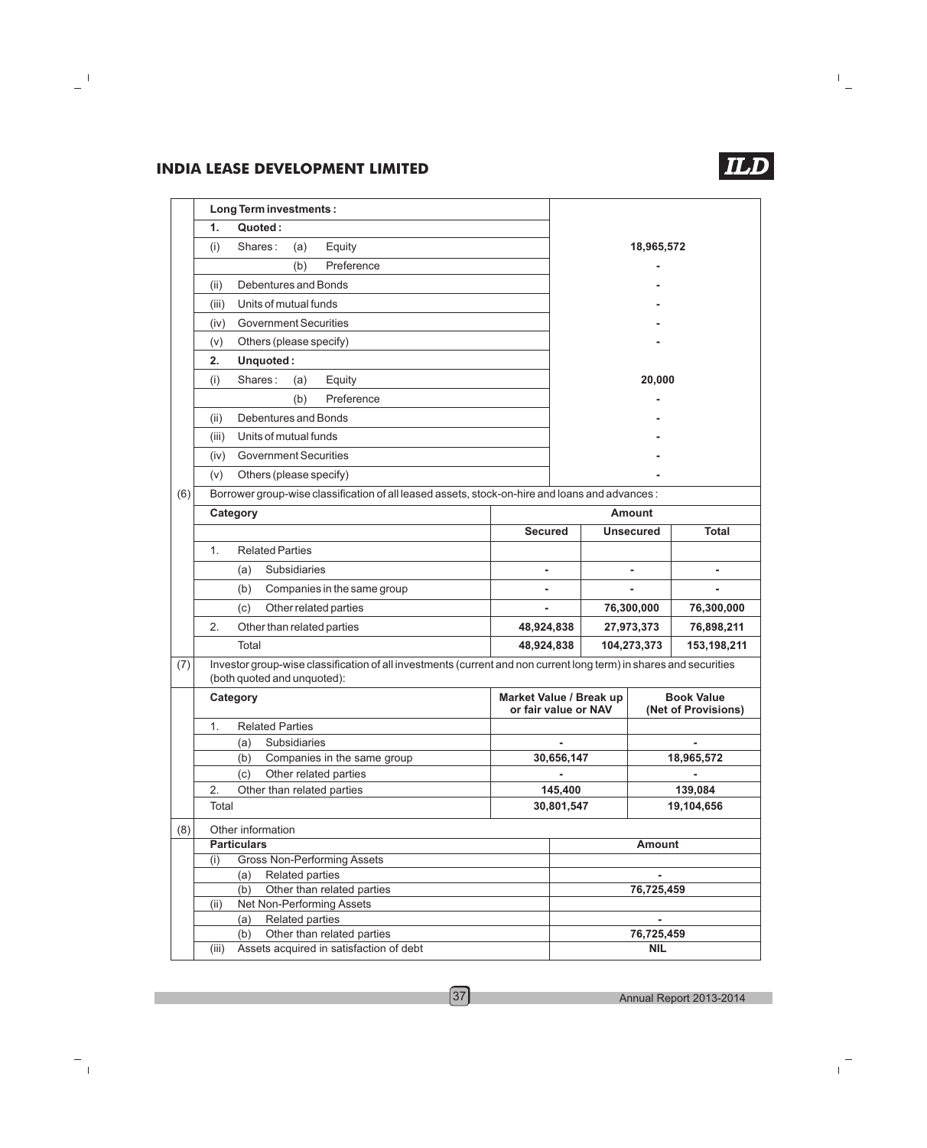|     |       | <b>Long Term investments:</b>                                                                                                                     |                                                 |            |                  |                                          |
|-----|-------|---------------------------------------------------------------------------------------------------------------------------------------------------|-------------------------------------------------|------------|------------------|------------------------------------------|
|     | 1.    | Quoted:                                                                                                                                           |                                                 |            |                  |                                          |
|     | (i)   | Shares:<br>Equity<br>(a)                                                                                                                          |                                                 |            | 18,965,572       |                                          |
|     |       | Preference<br>(b)                                                                                                                                 |                                                 |            |                  |                                          |
|     | (ii)  | Debentures and Bonds                                                                                                                              |                                                 |            |                  |                                          |
|     | (iii) | Units of mutual funds                                                                                                                             |                                                 |            |                  |                                          |
|     |       | <b>Government Securities</b>                                                                                                                      |                                                 |            |                  |                                          |
|     | (iv)  |                                                                                                                                                   |                                                 |            |                  |                                          |
|     | (v)   | Others (please specify)                                                                                                                           |                                                 |            |                  |                                          |
|     | 2.    | Unquoted:                                                                                                                                         |                                                 |            |                  |                                          |
|     | (i)   | Shares:<br>(a)<br>Equity                                                                                                                          |                                                 |            | 20,000           |                                          |
|     |       | Preference<br>(b)                                                                                                                                 |                                                 |            |                  |                                          |
|     | (ii)  | Debentures and Bonds                                                                                                                              |                                                 |            |                  |                                          |
|     | (iii) | Units of mutual funds                                                                                                                             |                                                 |            |                  |                                          |
|     | (iv)  | <b>Government Securities</b>                                                                                                                      |                                                 |            |                  |                                          |
|     | (v)   | Others (please specify)                                                                                                                           |                                                 |            |                  |                                          |
| (6) |       | Borrower group-wise classification of all leased assets, stock-on-hire and loans and advances :                                                   |                                                 |            |                  |                                          |
|     |       | Category                                                                                                                                          |                                                 |            | <b>Amount</b>    |                                          |
|     |       |                                                                                                                                                   | <b>Secured</b>                                  |            | <b>Unsecured</b> | <b>Total</b>                             |
|     |       |                                                                                                                                                   |                                                 |            |                  |                                          |
|     | 1.    | <b>Related Parties</b>                                                                                                                            |                                                 |            |                  |                                          |
|     |       | Subsidiaries<br>(a)                                                                                                                               |                                                 |            |                  |                                          |
|     |       | (b)<br>Companies in the same group                                                                                                                |                                                 |            |                  |                                          |
|     |       | Other related parties<br>(c)                                                                                                                      |                                                 |            | 76,300,000       | 76,300,000                               |
|     | 2.    | Other than related parties                                                                                                                        | 48,924,838                                      |            | 27,973,373       | 76,898,211                               |
|     |       | Total                                                                                                                                             | 48,924,838                                      |            | 104,273,373      | 153,198,211                              |
| (7) |       | Investor group-wise classification of all investments (current and non current long term) in shares and securities<br>(both quoted and unquoted): |                                                 |            |                  |                                          |
|     |       | Category                                                                                                                                          | Market Value / Break up<br>or fair value or NAV |            |                  | <b>Book Value</b><br>(Net of Provisions) |
|     | 1.    | <b>Related Parties</b>                                                                                                                            |                                                 |            |                  |                                          |
|     |       | Subsidiaries<br>(a)                                                                                                                               |                                                 |            |                  |                                          |
|     |       | (b)<br>Companies in the same group                                                                                                                |                                                 | 30,656,147 |                  | 18,965,572                               |
|     |       | Other related parties<br>(c)                                                                                                                      |                                                 |            |                  |                                          |
|     | 2.    | Other than related parties                                                                                                                        |                                                 | 145,400    |                  | 139,084                                  |
|     | Total |                                                                                                                                                   |                                                 | 30,801,547 |                  | 19,104,656                               |
| (8) |       | Other information                                                                                                                                 |                                                 |            |                  |                                          |
|     |       | <b>Particulars</b>                                                                                                                                |                                                 |            | <b>Amount</b>    |                                          |
|     | (i)   | <b>Gross Non-Performing Assets</b>                                                                                                                |                                                 |            |                  |                                          |
|     |       | Related parties<br>(a)                                                                                                                            |                                                 |            |                  |                                          |
|     |       | Other than related parties<br>(b)                                                                                                                 |                                                 |            | 76,725,459       |                                          |
|     | (ii)  | Net Non-Performing Assets<br>Related parties<br>(a)                                                                                               |                                                 |            |                  |                                          |
|     |       | Other than related parties<br>(b)                                                                                                                 |                                                 |            | 76,725,459       |                                          |
|     | (iii) | Assets acquired in satisfaction of debt                                                                                                           |                                                 |            | <b>NIL</b>       |                                          |
|     |       |                                                                                                                                                   |                                                 |            |                  |                                          |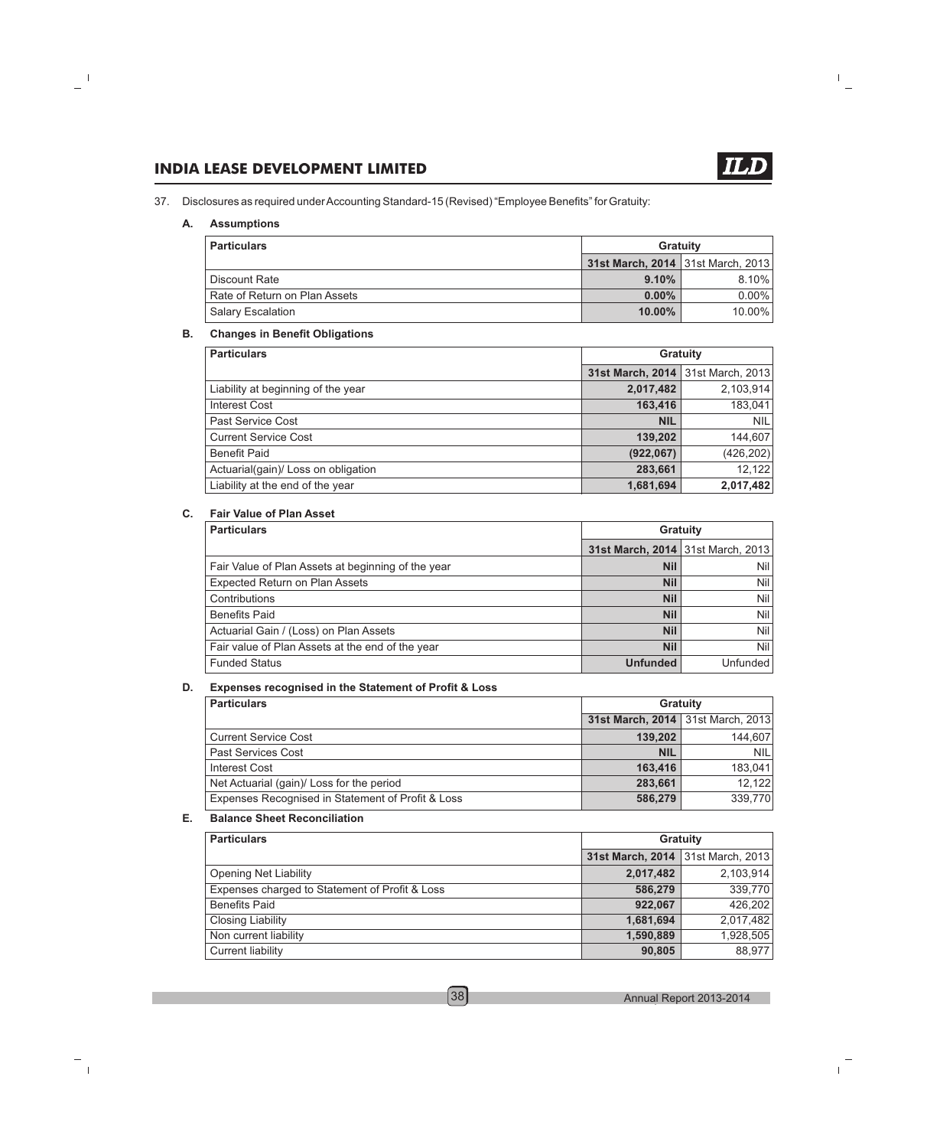37. Disclosures as required under Accounting Standard-15 (Revised) "Employee Benefits" for Gratuity:

#### **A. Assumptions**

| <b>Particulars</b>            | Gratuity                          |           |
|-------------------------------|-----------------------------------|-----------|
|                               | 31st March, 2014 31st March, 2013 |           |
| Discount Rate                 | 9.10%                             | $8.10\%$  |
| Rate of Return on Plan Assets | $0.00\%$                          | $0.00\%$  |
| <b>Salary Escalation</b>      | $10.00\%$                         | $10.00\%$ |

#### **B. Changes in Benefit Obligations**

| <b>Particulars</b>                  |                                   | <b>Gratuity</b> |
|-------------------------------------|-----------------------------------|-----------------|
|                                     | 31st March, 2014 31st March, 2013 |                 |
| Liability at beginning of the year  | 2,017,482                         | 2,103,914       |
| Interest Cost                       | 163,416                           | 183,041         |
| Past Service Cost                   | <b>NIL</b>                        | <b>NIL</b>      |
| <b>Current Service Cost</b>         | 139,202                           | 144,607         |
| <b>Benefit Paid</b>                 | (922, 067)                        | (426, 202)      |
| Actuarial(gain)/ Loss on obligation | 283,661                           | 12,122          |
| Liability at the end of the year    | 1,681,694                         | 2,017,482       |

#### **C. Fair Value of Plan Asset**

| <b>Particulars</b>                                 |                                   | <b>Gratuity</b> |
|----------------------------------------------------|-----------------------------------|-----------------|
|                                                    | 31st March, 2014 31st March, 2013 |                 |
| Fair Value of Plan Assets at beginning of the year | <b>Nil</b>                        | Nil l           |
| <b>Expected Return on Plan Assets</b>              | <b>Nil</b>                        | Nil l           |
| Contributions                                      | <b>Nil</b>                        | Nil             |
| <b>Benefits Paid</b>                               | <b>Nil</b>                        | Nil l           |
| Actuarial Gain / (Loss) on Plan Assets             | <b>Nil</b>                        | Nil l           |
| Fair value of Plan Assets at the end of the year   | <b>Nil</b>                        | Nil l           |
| <b>Funded Status</b>                               | <b>Unfunded</b>                   | Unfunded        |

#### **D. Expenses recognised in the Statement of Profit & Loss**

| <b>Particulars</b>                                |                                   | <b>Gratuity</b> |
|---------------------------------------------------|-----------------------------------|-----------------|
|                                                   | 31st March, 2014 31st March, 2013 |                 |
| <b>Current Service Cost</b>                       | 139,202                           | 144,607         |
| <b>Past Services Cost</b>                         | <b>NIL</b>                        | <b>NIL</b>      |
| <b>Interest Cost</b>                              | 163.416                           | 183.041         |
| Net Actuarial (gain)/ Loss for the period         | 283,661                           | 12,122          |
| Expenses Recognised in Statement of Profit & Loss | 586,279                           | 339,770         |

#### **E. Balance Sheet Reconciliation**

| <b>Particulars</b>                             |                                   | <b>Gratuity</b> |
|------------------------------------------------|-----------------------------------|-----------------|
|                                                | 31st March, 2014 31st March, 2013 |                 |
| Opening Net Liability                          | 2,017,482                         | 2,103,914       |
| Expenses charged to Statement of Profit & Loss | 586,279                           | 339,770         |
| <b>Benefits Paid</b>                           | 922.067                           | 426,202         |
| Closing Liability                              | 1,681,694                         | 2,017,482       |
| Non current liability                          | 1,590,889                         | 1,928,505       |
| Current liability                              | 90,805                            | 88,977          |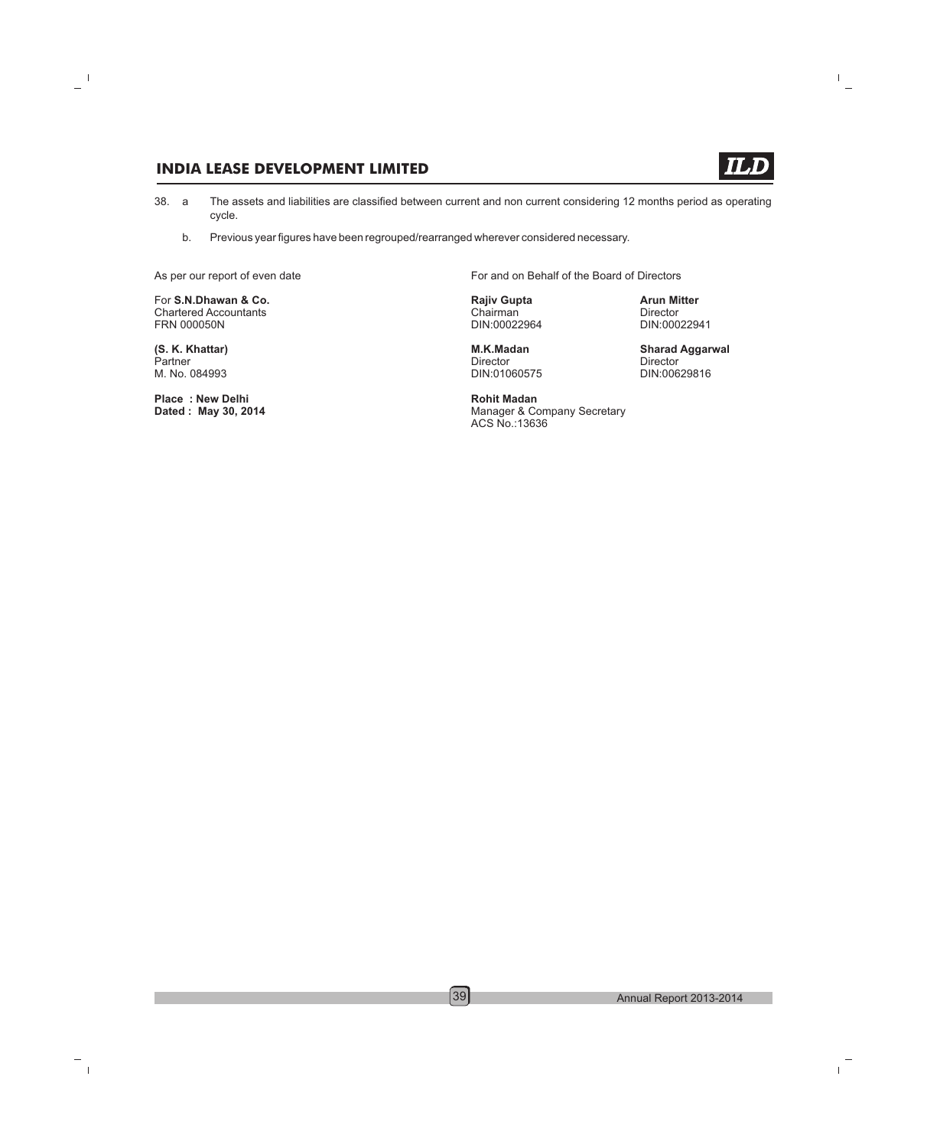- 38. a cycle. The assets and liabilities are classified between current and non current considering 12 months period as operating
	- b. Previous year figures have been regrouped/rearranged wherever considered necessary.

**For S.N.Dhawan & Co. Rajiv Gupta Rajiv Gupta Arun Mitter**<br>
Chartered Accountants **Arun Mitter** Chairman **Arun Mitter** Chartered Accountants and Chairman Chairman Chairman Director Director<br>
Chairman DIN:00022964 DIN:00022941

Partner Director Director M. No. 084993 DIN:01060575 DIN:00629816

**Place : New Delhi Rohit Madan**

As per our report of even date For and on Behalf of the Board of Directors

DIN:00022964

**Manager & Company Secretary** ACS No.:13636

**(S. K. Khattar) M.K.Madan Sharad Aggarwal**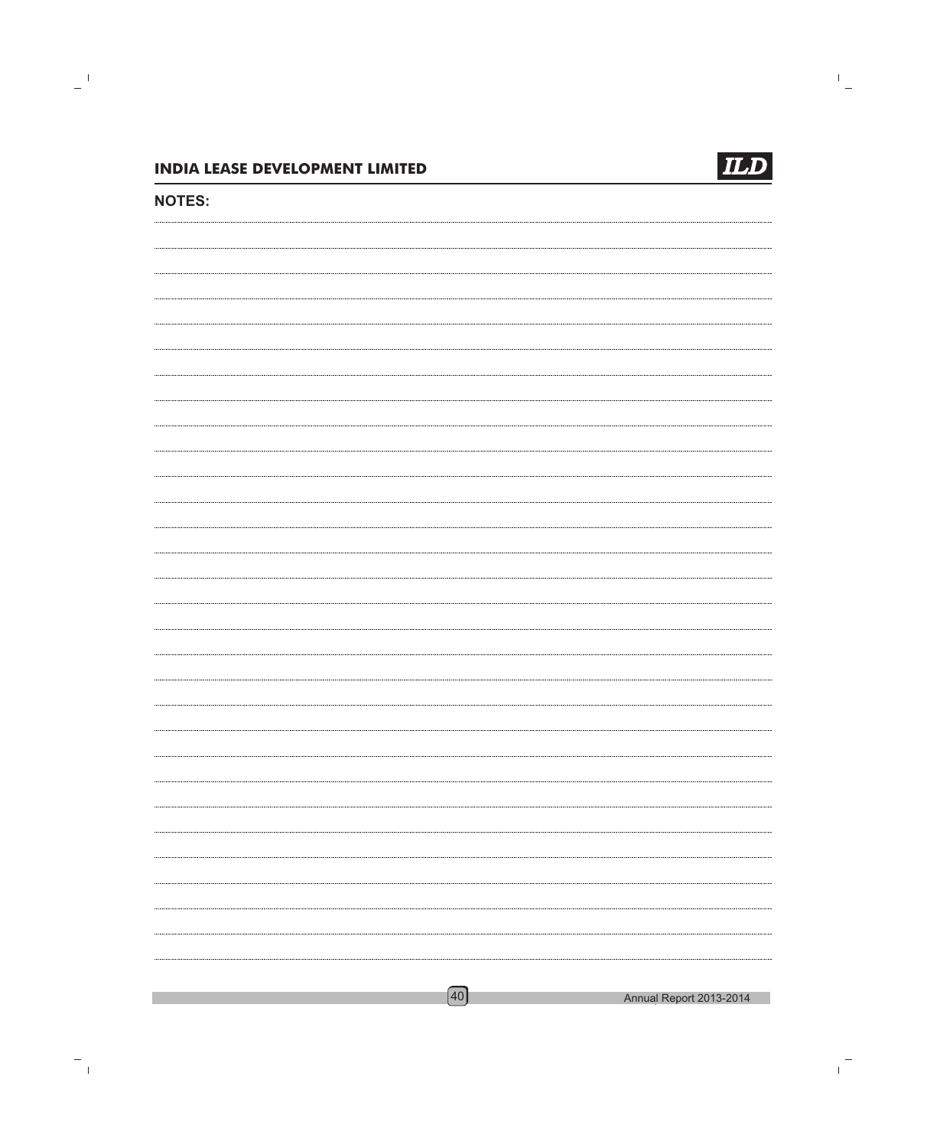

### **NOTES:**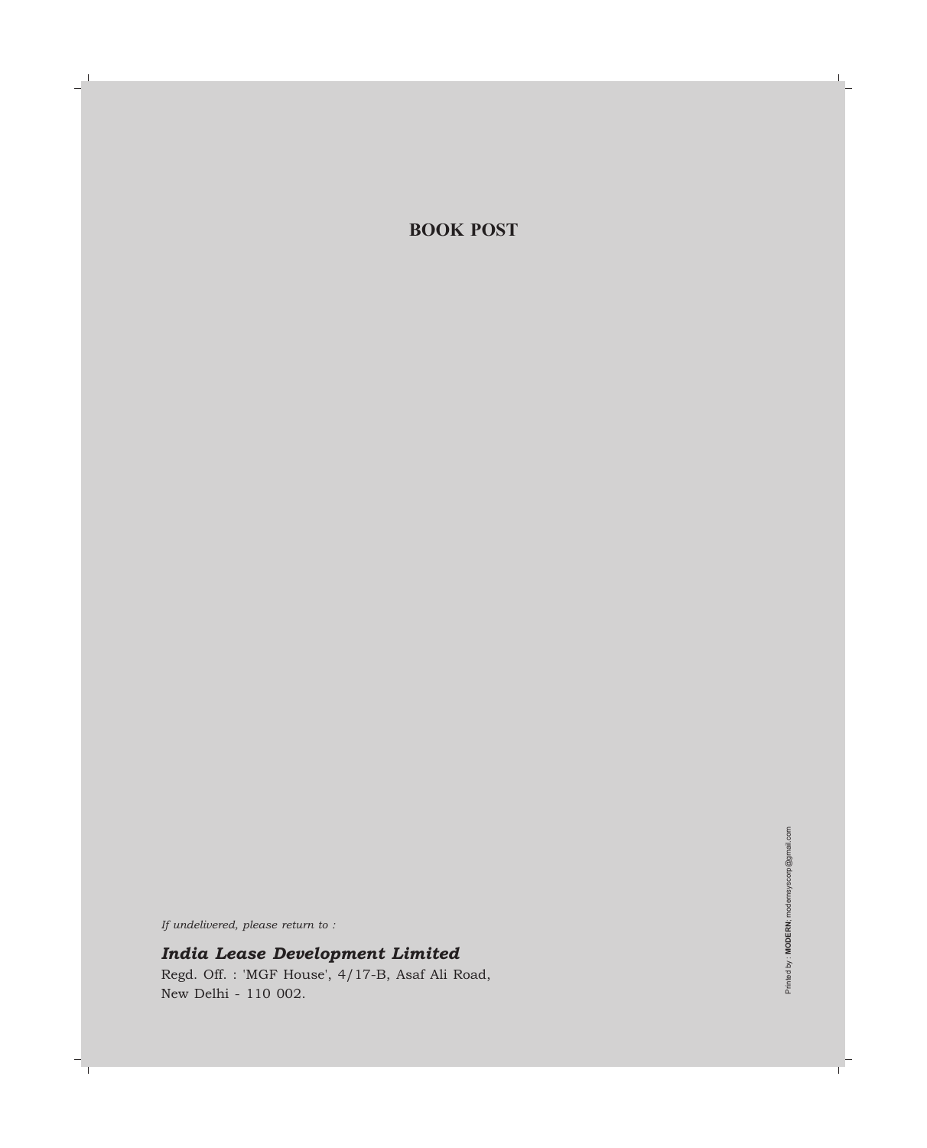### **BOOK POST**

*If undelivered, please return to :*

*India Lease Development Limited*

Regd. Off. : 'MGF House', 4/17-B, Asaf Ali Road, New Delhi - 110 002.